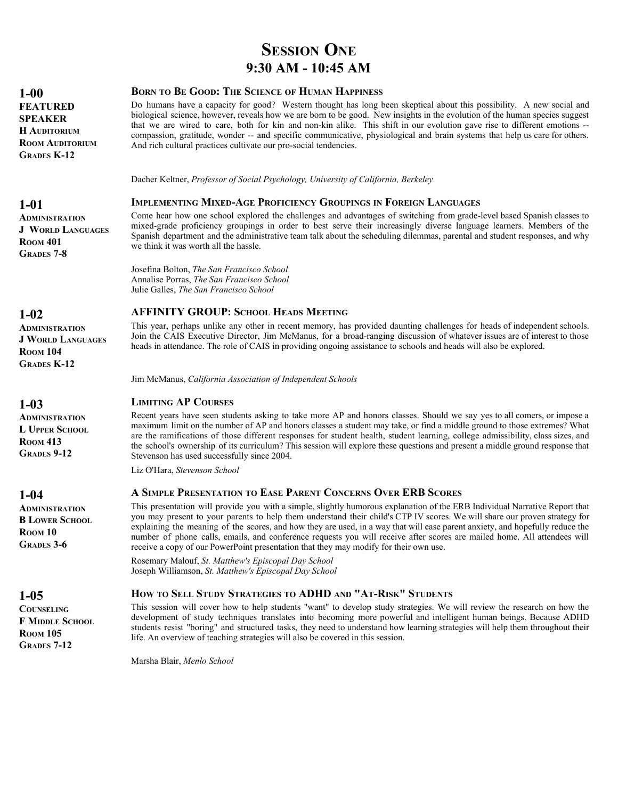# **SESSION ONE 9:30 AM - 10:45 AM**

#### **BORN TO BE GOOD: THE SCIENCE OF HUMAN HAPPINESS**

Do humans have a capacity for good? Western thought has long been skeptical about this possibility. A new social and biological science, however, reveals how we are born to be good. New insights in the evolution of the human species suggest that we are wired to care, both for kin and non-kin alike. This shift in our evolution gave rise to different emotions - compassion, gratitude, wonder -- and specific communicative, physiological and brain systems that help us care for others. And rich cultural practices cultivate our pro-social tendencies.

Dacher Keltner, *Professor of Social Psychology, University of California, Berkeley*

#### **IMPLEMENTING MIXED-AGE PROFICIENCY GROUPINGS IN FOREIGN LANGUAGES**

Come hear how one school explored the challenges and advantages of switching from grade-level based Spanish classes to mixed-grade proficiency groupings in order to best serve their increasingly diverse language learners. Members of the Spanish department and the administrative team talk about the scheduling dilemmas, parental and student responses, and why we think it was worth all the hassle.

Josefina Bolton, *The San Francisco School* Annalise Porras, *The San Francisco School* Julie Galles, *The San Francisco School*

#### **AFFINITY GROUP: SCHOOL HEADS MEETING**

This year, perhaps unlike any other in recent memory, has provided daunting challenges for heads of independent schools. Join the CAIS Executive Director, Jim McManus, for a broad-ranging discussion of whatever issues are of interest to those heads in attendance. The role of CAIS in providing ongoing assistance to schools and heads will also be explored.

Jim McManus, *California Association of Independent Schools*

#### **LIMITING AP COURSES**

Recent years have seen students asking to take more AP and honors classes. Should we say yes to all comers, or impose a maximum limit on the number of AP and honors classes a student may take, or find a middle ground to those extremes? What are the ramifications of those different responses for student health, student learning, college admissibility, class sizes, and the school's ownership of its curriculum? This session will explore these questions and present a middle ground response that Stevenson has used successfully since 2004.

Liz O'Hara, *Stevenson School*

#### **A SIMPLE PRESENTATION TO EASE PARENT CONCERNS OVER ERB SCORES**

This presentation will provide you with a simple, slightly humorous explanation of the ERB Individual Narrative Report that you may present to your parents to help them understand their child's CTP IV scores. We will share our proven strategy for explaining the meaning of the scores, and how they are used, in a way that will ease parent anxiety, and hopefully reduce the number of phone calls, emails, and conference requests you will receive after scores are mailed home. All attendees will receive a copy of our PowerPoint presentation that they may modify for their own use.

Rosemary Malouf, *St. Matthew's Episcopal Day School* Joseph Williamson, *St. Matthew's Episcopal Day School*

#### **HOW TO SELL STUDY STRATEGIES TO ADHD AND "AT-RISK" STUDENTS**

This session will cover how to help students "want" to develop study strategies. We will review the research on how the development of study techniques translates into becoming more powerful and intelligent human beings. Because ADHD students resist "boring" and structured tasks, they need to understand how learning strategies will help them throughout their life. An overview of teaching strategies will also be covered in this session.

Marsha Blair, *Menlo School*

**1-00 FEATURED SPEAKER H AUDITORIUM ROOM AUDITORIUM GRADES K-12**

# **1-01 ADMINISTRATION**

**J WORLD LANGUAGES ROOM 401 GRADES 7-8**

#### **1-02**

**ADMINISTRATION J WORLD LANGUAGES ROOM 104 GRADES K-12**

#### **1-03**

**ADMINISTRATION L UPPER SCHOOL ROOM 413 GRADES 9-12**

#### **1-04**

**ADMINISTRATION B LOWER SCHOOL ROOM 10 GRADES 3-6**

#### **1-05**

**COUNSELING F MIDDLE SCHOOL ROOM 105 GRADES 7-12**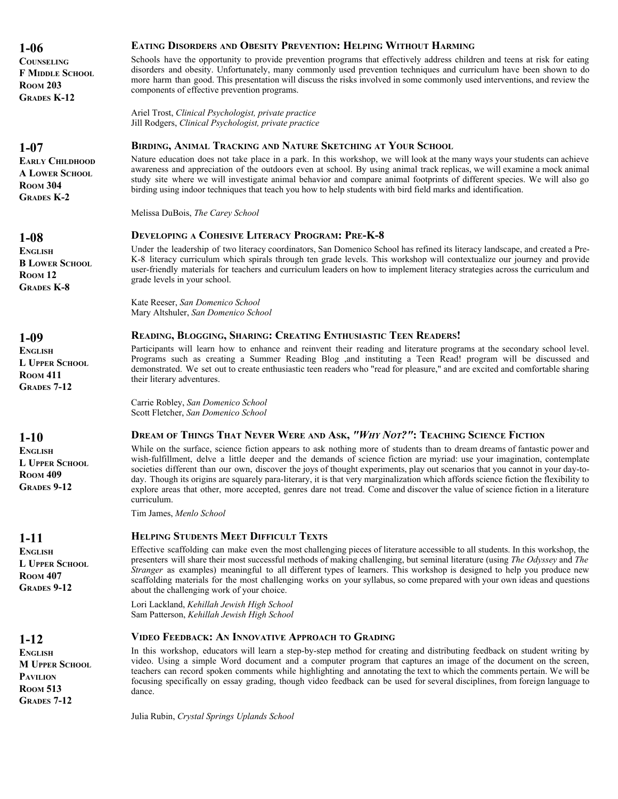**COUNSELING F MIDDLE SCHOOL ROOM 203 GRADES K-12**

#### **1-07**

**EARLY CHILDHOOD A LOWER SCHOOL ROOM 304 GRADES K-2**

#### **1-08**

**ENGLISH B LOWER SCHOOL ROOM 12 GRADES K-8**

# **1-09**

**ENGLISH L UPPER SCHOOL ROOM 411 GRADES 7-12**

# **1-10**

**ENGLISH L UPPER SCHOOL ROOM 409 GRADES 9-12**

# **1-11**

**ENGLISH L UPPER SCHOOL ROOM 407 GRADES 9-12**

#### **1-12**

**ENGLISH M UPPER SCHOOL PAVILION ROOM 513 GRADES 7-12**

#### **EATING DISORDERS AND OBESITY PREVENTION: HELPING WITHOUT HARMING**

Schools have the opportunity to provide prevention programs that effectively address children and teens at risk for eating disorders and obesity. Unfortunately, many commonly used prevention techniques and curriculum have been shown to do more harm than good. This presentation will discuss the risks involved in some commonly used interventions, and review the components of effective prevention programs.

Ariel Trost, *Clinical Psychologist, private practice* Jill Rodgers, *Clinical Psychologist, private practice*

#### **BIRDING, ANIMAL TRACKING AND NATURE SKETCHING AT YOUR SCHOOL**

Nature education does not take place in a park. In this workshop, we will look at the many ways your students can achieve awareness and appreciation of the outdoors even at school. By using animal track replicas, we will examine a mock animal study site where we will investigate animal behavior and compare animal footprints of different species. We will also go birding using indoor techniques that teach you how to help students with bird field marks and identification.

Melissa DuBois, *The Carey School*

#### **DEVELOPING A COHESIVE LITERACY PROGRAM: PRE-K-8**

Under the leadership of two literacy coordinators, San Domenico School has refined its literacy landscape, and created a Pre-K-8 literacy curriculum which spirals through ten grade levels. This workshop will contextualize our journey and provide user-friendly materials for teachers and curriculum leaders on how to implement literacy strategies across the curriculum and grade levels in your school.

Kate Reeser, *San Domenico School* Mary Altshuler, *San Domenico School*

#### **READING, BLOGGING, SHARING: CREATING ENTHUSIASTIC TEEN READERS!**

Participants will learn how to enhance and reinvent their reading and literature programs at the secondary school level. Programs such as creating a Summer Reading Blog ,and instituting a Teen Read! program will be discussed and demonstrated. We set out to create enthusiastic teen readers who "read for pleasure," and are excited and comfortable sharing their literary adventures.

Carrie Robley, *San Domenico School* Scott Fletcher, *San Domenico School*

#### **DREAM OF THINGS THAT NEVER WERE AND ASK,** *"WHY NOT?"***: TEACHING SCIENCE FICTION**

While on the surface, science fiction appears to ask nothing more of students than to dream dreams of fantastic power and wish-fulfillment, delve a little deeper and the demands of science fiction are myriad: use your imagination, contemplate societies different than our own, discover the joys of thought experiments, play out scenarios that you cannot in your day-today. Though its origins are squarely para-literary, it is that very marginalization which affords science fiction the flexibility to explore areas that other, more accepted, genres dare not tread. Come and discover the value of science fiction in a literature curriculum.

Tim James, *Menlo School*

#### **HELPING STUDENTS MEET DIFFICULT TEXTS**

Effective scaffolding can make even the most challenging pieces of literature accessible to all students. In this workshop, the presenters will share their most successful methods of making challenging, but seminal literature (using *The Odyssey* and *The Stranger* as examples) meaningful to all different types of learners. This workshop is designed to help you produce new scaffolding materials for the most challenging works on your syllabus, so come prepared with your own ideas and questions about the challenging work of your choice.

Lori Lackland, *Kehillah Jewish High School* Sam Patterson, *Kehillah Jewish High School*

#### **VIDEO FEEDBACK: AN INNOVATIVE APPROACH TO GRADING**

In this workshop, educators will learn a step-by-step method for creating and distributing feedback on student writing by video. Using a simple Word document and a computer program that captures an image of the document on the screen, teachers can record spoken comments while highlighting and annotating the text to which the comments pertain. We will be focusing specifically on essay grading, though video feedback can be used for several disciplines, from foreign language to dance.

Julia Rubin, *Crystal Springs Uplands School*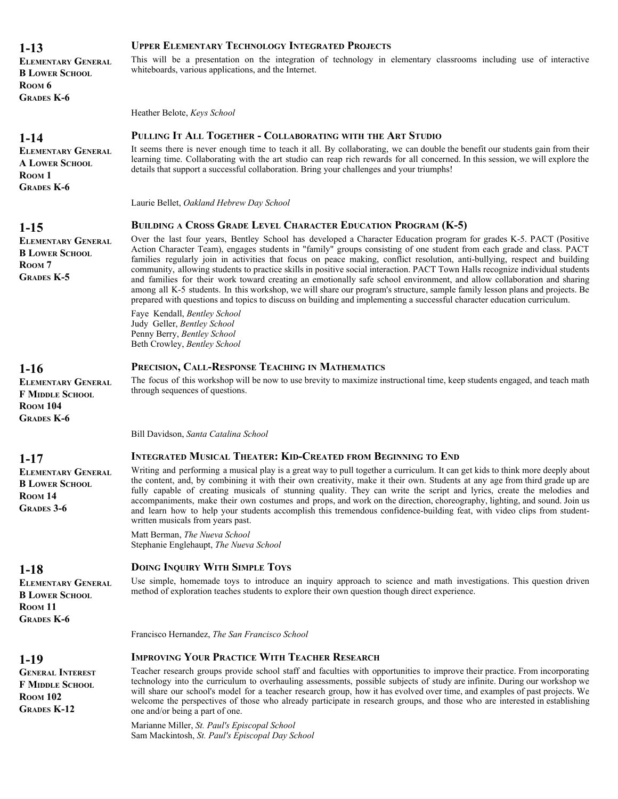| 1-13               |  |
|--------------------|--|
| ELEMENTARY GENERAL |  |

**ELEMENTARY GENERAL B LOWER SCHOOL ROOM 6 GRADES K-6**

# **1-14**

**ELEMENTARY GENERAL A LOWER SCHOOL ROOM 1 GRADES K-6**

# **1-15**

# **ELEMENTARY GENERAL B LOWER SCHOOL** R<sub>OOM</sub> 7 **GRADES K-5**

# **1-16**

**ELEMENTARY GENERAL F MIDDLE SCHOOL ROOM 104 GRADES K-6**

# **1-17**

**ELEMENTARY GENERAL B LOWER SCHOOL ROOM 14 GRADES 3-6**

# **1-18**

**ELEMENTARY GENERAL B LOWER SCHOOL ROOM 11 GRADES K-6**

# **1-19**

**GENERAL INTEREST F MIDDLE SCHOOL ROOM 102 GRADES K-12**

# **UPPER ELEMENTARY TECHNOLOGY INTEGRATED PROJECTS**

This will be a presentation on the integration of technology in elementary classrooms including use of interactive whiteboards, various applications, and the Internet.

Heather Belote, *Keys School*

# **PULLING IT ALL TOGETHER - COLLABORATING WITH THE ART STUDIO**

It seems there is never enough time to teach it all. By collaborating, we can double the benefit our students gain from their learning time. Collaborating with the art studio can reap rich rewards for all concerned. In this session, we will explore the details that support a successful collaboration. Bring your challenges and your triumphs!

Laurie Bellet, *Oakland Hebrew Day School*

# **BUILDING A CROSS GRADE LEVEL CHARACTER EDUCATION PROGRAM (K-5)**

Over the last four years, Bentley School has developed a Character Education program for grades K-5. PACT (Positive Action Character Team), engages students in "family" groups consisting of one student from each grade and class. PACT families regularly join in activities that focus on peace making, conflict resolution, anti-bullying, respect and building community, allowing students to practice skills in positive social interaction. PACT Town Halls recognize individual students and families for their work toward creating an emotionally safe school environment, and allow collaboration and sharing among all K-5 students. In this workshop, we will share our program's structure, sample family lesson plans and projects. Be prepared with questions and topics to discuss on building and implementing a successful character education curriculum.

Faye Kendall, *Bentley School* Judy Geller, *Bentley School* Penny Berry, *Bentley School* Beth Crowley, *Bentley School*

# **PRECISION, CALL-RESPONSE TEACHING IN MATHEMATICS**

The focus of this workshop will be now to use brevity to maximize instructional time, keep students engaged, and teach math through sequences of questions.

Bill Davidson, *Santa Catalina School*

# **INTEGRATED MUSICAL THEATER: KID-CREATED FROM BEGINNING TO END**

Writing and performing a musical play is a great way to pull together a curriculum. It can get kids to think more deeply about the content, and, by combining it with their own creativity, make it their own. Students at any age from third grade up are fully capable of creating musicals of stunning quality. They can write the script and lyrics, create the melodies and accompaniments, make their own costumes and props, and work on the direction, choreography, lighting, and sound. Join us and learn how to help your students accomplish this tremendous confidence-building feat, with video clips from studentwritten musicals from years past.

Matt Berman, *The Nueva School* Stephanie Englehaupt, *The Nueva School*

# **DOING INQUIRY WITH SIMPLE TOYS**

Use simple, homemade toys to introduce an inquiry approach to science and math investigations. This question driven method of exploration teaches students to explore their own question though direct experience.

Francisco Hernandez, *The San Francisco School*

# **IMPROVING YOUR PRACTICE WITH TEACHER RESEARCH**

Teacher research groups provide school staff and faculties with opportunities to improve their practice. From incorporating technology into the curriculum to overhauling assessments, possible subjects of study are infinite. During our workshop we will share our school's model for a teacher research group, how it has evolved over time, and examples of past projects. We welcome the perspectives of those who already participate in research groups, and those who are interested in establishing one and/or being a part of one.

Marianne Miller, *St. Paul's Episcopal School* Sam Mackintosh, *St. Paul's Episcopal Day School*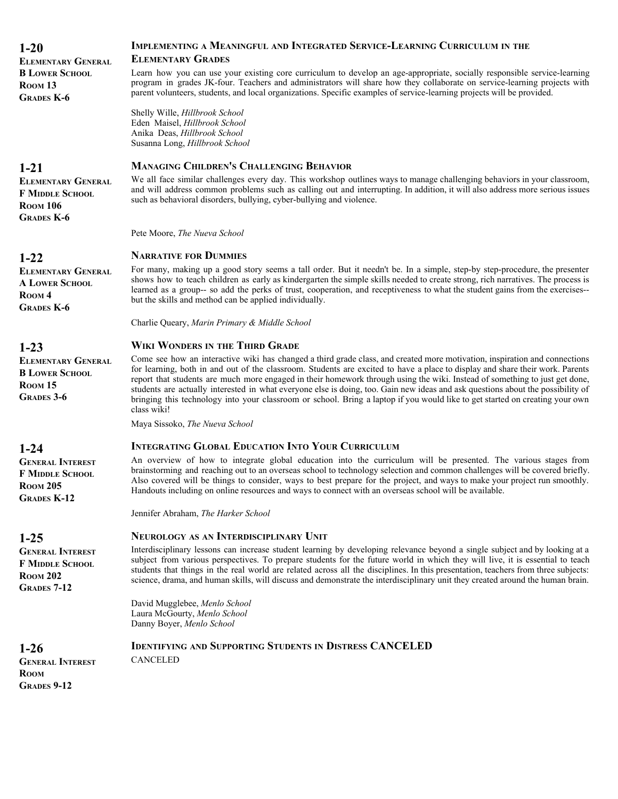| $1 - 20$<br><b>ELEMENTARY GENERAL</b>                                                         | IMPLEMENTING A MEANINGFUL AND INTEGRATED SERVICE-LEARNING CURRICULUM IN THE<br><b>ELEMENTARY GRADES</b>                                                                                                                                                                                                                                                                                                                                                                                                                                                                                                                                                                      |
|-----------------------------------------------------------------------------------------------|------------------------------------------------------------------------------------------------------------------------------------------------------------------------------------------------------------------------------------------------------------------------------------------------------------------------------------------------------------------------------------------------------------------------------------------------------------------------------------------------------------------------------------------------------------------------------------------------------------------------------------------------------------------------------|
| <b>B LOWER SCHOOL</b><br>ROOM <sub>13</sub><br><b>GRADES K-6</b>                              | Learn how you can use your existing core curriculum to develop an age-appropriate, socially responsible service-learning<br>program in grades JK-four. Teachers and administrators will share how they collaborate on service-learning projects with<br>parent volunteers, students, and local organizations. Specific examples of service-learning projects will be provided.                                                                                                                                                                                                                                                                                               |
|                                                                                               | Shelly Wille, Hillbrook School<br>Eden Maisel, Hillbrook School<br>Anika Deas, Hillbrook School<br>Susanna Long, Hillbrook School                                                                                                                                                                                                                                                                                                                                                                                                                                                                                                                                            |
| $1-21$                                                                                        | <b>MANAGING CHILDREN'S CHALLENGING BEHAVIOR</b>                                                                                                                                                                                                                                                                                                                                                                                                                                                                                                                                                                                                                              |
| <b>ELEMENTARY GENERAL</b><br><b>F MIDDLE SCHOOL</b><br><b>ROOM 106</b><br><b>GRADES K-6</b>   | We all face similar challenges every day. This workshop outlines ways to manage challenging behaviors in your classroom,<br>and will address common problems such as calling out and interrupting. In addition, it will also address more serious issues<br>such as behavioral disorders, bullying, cyber-bullying and violence.                                                                                                                                                                                                                                                                                                                                             |
|                                                                                               | Pete Moore, The Nueva School                                                                                                                                                                                                                                                                                                                                                                                                                                                                                                                                                                                                                                                 |
| $1-22$                                                                                        | <b>NARRATIVE FOR DUMMIES</b>                                                                                                                                                                                                                                                                                                                                                                                                                                                                                                                                                                                                                                                 |
| <b>ELEMENTARY GENERAL</b><br><b>A LOWER SCHOOL</b><br>ROOM <sub>4</sub><br><b>GRADES K-6</b>  | For many, making up a good story seems a tall order. But it needn't be. In a simple, step-by step-procedure, the presenter<br>shows how to teach children as early as kindergarten the simple skills needed to create strong, rich narratives. The process is<br>learned as a group-- so add the perks of trust, cooperation, and receptiveness to what the student gains from the exercises--<br>but the skills and method can be applied individually.                                                                                                                                                                                                                     |
|                                                                                               | Charlie Queary, Marin Primary & Middle School                                                                                                                                                                                                                                                                                                                                                                                                                                                                                                                                                                                                                                |
| $1-23$                                                                                        | <b>WIKI WONDERS IN THE THIRD GRADE</b>                                                                                                                                                                                                                                                                                                                                                                                                                                                                                                                                                                                                                                       |
| <b>ELEMENTARY GENERAL</b><br><b>B LOWER SCHOOL</b><br>ROOM <sub>15</sub><br><b>GRADES 3-6</b> | Come see how an interactive wiki has changed a third grade class, and created more motivation, inspiration and connections<br>for learning, both in and out of the classroom. Students are excited to have a place to display and share their work. Parents<br>report that students are much more engaged in their homework through using the wiki. Instead of something to just get done,<br>students are actually interested in what everyone else is doing, too. Gain new ideas and ask questions about the possibility of<br>bringing this technology into your classroom or school. Bring a laptop if you would like to get started on creating your own<br>class wiki! |
|                                                                                               | Maya Sissoko, The Nueva School                                                                                                                                                                                                                                                                                                                                                                                                                                                                                                                                                                                                                                               |
| $1 - 24$                                                                                      | <b>INTEGRATING GLOBAL EDUCATION INTO YOUR CURRICULUM</b>                                                                                                                                                                                                                                                                                                                                                                                                                                                                                                                                                                                                                     |
| <b>GENERAL INTEREST</b><br><b>F MIDDLE SCHOOL</b><br><b>ROOM 205</b><br><b>GRADES K-12</b>    | An overview of how to integrate global education into the curriculum will be presented. The various stages from<br>brainstorming and reaching out to an overseas school to technology selection and common challenges will be covered briefly.<br>Also covered will be things to consider, ways to best prepare for the project, and ways to make your project run smoothly.<br>Handouts including on online resources and ways to connect with an overseas school will be available.                                                                                                                                                                                        |
|                                                                                               | Jennifer Abraham, The Harker School                                                                                                                                                                                                                                                                                                                                                                                                                                                                                                                                                                                                                                          |
| $1-25$                                                                                        | <b>NEUROLOGY AS AN INTERDISCIPLINARY UNIT</b>                                                                                                                                                                                                                                                                                                                                                                                                                                                                                                                                                                                                                                |
| <b>GENERAL INTEREST</b><br>F MIDDLE SCHOOL<br><b>ROOM 202</b><br><b>GRADES 7-12</b>           | Interdisciplinary lessons can increase student learning by developing relevance beyond a single subject and by looking at a<br>subject from various perspectives. To prepare students for the future world in which they will live, it is essential to teach<br>students that things in the real world are related across all the disciplines. In this presentation, teachers from three subjects:<br>science, drama, and human skills, will discuss and demonstrate the interdisciplinary unit they created around the human brain.                                                                                                                                         |
|                                                                                               | David Mugglebee, Menlo School<br>Laura McGourty, Menlo School<br>Danny Boyer, Menlo School                                                                                                                                                                                                                                                                                                                                                                                                                                                                                                                                                                                   |
| $1-26$<br><b>GENERAL INTEREST</b><br><b>ROOM</b><br><b>GRADES 9-12</b>                        | <b>IDENTIFYING AND SUPPORTING STUDENTS IN DISTRESS CANCELED</b><br><b>CANCELED</b>                                                                                                                                                                                                                                                                                                                                                                                                                                                                                                                                                                                           |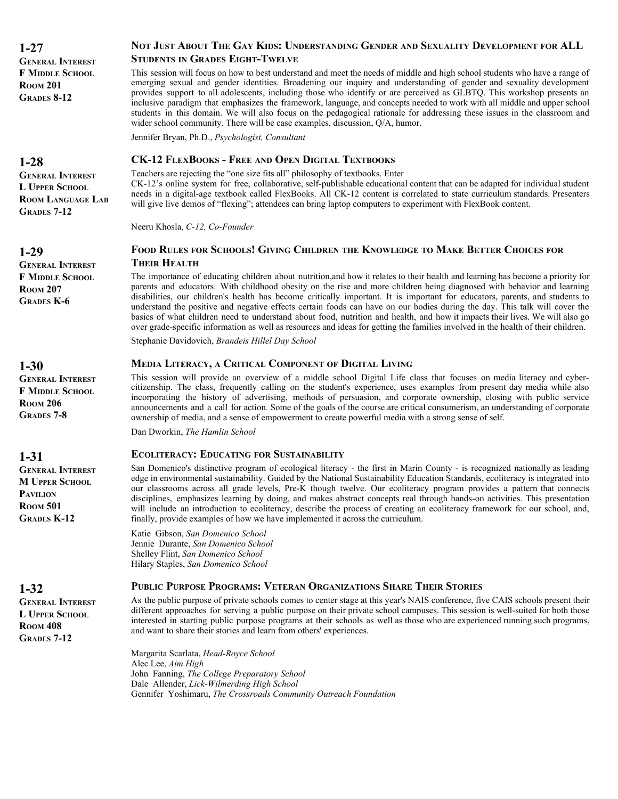**1-27 GENERAL INTEREST F MIDDLE SCHOOL ROOM 201 GRADES 8-12**

# **NOT JUST ABOUT THE GAY KIDS: UNDERSTANDING GENDER AND SEXUALITY DEVELOPMENT FOR ALL STUDENTS IN GRADES EIGHT-TWELVE**

This session will focus on how to best understand and meet the needs of middle and high school students who have a range of emerging sexual and gender identities. Broadening our inquiry and understanding of gender and sexuality development provides support to all adolescents, including those who identify or are perceived as GLBTQ. This workshop presents an inclusive paradigm that emphasizes the framework, language, and concepts needed to work with all middle and upper school students in this domain. We will also focus on the pedagogical rationale for addressing these issues in the classroom and wider school community. There will be case examples, discussion, Q/A, humor.

Jennifer Bryan, Ph.D., *Psychologist, Consultant*

#### **CK-12 FLEXBOOKS - FREE AND OPEN DIGITAL TEXTBOOKS**

Teachers are rejecting the "one size fits all" philosophy of textbooks. Enter CK-12's online system for free, collaborative, self-publishable educational content that can be adapted for individual student needs in a digital-age textbook called FlexBooks. All CK-12 content is correlated to state curriculum standards. Presenters will give live demos of "flexing"; attendees can bring laptop computers to experiment with FlexBook content.

Neeru Khosla, *C-12, Co-Founder*

# **FOOD RULES FOR SCHOOLS! GIVING CHILDREN THE KNOWLEDGE TO MAKE BETTER CHOICES FOR THEIR HEALTH**

The importance of educating children about nutrition,and how it relates to their health and learning has become a priority for parents and educators. With childhood obesity on the rise and more children being diagnosed with behavior and learning disabilities, our children's health has become critically important. It is important for educators, parents, and students to understand the positive and negative effects certain foods can have on our bodies during the day. This talk will cover the basics of what children need to understand about food, nutrition and health, and how it impacts their lives. We will also go over grade-specific information as well as resources and ideas for getting the families involved in the health of their children.

Stephanie Davidovich, *Brandeis Hillel Day School*

#### **MEDIA LITERACY, A CRITICAL COMPONENT OF DIGITAL LIVING**

This session will provide an overview of a middle school Digital Life class that focuses on media literacy and cybercitizenship. The class, frequently calling on the student's experience, uses examples from present day media while also incorporating the history of advertising, methods of persuasion, and corporate ownership, closing with public service announcements and a call for action. Some of the goals of the course are critical consumerism, an understanding of corporate ownership of media, and a sense of empowerment to create powerful media with a strong sense of self.

Dan Dworkin, *The Hamlin School*

#### **ECOLITERACY: EDUCATING FOR SUSTAINABILITY**

San Domenico's distinctive program of ecological literacy - the first in Marin County - is recognized nationally as leading edge in environmental sustainability. Guided by the National Sustainability Education Standards, ecoliteracy is integrated into our classrooms across all grade levels, Pre-K though twelve. Our ecoliteracy program provides a pattern that connects disciplines, emphasizes learning by doing, and makes abstract concepts real through hands-on activities. This presentation will include an introduction to ecoliteracy, describe the process of creating an ecoliteracy framework for our school, and, finally, provide examples of how we have implemented it across the curriculum.

Katie Gibson, *San Domenico School* Jennie Durante, *San Domenico School* Shelley Flint, *San Domenico School* Hilary Staples, *San Domenico School*

#### **PUBLIC PURPOSE PROGRAMS: VETERAN ORGANIZATIONS SHARE THEIR STORIES**

As the public purpose of private schools comes to center stage at this year's NAIS conference, five CAIS schools present their different approaches for serving a public purpose on their private school campuses. This session is well-suited for both those interested in starting public purpose programs at their schools as well as those who are experienced running such programs, and want to share their stories and learn from others' experiences.

Margarita Scarlata, *Head-Royce School* Alec Lee, *Aim High* John Fanning, *The College Preparatory School* Dale Allender, *Lick-Wilmerding High School* Gennifer Yoshimaru, *The Crossroads Community Outreach Foundation*

# **1-28**

**GENERAL INTEREST L UPPER SCHOOL ROOM LANGUAGE LAB GRADES 7-12**

**1-29**

**GENERAL INTEREST F MIDDLE SCHOOL ROOM 207 GRADES K-6**

# **1-30**

**GENERAL INTEREST F MIDDLE SCHOOL ROOM 206 GRADES 7-8**

# **1-31**

**GENERAL INTEREST M UPPER SCHOOL PAVILION ROOM 501 GRADES K-12**

# **1-32**

**GENERAL INTEREST L UPPER SCHOOL ROOM 408 GRADES 7-12**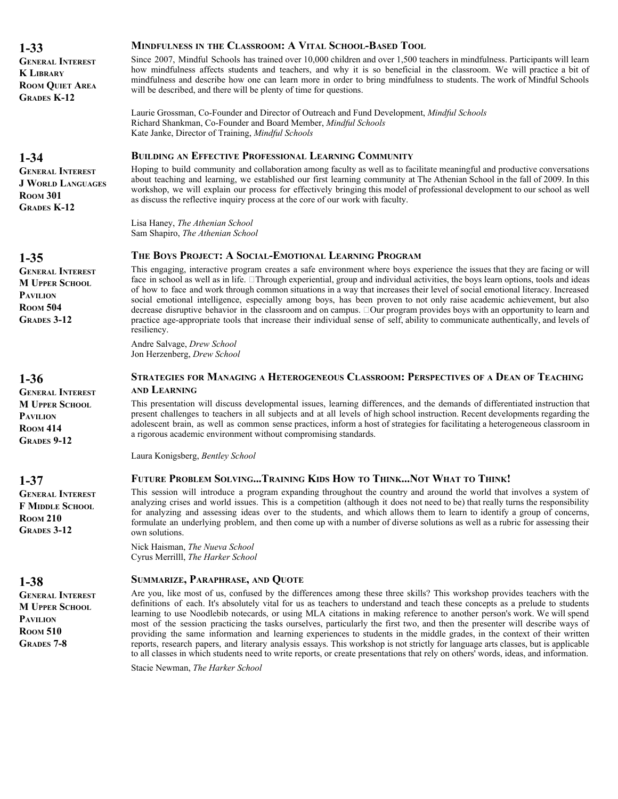**1-33 GENERAL INTEREST K LIBRARY ROOM QUIET AREA GRADES K-12**

# **1-34**

**GENERAL INTEREST J WORLD LANGUAGES ROOM 301 GRADES K-12**

**1-35**

**GENERAL INTEREST M UPPER SCHOOL PAVILION ROOM 504 GRADES 3-12**

#### **1-36**

**GENERAL INTEREST M UPPER SCHOOL PAVILION ROOM 414 GRADES 9-12**

#### **1-37**

**GENERAL INTEREST F MIDDLE SCHOOL ROOM 210 GRADES 3-12**

# **1-38**

**GENERAL INTEREST M UPPER SCHOOL PAVILION ROOM 510 GRADES 7-8**

# **MINDFULNESS IN THE CLASSROOM: A VITAL SCHOOL-BASED TOOL**

Since 2007, Mindful Schools has trained over 10,000 children and over 1,500 teachers in mindfulness. Participants will learn how mindfulness affects students and teachers, and why it is so beneficial in the classroom. We will practice a bit of mindfulness and describe how one can learn more in order to bring mindfulness to students. The work of Mindful Schools will be described, and there will be plenty of time for questions.

Laurie Grossman, Co-Founder and Director of Outreach and Fund Development, *Mindful Schools* Richard Shankman, Co-Founder and Board Member, *Mindful Schools* Kate Janke, Director of Training, *Mindful Schools*

# **BUILDING AN EFFECTIVE PROFESSIONAL LEARNING COMMUNITY**

Hoping to build community and collaboration among faculty as well as to facilitate meaningful and productive conversations about teaching and learning, we established our first learning community at The Athenian School in the fall of 2009. In this workshop, we will explain our process for effectively bringing this model of professional development to our school as well as discuss the reflective inquiry process at the core of our work with faculty.

Lisa Haney, *The Athenian School* Sam Shapiro, *The Athenian School*

# **THE BOYS PROJECT: A SOCIAL-EMOTIONAL LEARNING PROGRAM**

This engaging, interactive program creates a safe environment where boys experience the issues that they are facing or will face in school as well as in life.  Through experiential, group and individual activities, the boys learn options, tools and ideas of how to face and work through common situations in a way that increases their level of social emotional literacy. Increased social emotional intelligence, especially among boys, has been proven to not only raise academic achievement, but also decrease disruptive behavior in the classroom and on campus.  Our program provides boys with an opportunity to learn and practice age-appropriate tools that increase their individual sense of self, ability to communicate authentically, and levels of resiliency.

Andre Salvage, *Drew School* Jon Herzenberg, *Drew School*

#### **STRATEGIES FOR MANAGING A HETEROGENEOUS CLASSROOM: PERSPECTIVES OF A DEAN OF TEACHING AND LEARNING**

This presentation will discuss developmental issues, learning differences, and the demands of differentiated instruction that present challenges to teachers in all subjects and at all levels of high school instruction. Recent developments regarding the adolescent brain, as well as common sense practices, inform a host of strategies for facilitating a heterogeneous classroom in a rigorous academic environment without compromising standards.

Laura Konigsberg, *Bentley School*

# **FUTURE PROBLEM SOLVING...TRAINING KIDS HOW TO THINK...NOT WHAT TO THINK!**

This session will introduce a program expanding throughout the country and around the world that involves a system of analyzing crises and world issues. This is a competition (although it does not need to be) that really turns the responsibility for analyzing and assessing ideas over to the students, and which allows them to learn to identify a group of concerns, formulate an underlying problem, and then come up with a number of diverse solutions as well as a rubric for assessing their own solutions.

Nick Haisman, *The Nueva School* Cyrus Merrilll, *The Harker School*

#### **SUMMARIZE, PARAPHRASE, AND QUOTE**

Are you, like most of us, confused by the differences among these three skills? This workshop provides teachers with the definitions of each. It's absolutely vital for us as teachers to understand and teach these concepts as a prelude to students learning to use Noodlebib notecards, or using MLA citations in making reference to another person's work. We will spend most of the session practicing the tasks ourselves, particularly the first two, and then the presenter will describe ways of providing the same information and learning experiences to students in the middle grades, in the context of their written reports, research papers, and literary analysis essays. This workshop is not strictly for language arts classes, but is applicable to all classes in which students need to write reports, or create presentations that rely on others' words, ideas, and information.

Stacie Newman, *The Harker School*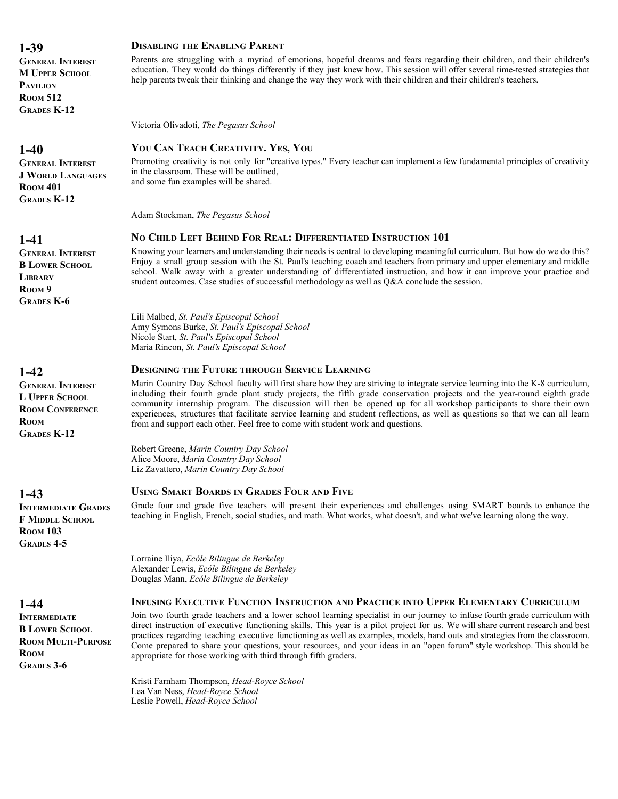**GENERAL INTEREST M UPPER SCHOOL PAVILION ROOM 512 GRADES K-12**

# **1-40**

**GENERAL INTEREST J WORLD LANGUAGES ROOM 401 GRADES K-12**

#### **1-41**

**GENERAL INTEREST B LOWER SCHOOL LIBRARY ROOM 9 GRADES K-6**

# **1-42**

**GENERAL INTEREST L UPPER SCHOOL ROOM CONFERENCE ROOM GRADES K-12**

**1-43**

**INTERMEDIATE GRADES F MIDDLE SCHOOL ROOM 103 GRADES 4-5**

# **1-44**

**INTERMEDIATE B LOWER SCHOOL ROOM MULTI-PURPOSE ROOM GRADES 3-6**

#### **DISABLING THE ENABLING PARENT**

Parents are struggling with a myriad of emotions, hopeful dreams and fears regarding their children, and their children's education. They would do things differently if they just knew how. This session will offer several time-tested strategies that help parents tweak their thinking and change the way they work with their children and their children's teachers.

Victoria Olivadoti, *The Pegasus School*

# **YOU CAN TEACH CREATIVITY. YES, YOU**

Promoting creativity is not only for "creative types." Every teacher can implement a few fundamental principles of creativity in the classroom. These will be outlined, and some fun examples will be shared.

Adam Stockman, *The Pegasus School*

#### **NO CHILD LEFT BEHIND FOR REAL: DIFFERENTIATED INSTRUCTION 101**

Knowing your learners and understanding their needs is central to developing meaningful curriculum. But how do we do this? Enjoy a small group session with the St. Paul's teaching coach and teachers from primary and upper elementary and middle school. Walk away with a greater understanding of differentiated instruction, and how it can improve your practice and student outcomes. Case studies of successful methodology as well as Q&A conclude the session.

Lili Malbed, *St. Paul's Episcopal School* Amy Symons Burke, *St. Paul's Episcopal School* Nicole Start, *St. Paul's Episcopal School* Maria Rincon, *St. Paul's Episcopal School*

#### **DESIGNING THE FUTURE THROUGH SERVICE LEARNING**

Marin Country Day School faculty will first share how they are striving to integrate service learning into the K-8 curriculum, including their fourth grade plant study projects, the fifth grade conservation projects and the year-round eighth grade community internship program. The discussion will then be opened up for all workshop participants to share their own experiences, structures that facilitate service learning and student reflections, as well as questions so that we can all learn from and support each other. Feel free to come with student work and questions.

Robert Greene, *Marin Country Day School* Alice Moore, *Marin Country Day School* Liz Zavattero, *Marin Country Day School*

#### **USING SMART BOARDS IN GRADES FOUR AND FIVE**

Grade four and grade five teachers will present their experiences and challenges using SMART boards to enhance the teaching in English, French, social studies, and math. What works, what doesn't, and what we've learning along the way.

Lorraine Iliya, *Ecóle Bilingue de Berkeley* Alexander Lewis, *Ecóle Bilingue de Berkeley* Douglas Mann, *Ecóle Bilingue de Berkeley*

#### **INFUSING EXECUTIVE FUNCTION INSTRUCTION AND PRACTICE INTO UPPER ELEMENTARY CURRICULUM**

Join two fourth grade teachers and a lower school learning specialist in our journey to infuse fourth grade curriculum with direct instruction of executive functioning skills. This year is a pilot project for us. We will share current research and best practices regarding teaching executive functioning as well as examples, models, hand outs and strategies from the classroom. Come prepared to share your questions, your resources, and your ideas in an "open forum" style workshop. This should be appropriate for those working with third through fifth graders.

Kristi Farnham Thompson, *Head-Royce School* Lea Van Ness, *Head-Royce School* Leslie Powell, *Head-Royce School*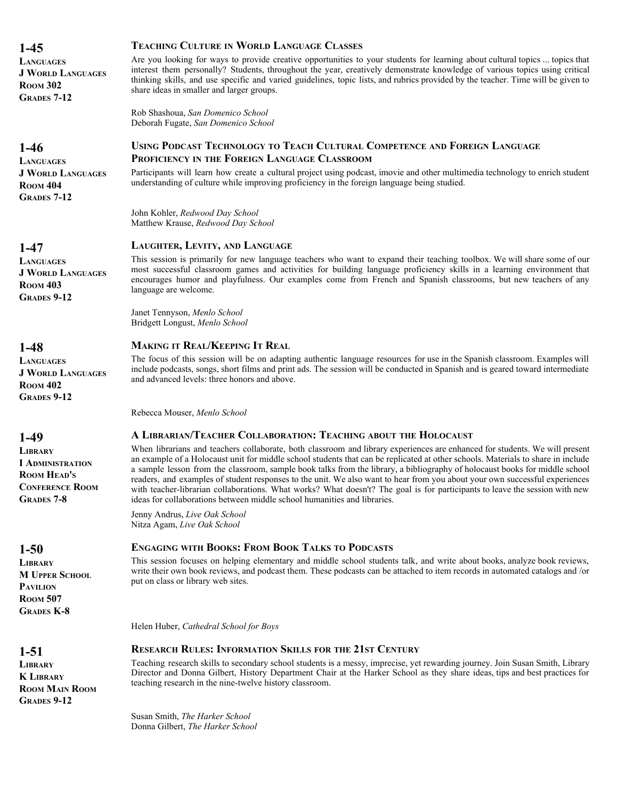**LANGUAGES J WORLD LANGUAGES ROOM 302 GRADES 7-12**

# **1-46**

**LANGUAGES J WORLD LANGUAGES ROOM** 404 **GRADES 7-12**

# **1-47**

**LANGUAGES J WORLD LANGUAGES ROOM 403 GRADES 9-12**

# **1-48**

**LANGUAGES J WORLD LANGUAGES ROOM 402 GRADES 9-12**

# **1-49**

**LIBRARY I ADMINISTRATION ROOM HEAD'S CONFERENCE ROOM GRADES 7-8**

# **1-50**

**LIBRARY M UPPER SCHOOL PAVILION ROOM 507 GRADES K-8**

# **1-51**

**LIBRARY K LIBRARY ROOM MAIN ROOM GRADES 9-12**

#### **TEACHING CULTURE IN WORLD LANGUAGE CLASSES**

Are you looking for ways to provide creative opportunities to your students for learning about cultural topics ... topics that interest them personally? Students, throughout the year, creatively demonstrate knowledge of various topics using critical thinking skills, and use specific and varied guidelines, topic lists, and rubrics provided by the teacher. Time will be given to share ideas in smaller and larger groups.

Rob Shashoua, *San Domenico School* Deborah Fugate, *San Domenico School*

# **USING PODCAST TECHNOLOGY TO TEACH CULTURAL COMPETENCE AND FOREIGN LANGUAGE PROFICIENCY IN THE FOREIGN LANGUAGE CLASSROOM**

Participants will learn how create a cultural project using podcast, imovie and other multimedia technology to enrich student understanding of culture while improving proficiency in the foreign language being studied.

John Kohler, *Redwood Day School* Matthew Krause, *Redwood Day School*

#### **LAUGHTER, LEVITY, AND LANGUAGE**

This session is primarily for new language teachers who want to expand their teaching toolbox. We will share some of our most successful classroom games and activities for building language proficiency skills in a learning environment that encourages humor and playfulness. Our examples come from French and Spanish classrooms, but new teachers of any language are welcome.

Janet Tennyson, *Menlo School* Bridgett Longust, *Menlo School*

#### **MAKING IT REAL/KEEPING IT REAL**

The focus of this session will be on adapting authentic language resources for use in the Spanish classroom. Examples will include podcasts, songs, short films and print ads. The session will be conducted in Spanish and is geared toward intermediate and advanced levels: three honors and above.

Rebecca Mouser, *Menlo School*

#### **A LIBRARIAN/TEACHER COLLABORATION: TEACHING ABOUT THE HOLOCAUST**

When librarians and teachers collaborate, both classroom and library experiences are enhanced for students. We will present an example of a Holocaust unit for middle school students that can be replicated at other schools. Materials to share in include a sample lesson from the classroom, sample book talks from the library, a bibliography of holocaust books for middle school readers, and examples of student responses to the unit. We also want to hear from you about your own successful experiences with teacher-librarian collaborations. What works? What doesn't? The goal is for participants to leave the session with new ideas for collaborations between middle school humanities and libraries.

Jenny Andrus, *Live Oak School* Nitza Agam, *Live Oak School*

#### **ENGAGING WITH BOOKS: FROM BOOK TALKS TO PODCASTS**

This session focuses on helping elementary and middle school students talk, and write about books, analyze book reviews, write their own book reviews, and podcast them. These podcasts can be attached to item records in automated catalogs and /or put on class or library web sites.

Helen Huber, *Cathedral School for Boys*

#### **RESEARCH RULES: INFORMATION SKILLS FOR THE 21ST CENTURY**

Teaching research skills to secondary school students is a messy, imprecise, yet rewarding journey. Join Susan Smith, Library Director and Donna Gilbert, History Department Chair at the Harker School as they share ideas, tips and best practices for teaching research in the nine-twelve history classroom.

Susan Smith, *The Harker School* Donna Gilbert, *The Harker School*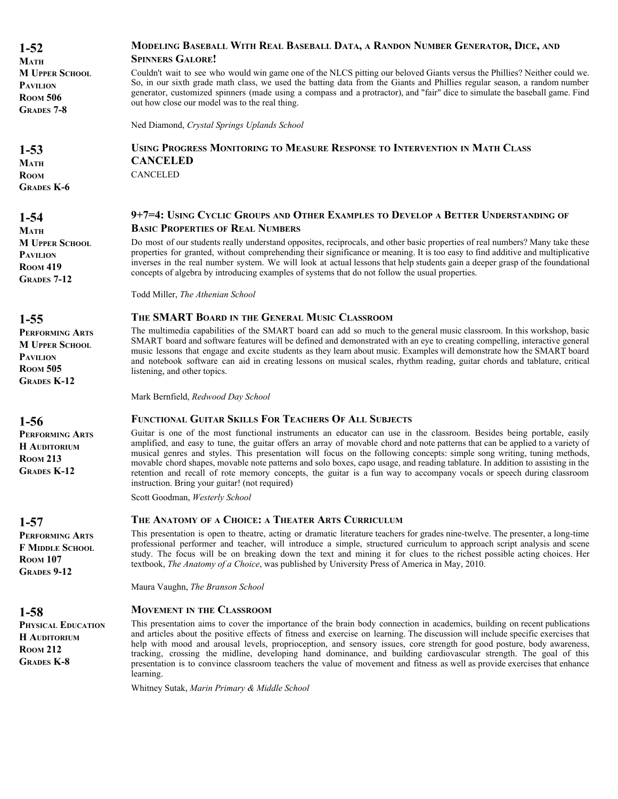**MODELING BASEBALL WITH REAL BASEBALL DATA, A RANDON NUMBER GENERATOR, DICE, AND SPINNERS GALORE!** Couldn't wait to see who would win game one of the NLCS pitting our beloved Giants versus the Phillies? Neither could we. So, in our sixth grade math class, we used the batting data from the Giants and Phillies regular season, a random number generator, customized spinners (made using a compass and a protractor), and "fair" dice to simulate the baseball game. Find out how close our model was to the real thing. **1-52 MATH M UPPER SCHOOL PAVILION ROOM 506 GRADES 7-8** Ned Diamond, *Crystal Springs Uplands School* **USING PROGRESS MONITORING TO MEASURE RESPONSE TO INTERVENTION IN MATH CLASS CANCELED** CANCELED **1-53 MATH ROOM GRADES K-6 9+7=4: USING CYCLIC GROUPS AND OTHER EXAMPLES TO DEVELOP A BETTER UNDERSTANDING OF BASIC PROPERTIES OF REAL NUMBERS** Do most of our students really understand opposites, reciprocals, and other basic properties of real numbers? Many take these properties for granted, without comprehending their significance or meaning. It is too easy to find additive and multiplicative inverses in the real number system. We will look at actual lessons that help students gain a deeper grasp of the foundational concepts of algebra by introducing examples of systems that do not follow the usual properties. **1-54 MATH M UPPER SCHOOL PAVILION ROOM 419 GRADES 7-12** Todd Miller, *The Athenian School* **THE SMART BOARD IN THE GENERAL MUSIC CLASSROOM** The multimedia capabilities of the SMART board can add so much to the general music classroom. In this workshop, basic SMART board and software features will be defined and demonstrated with an eye to creating compelling, interactive general music lessons that engage and excite students as they learn about music. Examples will demonstrate how the SMART board and notebook software can aid in creating lessons on musical scales, rhythm reading, guitar chords and tablature, critical listening, and other topics. **1-55 PERFORMING ARTS M UPPER SCHOOL PAVILION ROOM 505 GRADES K-12** Mark Bernfield, *Redwood Day School* **FUNCTIONAL GUITAR SKILLS FOR TEACHERS OF ALL SUBJECTS** Guitar is one of the most functional instruments an educator can use in the classroom. Besides being portable, easily amplified, and easy to tune, the guitar offers an array of movable chord and note patterns that can be applied to a variety of musical genres and styles. This presentation will focus on the following concepts: simple song writing, tuning methods, movable chord shapes, movable note patterns and solo boxes, capo usage, and reading tablature. In addition to assisting in the retention and recall of rote memory concepts, the guitar is a fun way to accompany vocals or speech during classroom instruction. Bring your guitar! (not required) **1-56 PERFORMING ARTS H AUDITORIUM ROOM 213 GRADES K-12** Scott Goodman, *Westerly School* **THE ANATOMY OF A CHOICE: A THEATER ARTS CURRICULUM** This presentation is open to theatre, acting or dramatic literature teachers for grades nine-twelve. The presenter, a long-time professional performer and teacher, will introduce a simple, structured curriculum to approach script analysis and scene study. The focus will be on breaking down the text and mining it for clues to the richest possible acting choices. Her textbook, *The Anatomy of a Choice*, was published by University Press of America in May, 2010. **1-57 PERFORMING ARTS F MIDDLE SCHOOL ROOM 107 GRADES 9-12** Maura Vaughn, *The Branson School* **MOVEMENT IN THE CLASSROOM** This presentation aims to cover the importance of the brain body connection in academics, building on recent publications and articles about the positive effects of fitness and exercise on learning. The discussion will include specific exercises that help with mood and arousal levels, proprioception, and sensory issues, core strength for good posture, body awareness, tracking, crossing the midline, developing hand dominance, and building cardiovascular strength. The goal of this presentation is to convince classroom teachers the value of movement and fitness as well as provide exercises that enhance learning. **1-58 PHYSICAL EDUCATION H AUDITORIUM ROOM 212 GRADES K-8** Whitney Sutak, *Marin Primary & Middle School*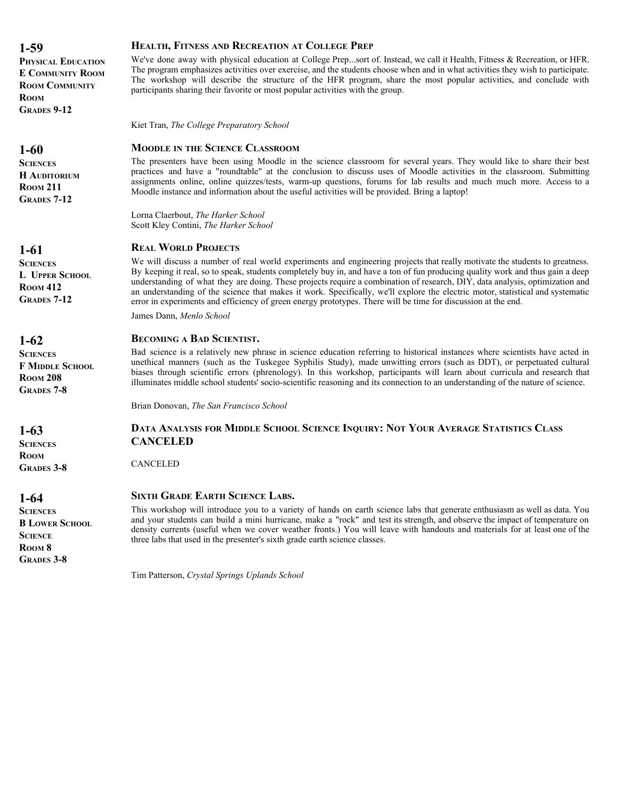**PHYSICAL EDUCATION E COMMUNITY ROOM ROOM COMMUNITY ROOM GRADES 9-12**

# **1-60**

**SCIENCES H AUDITORIUM ROOM 211 GRADES 7-12**

# **1-61**

**SCIENCES L UPPER SCHOOL ROOM 412 GRADES 7-12**

# **1-62**

**SCIENCES F MIDDLE SCHOOL ROOM 208 GRADES 7-8**

**1-63**

**SCIENCES ROOM GRADES 3-8**

**1-64**

**SCIENCES B LOWER SCHOOL SCIENCE ROOM 8 GRADES 3-8**

#### **HEALTH, FITNESS AND RECREATION AT COLLEGE PREP**

We've done away with physical education at College Prep...sort of. Instead, we call it Health, Fitness & Recreation, or HFR. The program emphasizes activities over exercise, and the students choose when and in what activities they wish to participate. The workshop will describe the structure of the HFR program, share the most popular activities, and conclude with participants sharing their favorite or most popular activities with the group.

Kiet Tran, *The College Preparatory School*

# **MOODLE IN THE SCIENCE CLASSROOM**

The presenters have been using Moodle in the science classroom for several years. They would like to share their best practices and have a "roundtable" at the conclusion to discuss uses of Moodle activities in the classroom. Submitting assignments online, online quizzes/tests, warm-up questions, forums for lab results and much much more. Access to a Moodle instance and information about the useful activities will be provided. Bring a laptop!

Lorna Claerbout, *The Harker School* Scott Kley Contini, *The Harker School*

# **REAL WORLD PROJECTS**

We will discuss a number of real world experiments and engineering projects that really motivate the students to greatness. By keeping it real, so to speak, students completely buy in, and have a ton of fun producing quality work and thus gain a deep understanding of what they are doing. These projects require a combination of research, DIY, data analysis, optimization and an understanding of the science that makes it work. Specifically, we'll explore the electric motor, statistical and systematic error in experiments and efficiency of green energy prototypes. There will be time for discussion at the end.

James Dann, *Menlo School*

#### **BECOMING A BAD SCIENTIST.**

Bad science is a relatively new phrase in science education referring to historical instances where scientists have acted in unethical manners (such as the Tuskegee Syphilis Study), made unwitting errors (such as DDT), or perpetuated cultural biases through scientific errors (phrenology). In this workshop, participants will learn about curricula and research that illuminates middle school students' socio-scientific reasoning and its connection to an understanding of the nature of science.

Brian Donovan, *The San Francisco School*

# **DATA ANALYSIS FOR MIDDLE SCHOOL SCIENCE INQUIRY: NOT YOUR AVERAGE STATISTICS CLASS CANCELED**

CANCELED

#### **SIXTH GRADE EARTH SCIENCE LABS.**

This workshop will introduce you to a variety of hands on earth science labs that generate enthusiasm as well as data. You and your students can build a mini hurricane, make a "rock" and test its strength, and observe the impact of temperature on density currents (useful when we cover weather fronts.) You will leave with handouts and materials for at least one of the three labs that used in the presenter's sixth grade earth science classes.

Tim Patterson, *Crystal Springs Uplands School*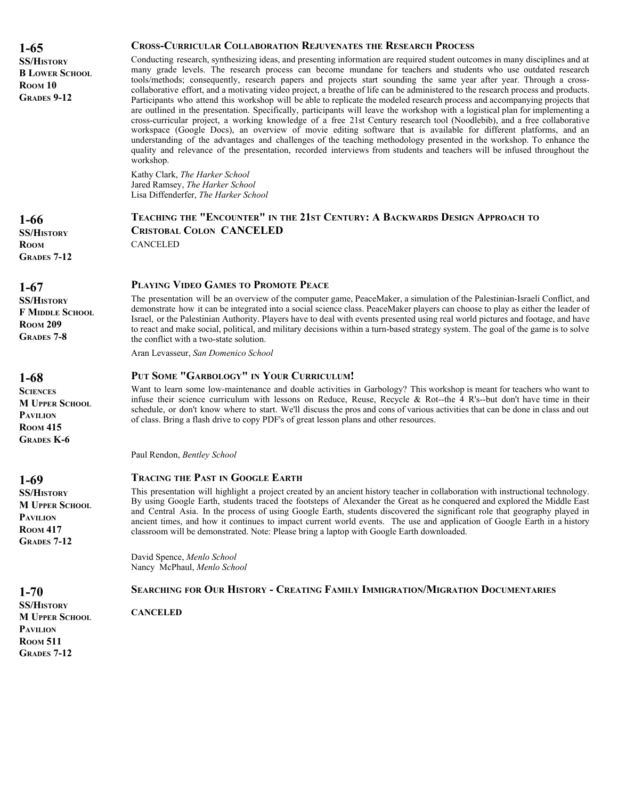**1-65 SS/HISTORY B LOWER SCHOOL ROOM 10 GRADES 9-12**

#### **CROSS-CURRICULAR COLLABORATION REJUVENATES THE RESEARCH PROCESS**

Conducting research, synthesizing ideas, and presenting information are required student outcomes in many disciplines and at many grade levels. The research process can become mundane for teachers and students who use outdated research tools/methods; consequently, research papers and projects start sounding the same year after year. Through a crosscollaborative effort, and a motivating video project, a breathe of life can be administered to the research process and products. Participants who attend this workshop will be able to replicate the modeled research process and accompanying projects that are outlined in the presentation. Specifically, participants will leave the workshop with a logistical plan for implementing a cross-curricular project, a working knowledge of a free 21st Century research tool (Noodlebib), and a free collaborative workspace (Google Docs), an overview of movie editing software that is available for different platforms, and an understanding of the advantages and challenges of the teaching methodology presented in the workshop. To enhance the quality and relevance of the presentation, recorded interviews from students and teachers will be infused throughout the workshop.

Kathy Clark, *The Harker School* Jared Ramsey, *The Harker School* Lisa Diffenderfer, *The Harker School*

# **TEACHING THE "ENCOUNTER" IN THE 21ST CENTURY: A BACKWARDS DESIGN APPROACH TO CRISTOBAL COLON CANCELED** CANCELED

#### **PLAYING VIDEO GAMES TO PROMOTE PEACE**

The presentation will be an overview of the computer game, PeaceMaker, a simulation of the Palestinian-Israeli Conflict, and demonstrate how it can be integrated into a social science class. PeaceMaker players can choose to play as either the leader of Israel, or the Palestinian Authority. Players have to deal with events presented using real world pictures and footage, and have to react and make social, political, and military decisions within a turn-based strategy system. The goal of the game is to solve the conflict with a two-state solution.

Aran Levasseur, *San Domenico School*

#### **PUT SOME "GARBOLOGY" IN YOUR CURRICULUM!**

Want to learn some low-maintenance and doable activities in Garbology? This workshop is meant for teachers who want to infuse their science curriculum with lessons on Reduce, Reuse, Recycle & Rot--the  $\overline{4}$  R's--but don't have time in their schedule, or don't know where to start. We'll discuss the pros and cons of various activities that can be done in class and out of class. Bring a flash drive to copy PDF's of great lesson plans and other resources.

Paul Rendon, *Bentley School*

#### **TRACING THE PAST IN GOOGLE EARTH**

This presentation will highlight a project created by an ancient history teacher in collaboration with instructional technology. By using Google Earth, students traced the footsteps of Alexander the Great as he conquered and explored the Middle East and Central Asia. In the process of using Google Earth, students discovered the significant role that geography played in ancient times, and how it continues to impact current world events. The use and application of Google Earth in a history classroom will be demonstrated. Note: Please bring a laptop with Google Earth downloaded.

David Spence, *Menlo School* Nancy McPhaul, *Menlo School*

#### **SEARCHING FOR OUR HISTORY - CREATING FAMILY IMMIGRATION/MIGRATION DOCUMENTARIES**

**CANCELED**

**1-66 SS/HISTORY ROOM GRADES 7-12**

**1-67**

**SS/HISTORY F MIDDLE SCHOOL ROOM 209 GRADES 7-8**

**1-68**

**SCIENCES M UPPER SCHOOL PAVILION ROOM 415 GRADES K-6**

**1-69 SS/HISTORY**

**1-70 SS/HISTORY M UPPER SCHOOL**

**PAVILION ROOM 511 GRADES 7-12**

**M UPPER SCHOOL PAVILION ROOM 417 GRADES 7-12**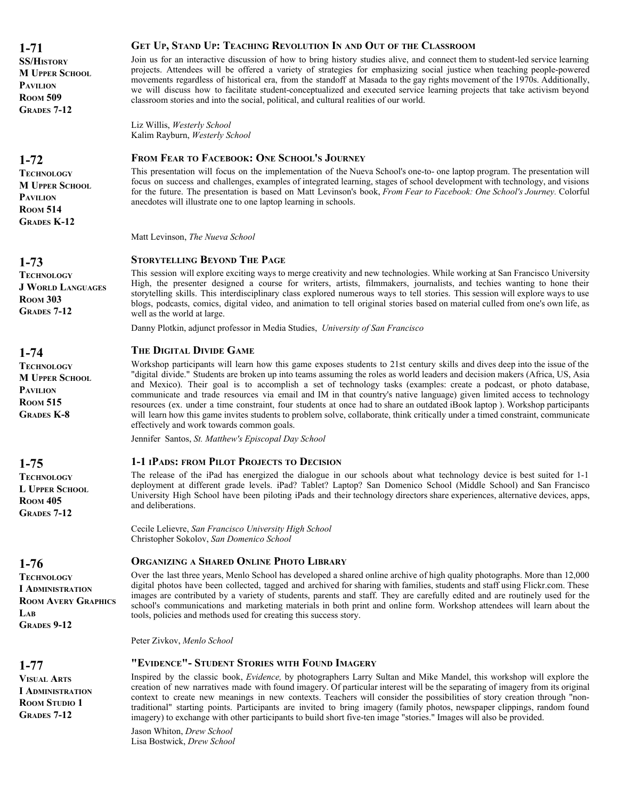**SS/HISTORY M UPPER SCHOOL PAVILION ROOM 509 GRADES 7-12**

# **1-72**

**TECHNOLOGY M UPPER SCHOOL PAVILION ROOM 514 GRADES K-12**

# **1-73**

**TECHNOLOGY J WORLD LANGUAGES ROOM 303 GRADES 7-12**

# **1-74**

**TECHNOLOGY M UPPER SCHOOL PAVILION ROOM 515 GRADES K-8**

# **1-75**

**TECHNOLOGY L UPPER SCHOOL ROOM 405 GRADES 7-12**

# **1-76**

**TECHNOLOGY I ADMINISTRATION ROOM AVERY GRAPHICS LAB GRADES 9-12**

# **1-77**

**VISUAL ARTS I ADMINISTRATION ROOM STUDIO 1 GRADES 7-12**

#### **GET UP, STAND UP: TEACHING REVOLUTION IN AND OUT OF THE CLASSROOM**

Join us for an interactive discussion of how to bring history studies alive, and connect them to student-led service learning projects. Attendees will be offered a variety of strategies for emphasizing social justice when teaching people-powered movements regardless of historical era, from the standoff at Masada to the gay rights movement of the 1970s. Additionally, we will discuss how to facilitate student-conceptualized and executed service learning projects that take activism beyond classroom stories and into the social, political, and cultural realities of our world.

Liz Willis, *Westerly School* Kalim Rayburn, *Westerly School*

#### **FROM FEAR TO FACEBOOK: ONE SCHOOL'S JOURNEY**

This presentation will focus on the implementation of the Nueva School's one-to- one laptop program. The presentation will focus on success and challenges, examples of integrated learning, stages of school development with technology, and visions for the future. The presentation is based on Matt Levinson's book, *From Fear to Facebook: One School's Journey.* Colorful anecdotes will illustrate one to one laptop learning in schools.

Matt Levinson, *The Nueva School*

#### **STORYTELLING BEYOND THE PAGE**

This session will explore exciting ways to merge creativity and new technologies. While working at San Francisco University High, the presenter designed a course for writers, artists, filmmakers, journalists, and techies wanting to hone their storytelling skills. This interdisciplinary class explored numerous ways to tell stories. This session will explore ways to use blogs, podcasts, comics, digital video, and animation to tell original stories based on material culled from one's own life, as well as the world at large.

Danny Plotkin, adjunct professor in Media Studies, *University of San Francisco*

#### **THE DIGITAL DIVIDE GAME**

Workshop participants will learn how this game exposes students to 21st century skills and dives deep into the issue of the "digital divide." Students are broken up into teams assuming the roles as world leaders and decision makers (Africa, US, Asia and Mexico). Their goal is to accomplish a set of technology tasks (examples: create a podcast, or photo database, communicate and trade resources via email and IM in that country's native language) given limited access to technology resources (ex. under a time constraint, four students at once had to share an outdated iBook laptop ). Workshop participants will learn how this game invites students to problem solve, collaborate, think critically under a timed constraint, communicate effectively and work towards common goals.

Jennifer Santos, *St. Matthew's Episcopal Day School*

#### **1-1 IPADS: FROM PILOT PROJECTS TO DECISION**

The release of the iPad has energized the dialogue in our schools about what technology device is best suited for 1-1 deployment at different grade levels. iPad? Tablet? Laptop? San Domenico School (Middle School) and San Francisco University High School have been piloting iPads and their technology directors share experiences, alternative devices, apps, and deliberations.

Cecile Lelievre, *San Francisco University High School* Christopher Sokolov, *San Domenico School*

#### **ORGANIZING A SHARED ONLINE PHOTO LIBRARY**

Over the last three years, Menlo School has developed a shared online archive of high quality photographs. More than 12,000 digital photos have been collected, tagged and archived for sharing with families, students and staff using Flickr.com. These images are contributed by a variety of students, parents and staff. They are carefully edited and are routinely used for the school's communications and marketing materials in both print and online form. Workshop attendees will learn about the tools, policies and methods used for creating this success story.

Peter Zivkov, *Menlo School*

#### **"EVIDENCE"- STUDENT STORIES WITH FOUND IMAGERY**

Inspired by the classic book, *Evidence,* by photographers Larry Sultan and Mike Mandel, this workshop will explore the creation of new narratives made with found imagery. Of particular interest will be the separating of imagery from its original context to create new meanings in new contexts. Teachers will consider the possibilities of story creation through "nontraditional" starting points. Participants are invited to bring imagery (family photos, newspaper clippings, random found imagery) to exchange with other participants to build short five-ten image "stories." Images will also be provided.

Jason Whiton, *Drew School* Lisa Bostwick, *Drew School*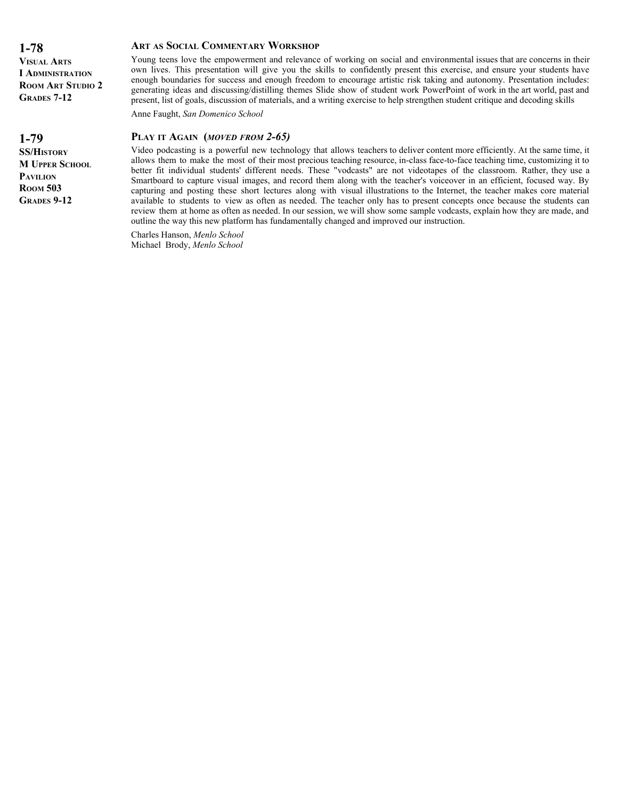**VISUAL ARTS I ADMINISTRATION ROOM ART STUDIO 2 GRADES 7-12**

**1-79**

**SS/HISTORY M UPPER SCHOOL PAVILION ROOM 503 GRADES 9-12**

#### **ART AS SOCIAL COMMENTARY WORKSHOP**

Young teens love the empowerment and relevance of working on social and environmental issues that are concerns in their own lives. This presentation will give you the skills to confidently present this exercise, and ensure your students have enough boundaries for success and enough freedom to encourage artistic risk taking and autonomy. Presentation includes: generating ideas and discussing/distilling themes Slide show of student work PowerPoint of work in the art world, past and present, list of goals, discussion of materials, and a writing exercise to help strengthen student critique and decoding skills

Anne Faught, *San Domenico School*

#### **PLAY IT AGAIN (***MOVED FROM 2-65)*

Video podcasting is a powerful new technology that allows teachers to deliver content more efficiently. At the same time, it allows them to make the most of their most precious teaching resource, in-class face-to-face teaching time, customizing it to better fit individual students' different needs. These "vodcasts" are not videotapes of the classroom. Rather, they use a Smartboard to capture visual images, and record them along with the teacher's voiceover in an efficient, focused way. By capturing and posting these short lectures along with visual illustrations to the Internet, the teacher makes core material available to students to view as often as needed. The teacher only has to present concepts once because the students can review them at home as often as needed. In our session, we will show some sample vodcasts, explain how they are made, and outline the way this new platform has fundamentally changed and improved our instruction.

Charles Hanson, *Menlo School* Michael Brody, *Menlo School*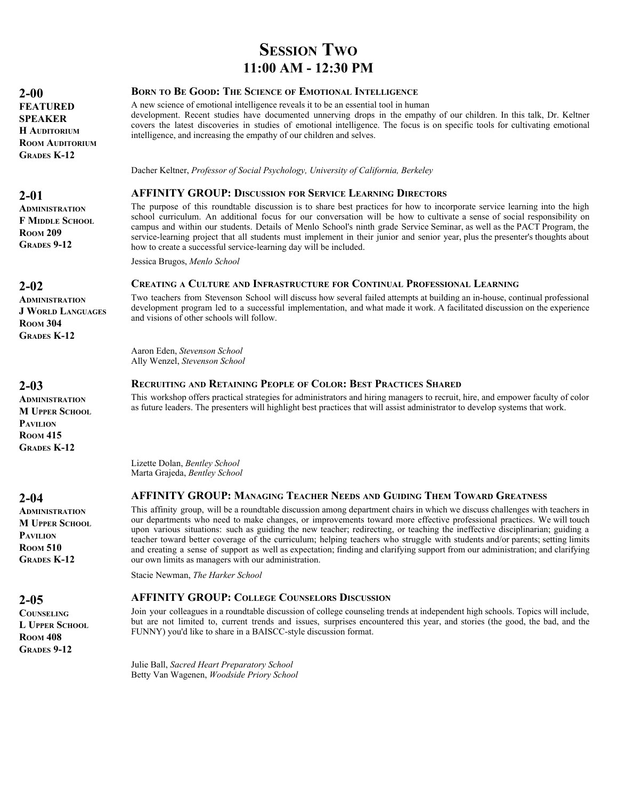# **SESSION TWO 11:00 AM - 12:30 PM**

#### **BORN TO BE GOOD: THE SCIENCE OF EMOTIONAL INTELLIGENCE**

A new science of emotional intelligence reveals it to be an essential tool in human

development. Recent studies have documented unnerving drops in the empathy of our children. In this talk, Dr. Keltner covers the latest discoveries in studies of emotional intelligence. The focus is on specific tools for cultivating emotional intelligence, and increasing the empathy of our children and selves.

Dacher Keltner, *Professor of Social Psychology, University of California, Berkeley*

#### **AFFINITY GROUP: DISCUSSION FOR SERVICE LEARNING DIRECTORS**

The purpose of this roundtable discussion is to share best practices for how to incorporate service learning into the high school curriculum. An additional focus for our conversation will be how to cultivate a sense of social responsibility on campus and within our students. Details of Menlo School's ninth grade Service Seminar, as well as the PACT Program, the service-learning project that all students must implement in their junior and senior year, plus the presenter's thoughts about how to create a successful service-learning day will be included.

Jessica Brugos, *Menlo School*

#### **CREATING A CULTURE AND INFRASTRUCTURE FOR CONTINUAL PROFESSIONAL LEARNING**

Two teachers from Stevenson School will discuss how several failed attempts at building an in-house, continual professional development program led to a successful implementation, and what made it work. A facilitated discussion on the experience and visions of other schools will follow.

Aaron Eden, *Stevenson School* Ally Wenzel, *Stevenson School*

#### **RECRUITING AND RETAINING PEOPLE OF COLOR: BEST PRACTICES SHARED**

This workshop offers practical strategies for administrators and hiring managers to recruit, hire, and empower faculty of color as future leaders. The presenters will highlight best practices that will assist administrator to develop systems that work.

Lizette Dolan, *Bentley School* Marta Grajeda, *Bentley School*

#### **AFFINITY GROUP: MANAGING TEACHER NEEDS AND GUIDING THEM TOWARD GREATNESS**

This affinity group, will be a roundtable discussion among department chairs in which we discuss challenges with teachers in our departments who need to make changes, or improvements toward more effective professional practices. We will touch upon various situations: such as guiding the new teacher; redirecting, or teaching the ineffective disciplinarian; guiding a teacher toward better coverage of the curriculum; helping teachers who struggle with students and/or parents; setting limits and creating a sense of support as well as expectation; finding and clarifying support from our administration; and clarifying our own limits as managers with our administration.

Stacie Newman, *The Harker School*

#### **AFFINITY GROUP: COLLEGE COUNSELORS DISCUSSION**

Join your colleagues in a roundtable discussion of college counseling trends at independent high schools. Topics will include, but are not limited to, current trends and issues, surprises encountered this year, and stories (the good, the bad, and the FUNNY) you'd like to share in a BAISCC-style discussion format.

Julie Ball, *Sacred Heart Preparatory School* Betty Van Wagenen, *Woodside Priory School*

**2-00 FEATURED** 

**SPEAKER H AUDITORIUM ROOM AUDITORIUM GRADES K-12**

#### **2-01**

**ADMINISTRATION F MIDDLE SCHOOL ROOM 209 GRADES 9-12**

#### **2-02**

**ADMINISTRATION J WORLD LANGUAGES ROOM 304 GRADES K-12**

#### **2-03**

**ADMINISTRATION M UPPER SCHOOL PAVILION ROOM 415 GRADES K-12**

**2-04**

**ADMINISTRATION M UPPER SCHOOL PAVILION ROOM 510 GRADES K-12**

#### **2-05**

**COUNSELING L UPPER SCHOOL ROOM 408 GRADES 9-12**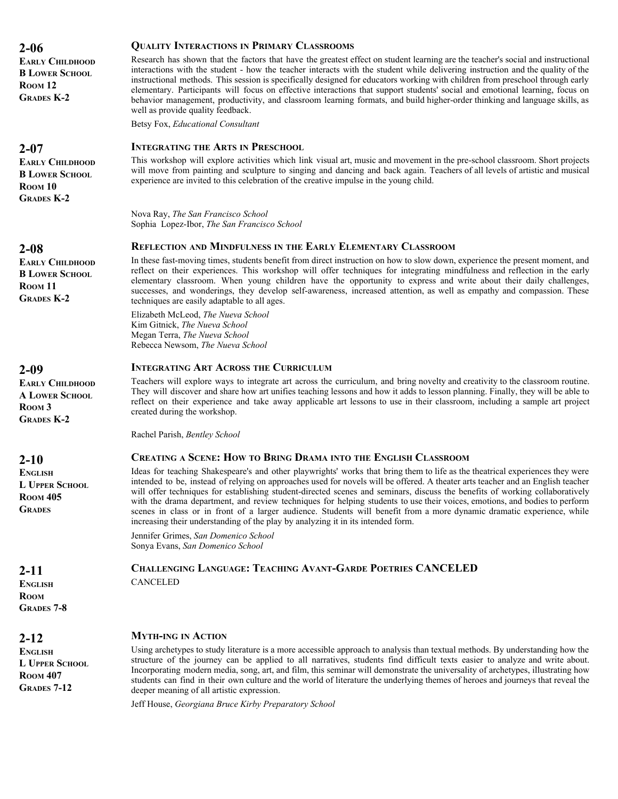**2-06 EARLY CHILDHOOD B LOWER SCHOOL ROOM 12 GRADES K-2**

**2-07**

**EARLY CHILDHOOD B LOWER SCHOOL ROOM 10 GRADES K-2**

#### **2-08**

**EARLY CHILDHOOD B LOWER SCHOOL ROOM 11 GRADES K-2**

# **2-09**

**EARLY CHILDHOOD A LOWER SCHOOL ROOM 3 GRADES K-2**

**2-10**

**ENGLISH L UPPER SCHOOL ROOM 405 GRADES**

**2-11**

**ENGLISH ROOM GRADES 7-8**

**2-12**

**ENGLISH L UPPER SCHOOL ROOM 407 GRADES 7-12**

#### **QUALITY INTERACTIONS IN PRIMARY CLASSROOMS**

Research has shown that the factors that have the greatest effect on student learning are the teacher's social and instructional interactions with the student - how the teacher interacts with the student while delivering instruction and the quality of the instructional methods. This session is specifically designed for educators working with children from preschool through early elementary. Participants will focus on effective interactions that support students' social and emotional learning, focus on behavior management, productivity, and classroom learning formats, and build higher-order thinking and language skills, as well as provide quality feedback.

Betsy Fox, *Educational Consultant*

#### **INTEGRATING THE ARTS IN PRESCHOOL**

This workshop will explore activities which link visual art, music and movement in the pre-school classroom. Short projects will move from painting and sculpture to singing and dancing and back again. Teachers of all levels of artistic and musical experience are invited to this celebration of the creative impulse in the young child.

Nova Ray, *The San Francisco School* Sophia Lopez-Ibor, *The San Francisco School*

#### **REFLECTION AND MINDFULNESS IN THE EARLY ELEMENTARY CLASSROOM**

In these fast-moving times, students benefit from direct instruction on how to slow down, experience the present moment, and reflect on their experiences. This workshop will offer techniques for integrating mindfulness and reflection in the early elementary classroom. When young children have the opportunity to express and write about their daily challenges, successes, and wonderings, they develop self-awareness, increased attention, as well as empathy and compassion. These techniques are easily adaptable to all ages.

Elizabeth McLeod, *The Nueva School* Kim Gitnick, *The Nueva School* Megan Terra, *The Nueva School* Rebecca Newsom, *The Nueva School*

#### **INTEGRATING ART ACROSS THE CURRICULUM**

Teachers will explore ways to integrate art across the curriculum, and bring novelty and creativity to the classroom routine. They will discover and share how art unifies teaching lessons and how it adds to lesson planning. Finally, they will be able to reflect on their experience and take away applicable art lessons to use in their classroom, including a sample art project created during the workshop.

Rachel Parish, *Bentley School*

#### **CREATING A SCENE: HOW TO BRING DRAMA INTO THE ENGLISH CLASSROOM**

Ideas for teaching Shakespeare's and other playwrights' works that bring them to life as the theatrical experiences they were intended to be, instead of relying on approaches used for novels will be offered. A theater arts teacher and an English teacher will offer techniques for establishing student-directed scenes and seminars, discuss the benefits of working collaboratively with the drama department, and review techniques for helping students to use their voices, emotions, and bodies to perform scenes in class or in front of a larger audience. Students will benefit from a more dynamic dramatic experience, while increasing their understanding of the play by analyzing it in its intended form.

Jennifer Grimes, *San Domenico School* Sonya Evans, *San Domenico School*

#### **CHALLENGING LANGUAGE: TEACHING AVANT-GARDE POETRIES CANCELED CANCELED**

#### **MYTH-ING IN ACTION**

Using archetypes to study literature is a more accessible approach to analysis than textual methods. By understanding how the structure of the journey can be applied to all narratives, students find difficult texts easier to analyze and write about. Incorporating modern media, song, art, and film, this seminar will demonstrate the universality of archetypes, illustrating how students can find in their own culture and the world of literature the underlying themes of heroes and journeys that reveal the deeper meaning of all artistic expression.

Jeff House, *Georgiana Bruce Kirby Preparatory School*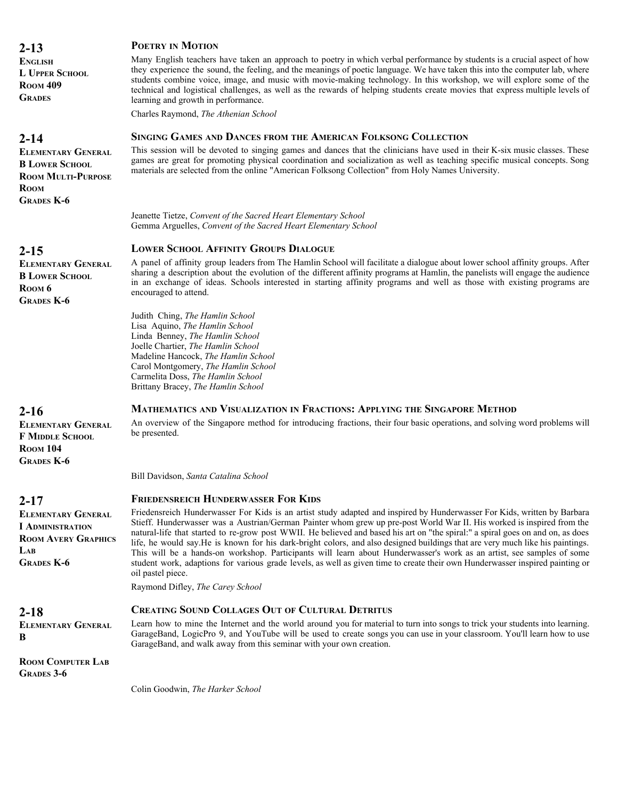**ENGLISH L UPPER SCHOOL ROOM 409 GRADES**

# **2-14**

**ELEMENTARY GENERAL B LOWER SCHOOL ROOM MULTI-PURPOSE ROOM GRADES K-6**

# **2-15**

**ELEMENTARY GENERAL B LOWER SCHOOL ROOM 6 GRADES K-6**

# **2-16**

**ELEMENTARY GENERAL F MIDDLE SCHOOL ROOM 104 GRADES K-6**

# **2-17**

**ELEMENTARY GENERAL I ADMINISTRATION ROOM AVERY GRAPHICS LAB GRADES K-6**

**2-18**

#### **ELEMENTARY GENERAL B**

**ROOM COMPUTER LAB GRADES 3-6**

**POETRY IN MOTION**

#### Many English teachers have taken an approach to poetry in which verbal performance by students is a crucial aspect of how they experience the sound, the feeling, and the meanings of poetic language. We have taken this into the computer lab, where students combine voice, image, and music with movie-making technology. In this workshop, we will explore some of the technical and logistical challenges, as well as the rewards of helping students create movies that express multiple levels of learning and growth in performance.

Charles Raymond, *The Athenian School*

# **SINGING GAMES AND DANCES FROM THE AMERICAN FOLKSONG COLLECTION**

This session will be devoted to singing games and dances that the clinicians have used in their K-six music classes. These games are great for promoting physical coordination and socialization as well as teaching specific musical concepts. Song materials are selected from the online "American Folksong Collection" from Holy Names University.

Jeanette Tietze, *Convent of the Sacred Heart Elementary School* Gemma Arguelles, *Convent of the Sacred Heart Elementary School*

# **LOWER SCHOOL AFFINITY GROUPS DIALOGUE**

A panel of affinity group leaders from The Hamlin School will facilitate a dialogue about lower school affinity groups. After sharing a description about the evolution of the different affinity programs at Hamlin, the panelists will engage the audience in an exchange of ideas. Schools interested in starting affinity programs and well as those with existing programs are encouraged to attend.

Judith Ching, *The Hamlin School* Lisa Aquino, *The Hamlin School* Linda Benney, *The Hamlin School* Joelle Chartier, *The Hamlin School* Madeline Hancock, *The Hamlin School* Carol Montgomery, *The Hamlin School* Carmelita Doss, *The Hamlin School* Brittany Bracey, *The Hamlin School*

#### **MATHEMATICS AND VISUALIZATION IN FRACTIONS: APPLYING THE SINGAPORE METHOD**

An overview of the Singapore method for introducing fractions, their four basic operations, and solving word problems will be presented.

Bill Davidson, *Santa Catalina School*

#### **FRIEDENSREICH HUNDERWASSER FOR KIDS**

Friedensreich Hunderwasser For Kids is an artist study adapted and inspired by Hunderwasser For Kids, written by Barbara Stieff. Hunderwasser was a Austrian/German Painter whom grew up pre-post World War II. His worked is inspired from the natural-life that started to re-grow post WWII. He believed and based his art on "the spiral:" a spiral goes on and on, as does life, he would say.He is known for his dark-bright colors, and also designed buildings that are very much like his paintings. This will be a hands-on workshop. Participants will learn about Hunderwasser's work as an artist, see samples of some student work, adaptions for various grade levels, as well as given time to create their own Hunderwasser inspired painting or oil pastel piece.

Raymond Difley, *The Carey School*

# **CREATING SOUND COLLAGES OUT OF CULTURAL DETRITUS**

Learn how to mine the Internet and the world around you for material to turn into songs to trick your students into learning. GarageBand, LogicPro 9, and YouTube will be used to create songs you can use in your classroom. You'll learn how to use GarageBand, and walk away from this seminar with your own creation.

Colin Goodwin, *The Harker School*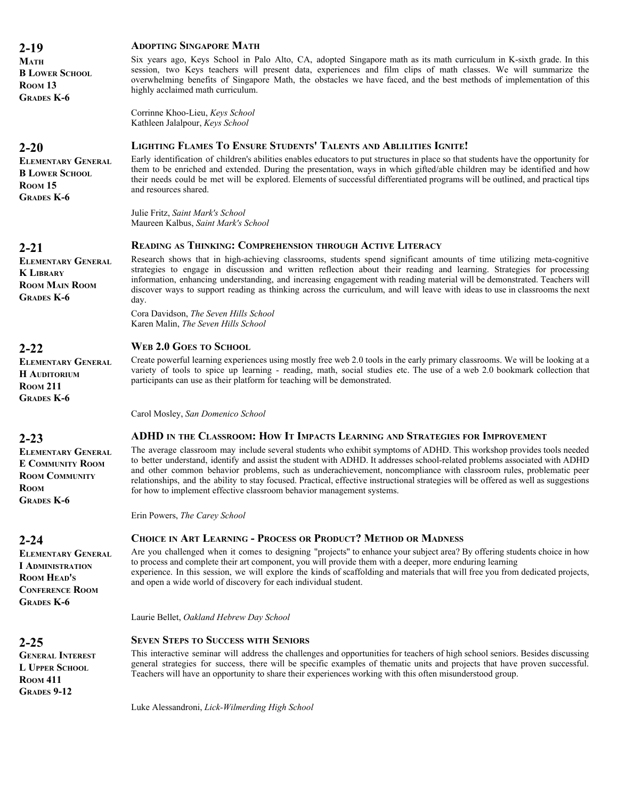**2-19 MATH B LOWER SCHOOL ROOM 13 GRADES K-6**

# **2-20**

**ELEMENTARY GENERAL B LOWER SCHOOL ROOM 15 GRADES K-6**

# **2-21**

**ELEMENTARY GENERAL K LIBRARY ROOM MAIN ROOM GRADES K-6**

#### **2-22**

**ELEMENTARY GENERAL H AUDITORIUM ROOM 211 GRADES K-6**

# **2-23**

**ELEMENTARY GENERAL E COMMUNITY ROOM ROOM COMMUNITY ROOM GRADES K-6**

# **2-24**

**ELEMENTARY GENERAL I ADMINISTRATION ROOM HEAD'S CONFERENCE ROOM GRADES K-6**

#### **2-25**

**GENERAL INTEREST L UPPER SCHOOL ROOM 411 GRADES 9-12**

#### **ADOPTING SINGAPORE MATH**

Six years ago, Keys School in Palo Alto, CA, adopted Singapore math as its math curriculum in K-sixth grade. In this session, two Keys teachers will present data, experiences and film clips of math classes. We will summarize the overwhelming benefits of Singapore Math, the obstacles we have faced, and the best methods of implementation of this highly acclaimed math curriculum.

Corrinne Khoo-Lieu, *Keys School* Kathleen Jalalpour, *Keys School*

#### **LIGHTING FLAMES TO ENSURE STUDENTS' TALENTS AND ABLILITIES IGNITE!**

Early identification of children's abilities enables educators to put structures in place so that students have the opportunity for them to be enriched and extended. During the presentation, ways in which gifted/able children may be identified and how their needs could be met will be explored. Elements of successful differentiated programs will be outlined, and practical tips and resources shared.

Julie Fritz, *Saint Mark's School* Maureen Kalbus, *Saint Mark's School*

#### **READING AS THINKING: COMPREHENSION THROUGH ACTIVE LITERACY**

Research shows that in high-achieving classrooms, students spend significant amounts of time utilizing meta-cognitive strategies to engage in discussion and written reflection about their reading and learning. Strategies for processing information, enhancing understanding, and increasing engagement with reading material will be demonstrated. Teachers will discover ways to support reading as thinking across the curriculum, and will leave with ideas to use in classrooms the next day.

Cora Davidson, *The Seven Hills School* Karen Malin, *The Seven Hills School*

# **WEB 2.0 GOES TO SCHOOL**

Create powerful learning experiences using mostly free web 2.0 tools in the early primary classrooms. We will be looking at a variety of tools to spice up learning - reading, math, social studies etc. The use of a web 2.0 bookmark collection that participants can use as their platform for teaching will be demonstrated.

Carol Mosley, *San Domenico School*

#### **ADHD IN THE CLASSROOM: HOW IT IMPACTS LEARNING AND STRATEGIES FOR IMPROVEMENT**

The average classroom may include several students who exhibit symptoms of ADHD. This workshop provides tools needed to better understand, identify and assist the student with ADHD. It addresses school-related problems associated with ADHD and other common behavior problems, such as underachievement, noncompliance with classroom rules, problematic peer relationships, and the ability to stay focused. Practical, effective instructional strategies will be offered as well as suggestions for how to implement effective classroom behavior management systems.

Erin Powers, *The Carey School*

#### **CHOICE IN ART LEARNING - PROCESS OR PRODUCT? METHOD OR MADNESS**

Are you challenged when it comes to designing "projects" to enhance your subject area? By offering students choice in how to process and complete their art component, you will provide them with a deeper, more enduring learning experience. In this session, we will explore the kinds of scaffolding and materials that will free you from dedicated projects, and open a wide world of discovery for each individual student.

Laurie Bellet, *Oakland Hebrew Day School*

#### **SEVEN STEPS TO SUCCESS WITH SENIORS**

This interactive seminar will address the challenges and opportunities for teachers of high school seniors. Besides discussing general strategies for success, there will be specific examples of thematic units and projects that have proven successful. Teachers will have an opportunity to share their experiences working with this often misunderstood group.

Luke Alessandroni, *Lick-Wilmerding High School*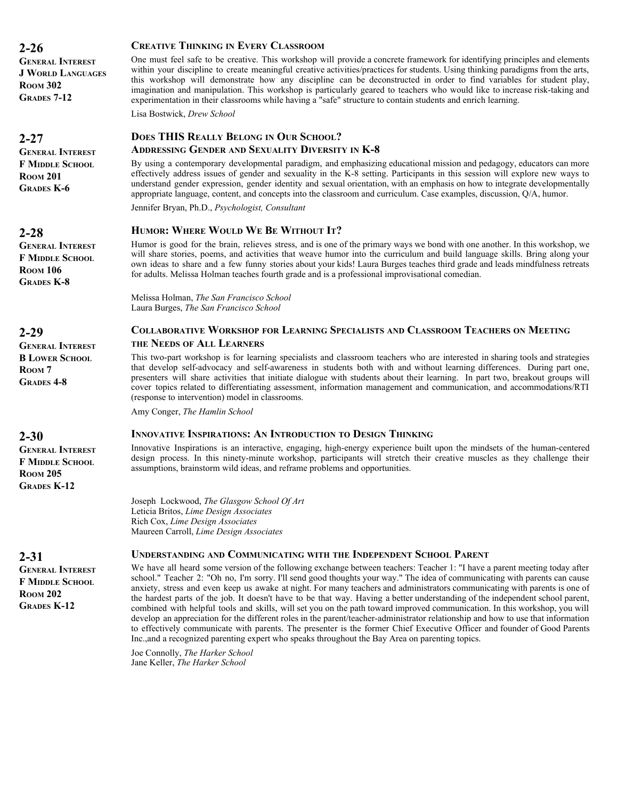**GENERAL INTEREST J WORLD LANGUAGES ROOM 302 GRADES 7-12**

# **2-27**

**GENERAL INTEREST F MIDDLE SCHOOL ROOM 201 GRADES K-6**

# **2-28**

**GENERAL INTEREST F MIDDLE SCHOOL ROOM 106 GRADES K-8**

**2-29**

**GENERAL INTEREST B LOWER SCHOOL ROOM 7 GRADES 4-8**

# **2-30**

**2-31**

**ROOM 202 GRADES K-12**

**GENERAL INTEREST F MIDDLE SCHOOL ROOM 205 GRADES K-12**

**GENERAL INTEREST F MIDDLE SCHOOL**

#### **CREATIVE THINKING IN EVERY CLASSROOM**

One must feel safe to be creative. This workshop will provide a concrete framework for identifying principles and elements within your discipline to create meaningful creative activities/practices for students. Using thinking paradigms from the arts, this workshop will demonstrate how any discipline can be deconstructed in order to find variables for student play, imagination and manipulation. This workshop is particularly geared to teachers who would like to increase risk-taking and experimentation in their classrooms while having a "safe" structure to contain students and enrich learning.

Lisa Bostwick, *Drew School*

# **DOES THIS REALLY BELONG IN OUR SCHOOL?**

#### **ADDRESSING GENDER AND SEXUALITY DIVERSITY IN K-8**

By using a contemporary developmental paradigm, and emphasizing educational mission and pedagogy, educators can more effectively address issues of gender and sexuality in the K-8 setting. Participants in this session will explore new ways to understand gender expression, gender identity and sexual orientation, with an emphasis on how to integrate developmentally appropriate language, content, and concepts into the classroom and curriculum. Case examples, discussion, Q/A, humor.

Jennifer Bryan, Ph.D., *Psychologist, Consultant*

#### **HUMOR: WHERE WOULD WE BE WITHOUT IT?**

Humor is good for the brain, relieves stress, and is one of the primary ways we bond with one another. In this workshop, we will share stories, poems, and activities that weave humor into the curriculum and build language skills. Bring along your own ideas to share and a few funny stories about your kids! Laura Burges teaches third grade and leads mindfulness retreats for adults. Melissa Holman teaches fourth grade and is a professional improvisational comedian.

Melissa Holman, *The San Francisco School* Laura Burges, *The San Francisco School*

# **COLLABORATIVE WORKSHOP FOR LEARNING SPECIALISTS AND CLASSROOM TEACHERS ON MEETING**

#### **THE NEEDS OF ALL LEARNERS**

This two-part workshop is for learning specialists and classroom teachers who are interested in sharing tools and strategies that develop self-advocacy and self-awareness in students both with and without learning differences. During part one, presenters will share activities that initiate dialogue with students about their learning. In part two, breakout groups will cover topics related to differentiating assessment, information management and communication, and accommodations/RTI (response to intervention) model in classrooms.

Amy Conger, *The Hamlin School*

#### **INNOVATIVE INSPIRATIONS: AN INTRODUCTION TO DESIGN THINKING**

Innovative Inspirations is an interactive, engaging, high-energy experience built upon the mindsets of the human-centered design process. In this ninety-minute workshop, participants will stretch their creative muscles as they challenge their assumptions, brainstorm wild ideas, and reframe problems and opportunities.

Joseph Lockwood, *The Glasgow School Of Art* Leticia Britos, *Lime Design Associates* Rich Cox, *Lime Design Associates* Maureen Carroll, *Lime Design Associates*

#### **UNDERSTANDING AND COMMUNICATING WITH THE INDEPENDENT SCHOOL PARENT**

We have all heard some version of the following exchange between teachers: Teacher 1: "I have a parent meeting today after school." Teacher 2: "Oh no, I'm sorry. I'll send good thoughts your way." The idea of communicating with parents can cause anxiety, stress and even keep us awake at night. For many teachers and administrators communicating with parents is one of the hardest parts of the job. It doesn't have to be that way. Having a better understanding of the independent school parent, combined with helpful tools and skills, will set you on the path toward improved communication. In this workshop, you will develop an appreciation for the different roles in the parent/teacher-administrator relationship and how to use that information to effectively communicate with parents. The presenter is the former Chief Executive Officer and founder of Good Parents Inc.,and a recognized parenting expert who speaks throughout the Bay Area on parenting topics.

Joe Connolly, *The Harker School* Jane Keller, *The Harker School*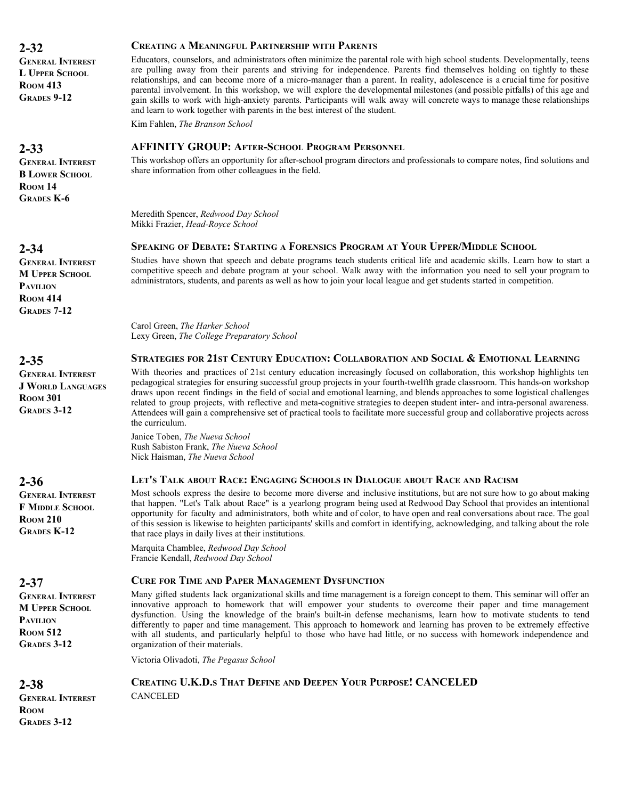**GENERAL INTEREST L UPPER SCHOOL ROOM 413 GRADES 9-12**

**2-33**

**GENERAL INTEREST B LOWER SCHOOL ROOM** 14 **GRADES K-6**

# **2-34**

**GENERAL INTEREST M UPPER SCHOOL PAVILION ROOM 414 GRADES 7-12**

**2-35**

**GENERAL INTEREST J WORLD LANGUAGES ROOM 301 GRADES 3-12**

**2-36**

**GENERAL INTEREST F MIDDLE SCHOOL ROOM 210 GRADES K-12**

**2-37**

**2-38**

**GENERAL INTEREST M UPPER SCHOOL PAVILION ROOM 512 GRADES 3-12**

#### **CREATING A MEANINGFUL PARTNERSHIP WITH PARENTS**

Educators, counselors, and administrators often minimize the parental role with high school students. Developmentally, teens are pulling away from their parents and striving for independence. Parents find themselves holding on tightly to these relationships, and can become more of a micro-manager than a parent. In reality, adolescence is a crucial time for positive parental involvement. In this workshop, we will explore the developmental milestones (and possible pitfalls) of this age and gain skills to work with high-anxiety parents. Participants will walk away will concrete ways to manage these relationships and learn to work together with parents in the best interest of the student.

Kim Fahlen, *The Branson School*

#### **AFFINITY GROUP: AFTER-SCHOOL PROGRAM PERSONNEL**

This workshop offers an opportunity for after-school program directors and professionals to compare notes, find solutions and share information from other colleagues in the field.

Meredith Spencer, *Redwood Day School* Mikki Frazier, *Head-Royce School*

#### **SPEAKING OF DEBATE: STARTING A FORENSICS PROGRAM AT YOUR UPPER/MIDDLE SCHOOL**

Studies have shown that speech and debate programs teach students critical life and academic skills. Learn how to start a competitive speech and debate program at your school. Walk away with the information you need to sell your program to administrators, students, and parents as well as how to join your local league and get students started in competition.

Carol Green, *The Harker School* Lexy Green, *The College Preparatory School*

#### **STRATEGIES FOR 21ST CENTURY EDUCATION: COLLABORATION AND SOCIAL & EMOTIONAL LEARNING**

With theories and practices of 21st century education increasingly focused on collaboration, this workshop highlights ten pedagogical strategies for ensuring successful group projects in your fourth-twelfth grade classroom. This hands-on workshop draws upon recent findings in the field of social and emotional learning, and blends approaches to some logistical challenges related to group projects, with reflective and meta-cognitive strategies to deepen student inter- and intra-personal awareness. Attendees will gain a comprehensive set of practical tools to facilitate more successful group and collaborative projects across the curriculum.

Janice Toben, *The Nueva School* Rush Sabiston Frank, *The Nueva School* Nick Haisman, *The Nueva School*

#### **LET'S TALK ABOUT RACE: ENGAGING SCHOOLS IN DIALOGUE ABOUT RACE AND RACISM**

Most schools express the desire to become more diverse and inclusive institutions, but are not sure how to go about making that happen. "Let's Talk about Race" is a yearlong program being used at Redwood Day School that provides an intentional opportunity for faculty and administrators, both white and of color, to have open and real conversations about race. The goal of this session is likewise to heighten participants' skills and comfort in identifying, acknowledging, and talking about the role that race plays in daily lives at their institutions.

Marquita Chamblee, *Redwood Day School* Francie Kendall, *Redwood Day School*

#### **CURE FOR TIME AND PAPER MANAGEMENT DYSFUNCTION**

Many gifted students lack organizational skills and time management is a foreign concept to them. This seminar will offer an innovative approach to homework that will empower your students to overcome their paper and time management dysfunction. Using the knowledge of the brain's built-in defense mechanisms, learn how to motivate students to tend differently to paper and time management. This approach to homework and learning has proven to be extremely effective with all students, and particularly helpful to those who have had little, or no success with homework independence and organization of their materials.

Victoria Olivadoti, *The Pegasus School*

CANCELED

**CREATING U.K.D.S THAT DEFINE AND DEEPEN YOUR PURPOSE! CANCELED**

**GENERAL INTEREST ROOM GRADES 3-12**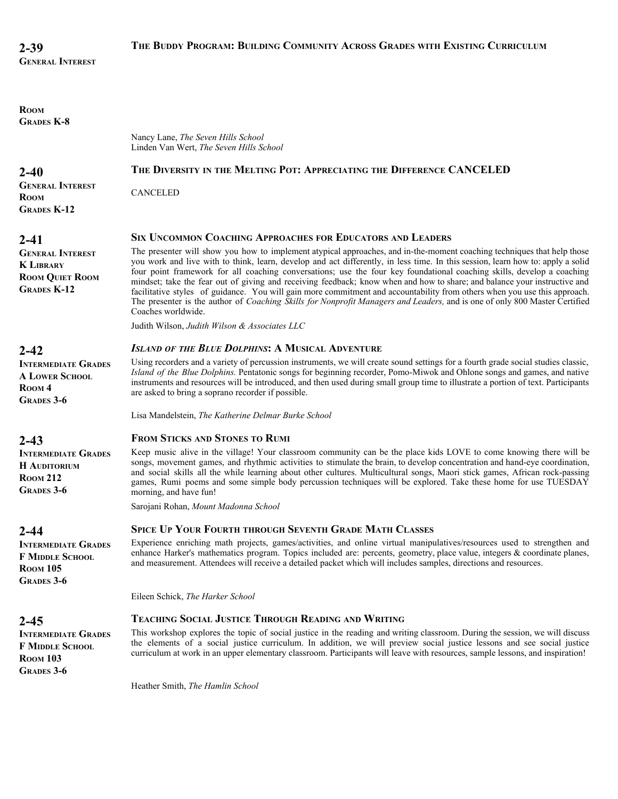| ROOM<br><b>GRADES K-8</b>                                                                     |                                                                                                                                                                                                                                                                                                                                                                                                                                                                                                                                                                                                                                                                                                                                                                                                    |
|-----------------------------------------------------------------------------------------------|----------------------------------------------------------------------------------------------------------------------------------------------------------------------------------------------------------------------------------------------------------------------------------------------------------------------------------------------------------------------------------------------------------------------------------------------------------------------------------------------------------------------------------------------------------------------------------------------------------------------------------------------------------------------------------------------------------------------------------------------------------------------------------------------------|
|                                                                                               | Nancy Lane, The Seven Hills School<br>Linden Van Wert, The Seven Hills School                                                                                                                                                                                                                                                                                                                                                                                                                                                                                                                                                                                                                                                                                                                      |
| $2 - 40$                                                                                      | THE DIVERSITY IN THE MELTING POT: APPRECIATING THE DIFFERENCE CANCELED                                                                                                                                                                                                                                                                                                                                                                                                                                                                                                                                                                                                                                                                                                                             |
| <b>GENERAL INTEREST</b><br><b>ROOM</b>                                                        | <b>CANCELED</b>                                                                                                                                                                                                                                                                                                                                                                                                                                                                                                                                                                                                                                                                                                                                                                                    |
| <b>GRADES K-12</b>                                                                            |                                                                                                                                                                                                                                                                                                                                                                                                                                                                                                                                                                                                                                                                                                                                                                                                    |
| $2 - 41$                                                                                      | <b>SIX UNCOMMON COACHING APPROACHES FOR EDUCATORS AND LEADERS</b>                                                                                                                                                                                                                                                                                                                                                                                                                                                                                                                                                                                                                                                                                                                                  |
| <b>GENERAL INTEREST</b><br><b>K LIBRARY</b><br><b>ROOM QUIET ROOM</b><br><b>GRADES K-12</b>   | The presenter will show you how to implement atypical approaches, and in-the-moment coaching techniques that help those<br>you work and live with to think, learn, develop and act differently, in less time. In this session, learn how to: apply a solid<br>four point framework for all coaching conversations; use the four key foundational coaching skills, develop a coaching<br>mindset; take the fear out of giving and receiving feedback; know when and how to share; and balance your instructive and<br>facilitative styles of guidance. You will gain more commitment and accountability from others when you use this approach.<br>The presenter is the author of Coaching Skills for Nonprofit Managers and Leaders, and is one of only 800 Master Certified<br>Coaches worldwide. |
|                                                                                               | Judith Wilson, Judith Wilson & Associates LLC                                                                                                                                                                                                                                                                                                                                                                                                                                                                                                                                                                                                                                                                                                                                                      |
| $2 - 42$                                                                                      | <b>ISLAND OF THE BLUE DOLPHINS: A MUSICAL ADVENTURE</b>                                                                                                                                                                                                                                                                                                                                                                                                                                                                                                                                                                                                                                                                                                                                            |
| <b>INTERMEDIATE GRADES</b><br><b>A LOWER SCHOOL</b><br>ROOM <sub>4</sub><br><b>GRADES 3-6</b> | Using recorders and a variety of percussion instruments, we will create sound settings for a fourth grade social studies classic,<br>Island of the Blue Dolphins. Pentatonic songs for beginning recorder, Pomo-Miwok and Ohlone songs and games, and native<br>instruments and resources will be introduced, and then used during small group time to illustrate a portion of text. Participants<br>are asked to bring a soprano recorder if possible.                                                                                                                                                                                                                                                                                                                                            |
|                                                                                               | Lisa Mandelstein, The Katherine Delmar Burke School                                                                                                                                                                                                                                                                                                                                                                                                                                                                                                                                                                                                                                                                                                                                                |
| $2 - 43$                                                                                      | <b>FROM STICKS AND STONES TO RUMI</b>                                                                                                                                                                                                                                                                                                                                                                                                                                                                                                                                                                                                                                                                                                                                                              |
| <b>INTERMEDIATE GRADES</b><br><b>H</b> AUDITORIUM<br><b>ROOM 212</b><br><b>GRADES 3-6</b>     | Keep music alive in the village! Your classroom community can be the place kids LOVE to come knowing there will be<br>songs, movement games, and rhythmic activities to stimulate the brain, to develop concentration and hand-eye coordination,<br>and social skills all the while learning about other cultures. Multicultural songs, Maori stick games, African rock-passing<br>games, Rumi poems and some simple body percussion techniques will be explored. Take these home for use TUESDAY<br>morning, and have fun!                                                                                                                                                                                                                                                                        |
|                                                                                               | Sarojani Rohan, Mount Madonna School                                                                                                                                                                                                                                                                                                                                                                                                                                                                                                                                                                                                                                                                                                                                                               |
| $2 - 44$                                                                                      | <b>SPICE UP YOUR FOURTH THROUGH SEVENTH GRADE MATH CLASSES</b>                                                                                                                                                                                                                                                                                                                                                                                                                                                                                                                                                                                                                                                                                                                                     |
| <b>INTERMEDIATE GRADES</b><br><b>F MIDDLE SCHOOL</b><br><b>ROOM 105</b><br><b>GRADES 3-6</b>  | Experience enriching math projects, games/activities, and online virtual manipulatives/resources used to strengthen and<br>enhance Harker's mathematics program. Topics included are: percents, geometry, place value, integers & coordinate planes,<br>and measurement. Attendees will receive a detailed packet which will includes samples, directions and resources.                                                                                                                                                                                                                                                                                                                                                                                                                           |
|                                                                                               | Eileen Schick, The Harker School                                                                                                                                                                                                                                                                                                                                                                                                                                                                                                                                                                                                                                                                                                                                                                   |
| 2-45                                                                                          | <b>TEACHING SOCIAL JUSTICE THROUGH READING AND WRITING</b>                                                                                                                                                                                                                                                                                                                                                                                                                                                                                                                                                                                                                                                                                                                                         |
| <b>INTERMEDIATE GRADES</b><br><b>F MIDDLE SCHOOL</b><br><b>ROOM 103</b><br><b>GRADES 3-6</b>  | This workshop explores the topic of social justice in the reading and writing classroom. During the session, we will discuss<br>the elements of a social justice curriculum. In addition, we will preview social justice lessons and see social justice<br>curriculum at work in an upper elementary classroom. Participants will leave with resources, sample lessons, and inspiration!                                                                                                                                                                                                                                                                                                                                                                                                           |
|                                                                                               | Heather Smith, The Hamlin School                                                                                                                                                                                                                                                                                                                                                                                                                                                                                                                                                                                                                                                                                                                                                                   |
|                                                                                               |                                                                                                                                                                                                                                                                                                                                                                                                                                                                                                                                                                                                                                                                                                                                                                                                    |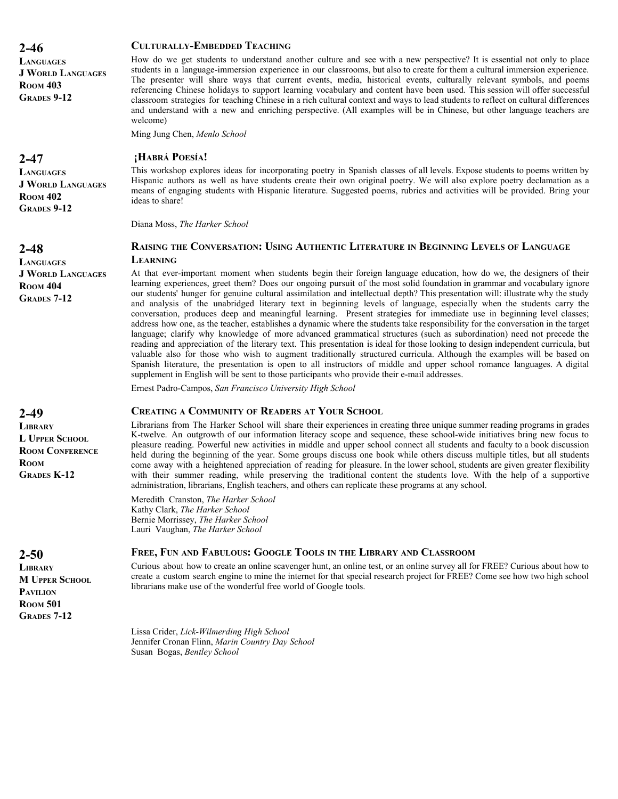**LANGUAGES J WORLD LANGUAGES ROOM 403 GRADES 9-12**

#### **CULTURALLY-EMBEDDED TEACHING**

How do we get students to understand another culture and see with a new perspective? It is essential not only to place students in a language-immersion experience in our classrooms, but also to create for them a cultural immersion experience. The presenter will share ways that current events, media, historical events, culturally relevant symbols, and poems referencing Chinese holidays to support learning vocabulary and content have been used. This session will offer successful classroom strategies for teaching Chinese in a rich cultural context and ways to lead students to reflect on cultural differences and understand with a new and enriching perspective. (All examples will be in Chinese, but other language teachers are welcome)

Ming Jung Chen, *Menlo School*

#### **¡HABRÁ POESÍA!**

This workshop explores ideas for incorporating poetry in Spanish classes of all levels. Expose students to poems written by Hispanic authors as well as have students create their own original poetry. We will also explore poetry declamation as a means of engaging students with Hispanic literature. Suggested poems, rubrics and activities will be provided. Bring your ideas to share!

Diana Moss, *The Harker School*

#### **RAISING THE CONVERSATION: USING AUTHENTIC LITERATURE IN BEGINNING LEVELS OF LANGUAGE LEARNING**

At that ever-important moment when students begin their foreign language education, how do we, the designers of their learning experiences, greet them? Does our ongoing pursuit of the most solid foundation in grammar and vocabulary ignore our students' hunger for genuine cultural assimilation and intellectual depth? This presentation will: illustrate why the study and analysis of the unabridged literary text in beginning levels of language, especially when the students carry the conversation, produces deep and meaningful learning. Present strategies for immediate use in beginning level classes; address how one, as the teacher, establishes a dynamic where the students take responsibility for the conversation in the target language; clarify why knowledge of more advanced grammatical structures (such as subordination) need not precede the reading and appreciation of the literary text. This presentation is ideal for those looking to design independent curricula, but valuable also for those who wish to augment traditionally structured curricula. Although the examples will be based on Spanish literature, the presentation is open to all instructors of middle and upper school romance languages. A digital supplement in English will be sent to those participants who provide their e-mail addresses.

Ernest Padro-Campos, *San Francisco University High School*

#### **CREATING A COMMUNITY OF READERS AT YOUR SCHOOL**

Librarians from The Harker School will share their experiences in creating three unique summer reading programs in grades K-twelve. An outgrowth of our information literacy scope and sequence, these school-wide initiatives bring new focus to pleasure reading. Powerful new activities in middle and upper school connect all students and faculty to a book discussion held during the beginning of the year. Some groups discuss one book while others discuss multiple titles, but all students come away with a heightened appreciation of reading for pleasure. In the lower school, students are given greater flexibility with their summer reading, while preserving the traditional content the students love. With the help of a supportive administration, librarians, English teachers, and others can replicate these programs at any school.

Meredith Cranston, *The Harker School* Kathy Clark, *The Harker School* Bernie Morrissey, *The Harker School* Lauri Vaughan, *The Harker School*

#### **FREE, FUN AND FABULOUS: GOOGLE TOOLS IN THE LIBRARY AND CLASSROOM**

Curious about how to create an online scavenger hunt, an online test, or an online survey all for FREE? Curious about how to create a custom search engine to mine the internet for that special research project for FREE? Come see how two high school librarians make use of the wonderful free world of Google tools.

Lissa Crider, *Lick-Wilmerding High School* Jennifer Cronan Flinn, *Marin Country Day School* Susan Bogas, *Bentley School*

#### **2-47**

**LANGUAGES J WORLD LANGUAGES ROOM 402 GRADES 9-12**

#### **2-48**

**LANGUAGES J WORLD LANGUAGES ROOM 404 GRADES 7-12**

#### **2-49**

**LIBRARY L UPPER SCHOOL ROOM CONFERENCE ROOM GRADES K-12**

#### **2-50 LIBRARY M UPPER SCHOOL PAVILION ROOM 501 GRADES 7-12**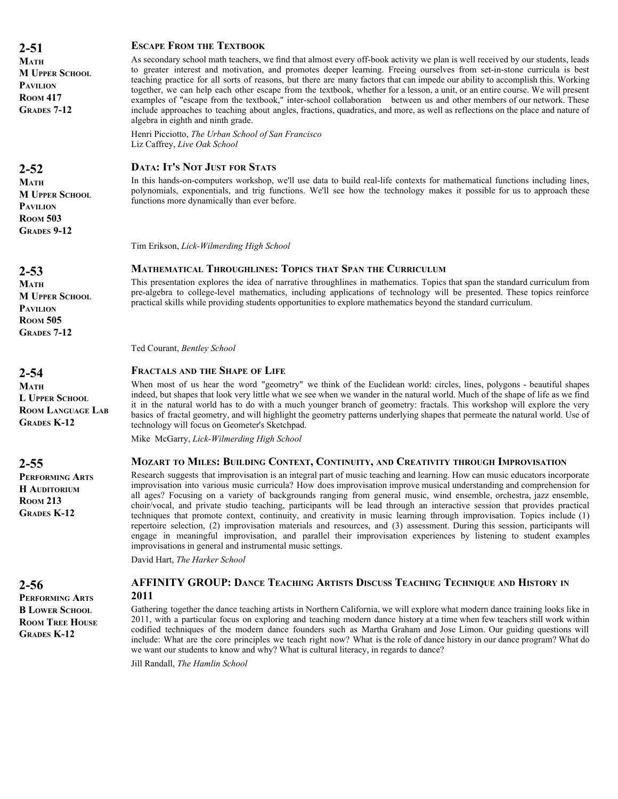**2-51 MATH M UPPER SCHOOL PAVILION ROOM 417 GRADES 7-12**

# **2-52**

**MATH M UPPER SCHOOL PAVILION ROOM 503 GRADES 9-12**

**2-53**

**MATH M UPPER SCHOOL PAVILION ROOM 505 GRADES 7-12**

**2-54**

**MATH L UPPER SCHOOL ROOM LANGUAGE LAB GRADES K-12**

**2-55**

**PERFORMING ARTS H AUDITORIUM ROOM 213 GRADES K-12**

# **2-56**

**PERFORMING ARTS B LOWER SCHOOL ROOM TREE HOUSE GRADES K-12**

#### **ESCAPE FROM THE TEXTBOOK**

As secondary school math teachers, we find that almost every off-book activity we plan is well received by our students, leads to greater interest and motivation, and promotes deeper learning. Freeing ourselves from set-in-stone curricula is best teaching practice for all sorts of reasons, but there are many factors that can impede our ability to accomplish this. Working together, we can help each other escape from the textbook, whether for a lesson, a unit, or an entire course. We will present examples of "escape from the textbook," inter-school collaboration between us and other members of our network. These include approaches to teaching about angles, fractions, quadratics, and more, as well as reflections on the place and nature of algebra in eighth and ninth grade.

Henri Picciotto, *The Urban School of San Francisco* Liz Caffrey, *Live Oak School*

#### **DATA: IT'S NOT JUST FOR STATS**

In this hands-on-computers workshop, we'll use data to build real-life contexts for mathematical functions including lines, polynomials, exponentials, and trig functions. We'll see how the technology makes it possible for us to approach these functions more dynamically than ever before.

Tim Erikson, *Lick-Wilmerding High School*

#### **MATHEMATICAL THROUGHLINES: TOPICS THAT SPAN THE CURRICULUM**

This presentation explores the idea of narrative throughlines in mathematics. Topics that span the standard curriculum from pre-algebra to college-level mathematics, including applications of technology will be presented. These topics reinforce practical skills while providing students opportunities to explore mathematics beyond the standard curriculum.

Ted Courant, *Bentley School*

#### **FRACTALS AND THE SHAPE OF LIFE**

When most of us hear the word "geometry" we think of the Euclidean world: circles, lines, polygons - beautiful shapes indeed, but shapes that look very little what we see when we wander in the natural world. Much of the shape of life as we find it in the natural world has to do with a much younger branch of geometry: fractals. This workshop will explore the very basics of fractal geometry, and will highlight the geometry patterns underlying shapes that permeate the natural world. Use of technology will focus on Geometer's Sketchpad.

Mike McGarry, *Lick-Wilmerding High School*

#### **MOZART TO MILES: BUILDING CONTEXT, CONTINUITY, AND CREATIVITY THROUGH IMPROVISATION**

Research suggests that improvisation is an integral part of music teaching and learning. How can music educators incorporate improvisation into various music curricula? How does improvisation improve musical understanding and comprehension for all ages? Focusing on a variety of backgrounds ranging from general music, wind ensemble, orchestra, jazz ensemble, choir/vocal, and private studio teaching, participants will be lead through an interactive session that provides practical techniques that promote context, continuity, and creativity in music learning through improvisation. Topics include (1) repertoire selection, (2) improvisation materials and resources, and (3) assessment. During this session, participants will engage in meaningful improvisation, and parallel their improvisation experiences by listening to student examples improvisations in general and instrumental music settings.

David Hart, *The Harker School*

#### **AFFINITY GROUP: DANCE TEACHING ARTISTS DISCUSS TEACHING TECHNIQUE AND HISTORY IN 2011**

Gathering together the dance teaching artists in Northern California, we will explore what modern dance training looks like in 2011, with a particular focus on exploring and teaching modern dance history at a time when few teachers still work within codified techniques of the modern dance founders such as Martha Graham and Jose Limon. Our guiding questions will include: What are the core principles we teach right now? What is the role of dance history in our dance program? What do we want our students to know and why? What is cultural literacy, in regards to dance?

Jill Randall, *The Hamlin School*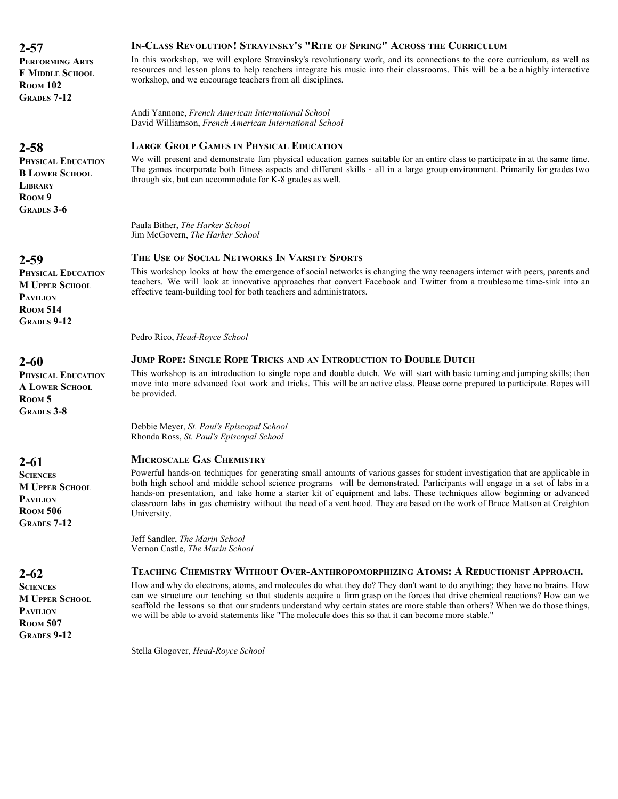**PERFORMING ARTS F MIDDLE SCHOOL ROOM 102 GRADES 7-12**

# **2-58**

**PHYSICAL EDUCATION B LOWER SCHOOL LIBRARY ROOM 9 GRADES 3-6**

# **2-59**

**PHYSICAL EDUCATION M UPPER SCHOOL PAVILION ROOM 514 GRADES 9-12**

# **2-60**

**PHYSICAL EDUCATION A LOWER SCHOOL ROOM 5 GRADES 3-8**

# **2-61**

**SCIENCES M UPPER SCHOOL PAVILION ROOM 506 GRADES 7-12**

# **2-62**

**SCIENCES M UPPER SCHOOL PAVILION ROOM 507 GRADES 9-12**

# **IN-CLASS REVOLUTION! STRAVINSKY'S "RITE OF SPRING" ACROSS THE CURRICULUM**

In this workshop, we will explore Stravinsky's revolutionary work, and its connections to the core curriculum, as well as resources and lesson plans to help teachers integrate his music into their classrooms. This will be a be a highly interactive workshop, and we encourage teachers from all disciplines.

Andi Yannone, *French American International School* David Williamson, *French American International School*

# **LARGE GROUP GAMES IN PHYSICAL EDUCATION**

We will present and demonstrate fun physical education games suitable for an entire class to participate in at the same time. The games incorporate both fitness aspects and different skills - all in a large group environment. Primarily for grades two through six, but can accommodate for  $K-8$  grades as well.

Paula Bither, *The Harker School* Jim McGovern, *The Harker School*

# **THE USE OF SOCIAL NETWORKS IN VARSITY SPORTS**

This workshop looks at how the emergence of social networks is changing the way teenagers interact with peers, parents and teachers. We will look at innovative approaches that convert Facebook and Twitter from a troublesome time-sink into an effective team-building tool for both teachers and administrators.

Pedro Rico, *Head-Royce School*

#### **JUMP ROPE: SINGLE ROPE TRICKS AND AN INTRODUCTION TO DOUBLE DUTCH**

This workshop is an introduction to single rope and double dutch. We will start with basic turning and jumping skills; then move into more advanced foot work and tricks. This will be an active class. Please come prepared to participate. Ropes will be provided.

Debbie Meyer, *St. Paul's Episcopal School* Rhonda Ross, *St. Paul's Episcopal School*

# **MICROSCALE GAS CHEMISTRY**

Powerful hands-on techniques for generating small amounts of various gasses for student investigation that are applicable in both high school and middle school science programs will be demonstrated. Participants will engage in a set of labs in a hands-on presentation, and take home a starter kit of equipment and labs. These techniques allow beginning or advanced classroom labs in gas chemistry without the need of a vent hood. They are based on the work of Bruce Mattson at Creighton University.

Jeff Sandler, *The Marin School* Vernon Castle, *The Marin School*

#### **TEACHING CHEMISTRY WITHOUT OVER-ANTHROPOMORPHIZING ATOMS: A REDUCTIONIST APPROACH.**

How and why do electrons, atoms, and molecules do what they do? They don't want to do anything; they have no brains. How can we structure our teaching so that students acquire a firm grasp on the forces that drive chemical reactions? How can we scaffold the lessons so that our students understand why certain states are more stable than others? When we do those things, we will be able to avoid statements like "The molecule does this so that it can become more stable."

Stella Glogover, *Head-Royce School*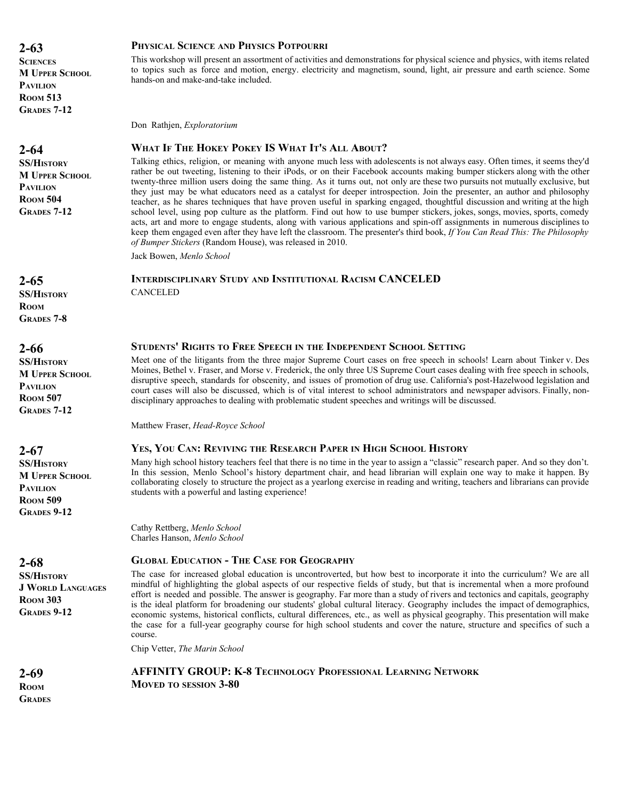**2-63 SCIENCES M UPPER SCHOOL PAVILION ROOM 513 GRADES 7-12**

**2-64 SS/HISTORY M UPPER SCHOOL PAVILION ROOM 504**

**GRADES 7-12**

#### **PHYSICAL SCIENCE AND PHYSICS POTPOURRI**

This workshop will present an assortment of activities and demonstrations for physical science and physics, with items related to topics such as force and motion, energy. electricity and magnetism, sound, light, air pressure and earth science. Some hands-on and make-and-take included.

Don Rathjen, *Exploratorium*

#### **WHAT IF THE HOKEY POKEY IS WHAT IT'S ALL ABOUT?**

Talking ethics, religion, or meaning with anyone much less with adolescents is not always easy. Often times, it seems they'd rather be out tweeting, listening to their iPods, or on their Facebook accounts making bumper stickers along with the other twenty-three million users doing the same thing. As it turns out, not only are these two pursuits not mutually exclusive, but they just may be what educators need as a catalyst for deeper introspection. Join the presenter, an author and philosophy teacher, as he shares techniques that have proven useful in sparking engaged, thoughtful discussion and writing at the high school level, using pop culture as the platform. Find out how to use bumper stickers, jokes, songs, movies, sports, comedy acts, art and more to engage students, along with various applications and spin-off assignments in numerous disciplines to keep them engaged even after they have left the classroom. The presenter's third book, *If You Can Read This: The Philosophy of Bumper Stickers* (Random House), was released in 2010.

Jack Bowen, *Menlo School*

CANCELED

#### **INTERDISCIPLINARY STUDY AND INSTITUTIONAL RACISM CANCELED**

**2-65 SS/HISTORY ROOM GRADES 7-8**

**2-66 SS/HISTORY M UPPER SCHOOL PAVILION ROOM 507 GRADES 7-12**

**2-67 SS/HISTORY M UPPER SCHOOL PAVILION ROOM 509 GRADES 9-12**

**2-68 SS/HISTORY J WORLD LANGUAGES ROOM 303 GRADES 9-12**

#### **STUDENTS' RIGHTS TO FREE SPEECH IN THE INDEPENDENT SCHOOL SETTING**

Meet one of the litigants from the three major Supreme Court cases on free speech in schools! Learn about Tinker v. Des Moines, Bethel v. Fraser, and Morse v. Frederick, the only three US Supreme Court cases dealing with free speech in schools, disruptive speech, standards for obscenity, and issues of promotion of drug use. California's post-Hazelwood legislation and court cases will also be discussed, which is of vital interest to school administrators and newspaper advisors. Finally, nondisciplinary approaches to dealing with problematic student speeches and writings will be discussed.

Matthew Fraser, *Head-Royce School*

#### **YES, YOU CAN: REVIVING THE RESEARCH PAPER IN HIGH SCHOOL HISTORY**

Many high school history teachers feel that there is no time in the year to assign a "classic" research paper. And so they don't. In this session, Menlo School's history department chair, and head librarian will explain one way to make it happen. By collaborating closely to structure the project as a yearlong exercise in reading and writing, teachers and librarians can provide students with a powerful and lasting experience!

Cathy Rettberg, *Menlo School* Charles Hanson, *Menlo School*

#### **GLOBAL EDUCATION - THE CASE FOR GEOGRAPHY**

The case for increased global education is uncontroverted, but how best to incorporate it into the curriculum? We are all mindful of highlighting the global aspects of our respective fields of study, but that is incremental when a more profound effort is needed and possible. The answer is geography. Far more than a study of rivers and tectonics and capitals, geography is the ideal platform for broadening our students' global cultural literacy. Geography includes the impact of demographics, economic systems, historical conflicts, cultural differences, etc., as well as physical geography. This presentation will make the case for a full-year geography course for high school students and cover the nature, structure and specifics of such a course.

Chip Vetter, *The Marin School*

**AFFINITY GROUP: K-8 TECHNOLOGY PROFESSIONAL LEARNING NETWORK MOVED TO SESSION 3-80**

**2-69 ROOM GRADES**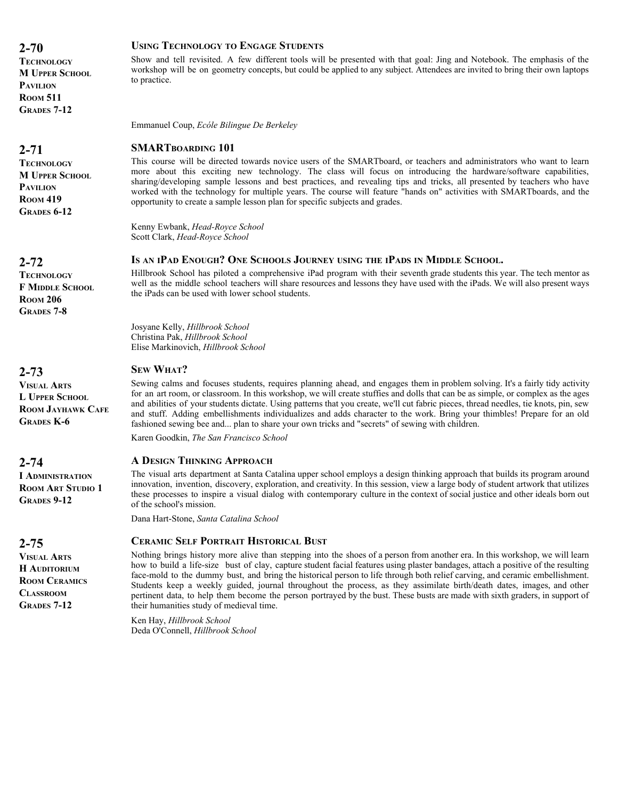**TECHNOLOGY M UPPER SCHOOL PAVILION ROOM 511 GRADES 7-12**

# **2-71**

**TECHNOLOGY M UPPER SCHOOL PAVILION ROOM 419 GRADES 6-12**

# **2-72**

**TECHNOLOGY F MIDDLE SCHOOL ROOM 206 GRADES 7-8**

# **2-73**

**VISUAL ARTS L UPPER SCHOOL ROOM JAYHAWK CAFE GRADES K-6**

# **2-74**

**I ADMINISTRATION ROOM ART STUDIO 1 GRADES 9-12**

# **2-75**

**VISUAL ARTS H AUDITORIUM ROOM CERAMICS CLASSROOM GRADES 7-12**

#### **USING TECHNOLOGY TO ENGAGE STUDENTS**

Show and tell revisited. A few different tools will be presented with that goal: Jing and Notebook. The emphasis of the workshop will be on geometry concepts, but could be applied to any subject. Attendees are invited to bring their own laptops to practice.

Emmanuel Coup, *Ecóle Bilingue De Berkeley*

# **SMARTBOARDING 101**

This course will be directed towards novice users of the SMARTboard, or teachers and administrators who want to learn more about this exciting new technology. The class will focus on introducing the hardware/software capabilities, sharing/developing sample lessons and best practices, and revealing tips and tricks, all presented by teachers who have worked with the technology for multiple years. The course will feature "hands on" activities with SMARTboards, and the opportunity to create a sample lesson plan for specific subjects and grades.

Kenny Ewbank, *Head-Royce School* Scott Clark, *Head-Royce School*

#### **IS AN IPAD ENOUGH? ONE SCHOOLS JOURNEY USING THE IPADS IN MIDDLE SCHOOL.**

Hillbrook School has piloted a comprehensive iPad program with their seventh grade students this year. The tech mentor as well as the middle school teachers will share resources and lessons they have used with the iPads. We will also present ways the iPads can be used with lower school students.

Josyane Kelly, *Hillbrook School* Christina Pak, *Hillbrook School* Elise Markinovich, *Hillbrook School*

# **SEW WHAT?**

Sewing calms and focuses students, requires planning ahead, and engages them in problem solving. It's a fairly tidy activity for an art room, or classroom. In this workshop, we will create stuffies and dolls that can be as simple, or complex as the ages and abilities of your students dictate. Using patterns that you create, we'll cut fabric pieces, thread needles, tie knots, pin, sew and stuff. Adding embellishments individualizes and adds character to the work. Bring your thimbles! Prepare for an old fashioned sewing bee and... plan to share your own tricks and "secrets" of sewing with children.

Karen Goodkin, *The San Francisco School*

#### **A DESIGN THINKING APPROACH**

The visual arts department at Santa Catalina upper school employs a design thinking approach that builds its program around innovation, invention, discovery, exploration, and creativity. In this session, view a large body of student artwork that utilizes these processes to inspire a visual dialog with contemporary culture in the context of social justice and other ideals born out of the school's mission.

Dana Hart-Stone, *Santa Catalina School*

# **CERAMIC SELF PORTRAIT HISTORICAL BUST**

Nothing brings history more alive than stepping into the shoes of a person from another era. In this workshop, we will learn how to build a life-size bust of clay, capture student facial features using plaster bandages, attach a positive of the resulting face-mold to the dummy bust, and bring the historical person to life through both relief carving, and ceramic embellishment. Students keep a weekly guided, journal throughout the process, as they assimilate birth/death dates, images, and other pertinent data, to help them become the person portrayed by the bust. These busts are made with sixth graders, in support of their humanities study of medieval time.

Ken Hay, *Hillbrook School* Deda O'Connell, *Hillbrook School*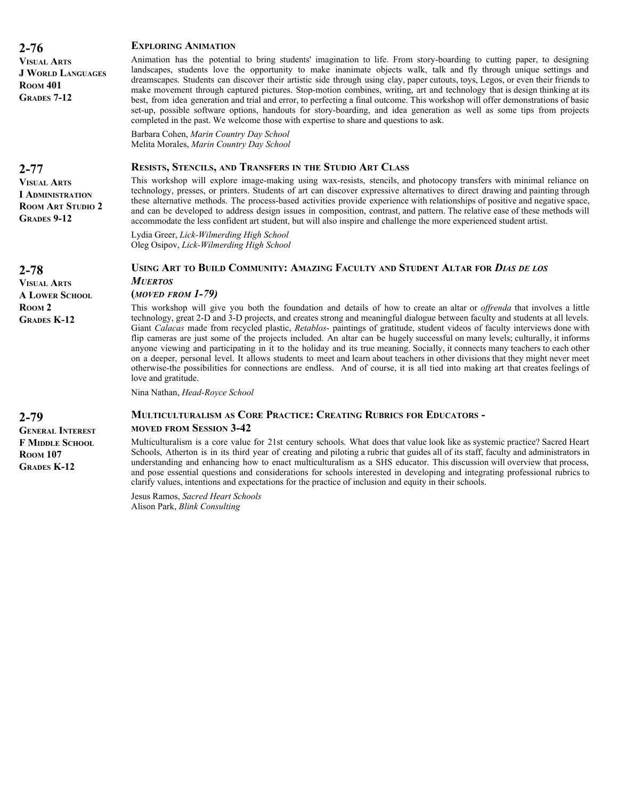| <b>VISUAL ARTS</b><br><b>J WORLD LANGUAGES</b><br><b>ROOM 401</b><br><b>GRADES 7-12</b>         | Animation has the potential to bring students' imagination to life. From story-boarding to cutting paper, to designing<br>landscapes, students love the opportunity to make inanimate objects walk, talk and fly through unique settings and<br>dreamscapes. Students can discover their artistic side through using clay, paper cutouts, toys, Legos, or even their friends to<br>make movement through captured pictures. Stop-motion combines, writing, art and technology that is design thinking at its<br>best, from idea generation and trial and error, to perfecting a final outcome. This workshop will offer demonstrations of basic<br>set-up, possible software options, handouts for story-boarding, and idea generation as well as some tips from projects<br>completed in the past. We welcome those with expertise to share and questions to ask.                                                                                            |
|-------------------------------------------------------------------------------------------------|---------------------------------------------------------------------------------------------------------------------------------------------------------------------------------------------------------------------------------------------------------------------------------------------------------------------------------------------------------------------------------------------------------------------------------------------------------------------------------------------------------------------------------------------------------------------------------------------------------------------------------------------------------------------------------------------------------------------------------------------------------------------------------------------------------------------------------------------------------------------------------------------------------------------------------------------------------------|
|                                                                                                 | Barbara Cohen, Marin Country Day School<br>Melita Morales, Marin Country Day School                                                                                                                                                                                                                                                                                                                                                                                                                                                                                                                                                                                                                                                                                                                                                                                                                                                                           |
| $2 - 77$                                                                                        | <b>RESISTS, STENCILS, AND TRANSFERS IN THE STUDIO ART CLASS</b>                                                                                                                                                                                                                                                                                                                                                                                                                                                                                                                                                                                                                                                                                                                                                                                                                                                                                               |
| <b>VISUAL ARTS</b><br><b>I ADMINISTRATION</b><br><b>ROOM ART STUDIO 2</b><br><b>GRADES 9-12</b> | This workshop will explore image-making using wax-resists, stencils, and photocopy transfers with minimal reliance on<br>technology, presses, or printers. Students of art can discover expressive alternatives to direct drawing and painting through<br>these alternative methods. The process-based activities provide experience with relationships of positive and negative space,<br>and can be developed to address design issues in composition, contrast, and pattern. The relative ease of these methods will<br>accommodate the less confident art student, but will also inspire and challenge the more experienced student artist.                                                                                                                                                                                                                                                                                                               |
|                                                                                                 | Lydia Greer, Lick-Wilmerding High School<br>Oleg Osipov, Lick-Wilmerding High School                                                                                                                                                                                                                                                                                                                                                                                                                                                                                                                                                                                                                                                                                                                                                                                                                                                                          |
| $2 - 78$<br><b>VISUAL ARTS</b>                                                                  | USING ART TO BUILD COMMUNITY: AMAZING FACULTY AND STUDENT ALTAR FOR DIAS DE LOS<br><b>MUERTOS</b>                                                                                                                                                                                                                                                                                                                                                                                                                                                                                                                                                                                                                                                                                                                                                                                                                                                             |
| <b>A LOWER SCHOOL</b>                                                                           | $(MOVED FROM I-79)$                                                                                                                                                                                                                                                                                                                                                                                                                                                                                                                                                                                                                                                                                                                                                                                                                                                                                                                                           |
| ROOM <sub>2</sub><br><b>GRADES K-12</b>                                                         | This workshop will give you both the foundation and details of how to create an altar or <i>offrenda</i> that involves a little<br>technology, great 2-D and 3-D projects, and creates strong and meaningful dialogue between faculty and students at all levels.<br>Giant Calacas made from recycled plastic, Retablos- paintings of gratitude, student videos of faculty interviews done with<br>flip cameras are just some of the projects included. An altar can be hugely successful on many levels; culturally, it informs<br>anyone viewing and participating in it to the holiday and its true meaning. Socially, it connects many teachers to each other<br>on a deeper, personal level. It allows students to meet and learn about teachers in other divisions that they might never meet<br>otherwise-the possibilities for connections are endless. And of course, it is all tied into making art that creates feelings of<br>love and gratitude. |
|                                                                                                 | Nina Nathan, Head-Royce School                                                                                                                                                                                                                                                                                                                                                                                                                                                                                                                                                                                                                                                                                                                                                                                                                                                                                                                                |
| $2 - 79$<br><b>GENERAL INTEREST</b>                                                             | MULTICULTURALISM AS CORE PRACTICE: CREATING RUBRICS FOR EDUCATORS -<br><b>MOVED FROM SESSION 3-42</b>                                                                                                                                                                                                                                                                                                                                                                                                                                                                                                                                                                                                                                                                                                                                                                                                                                                         |

**GENERAL INTEREST F MIDDLE SCHOOL ROOM 107 GRADES K-12**

**2-76**

Multiculturalism is a core value for 21st century schools. What does that value look like as systemic practice? Sacred Heart Schools, Atherton is in its third year of creating and piloting a rubric that guides all of its staff, faculty and administrators in understanding and enhancing how to enact multiculturalism as a SHS educator. This discussion will overview that process, and pose essential questions and considerations for schools interested in developing and integrating professional rubrics to clarify values, intentions and expectations for the practice of inclusion and equity in their schools.

Jesus Ramos, *Sacred Heart Schools* Alison Park, *Blink Consulting*

**EXPLORING ANIMATION**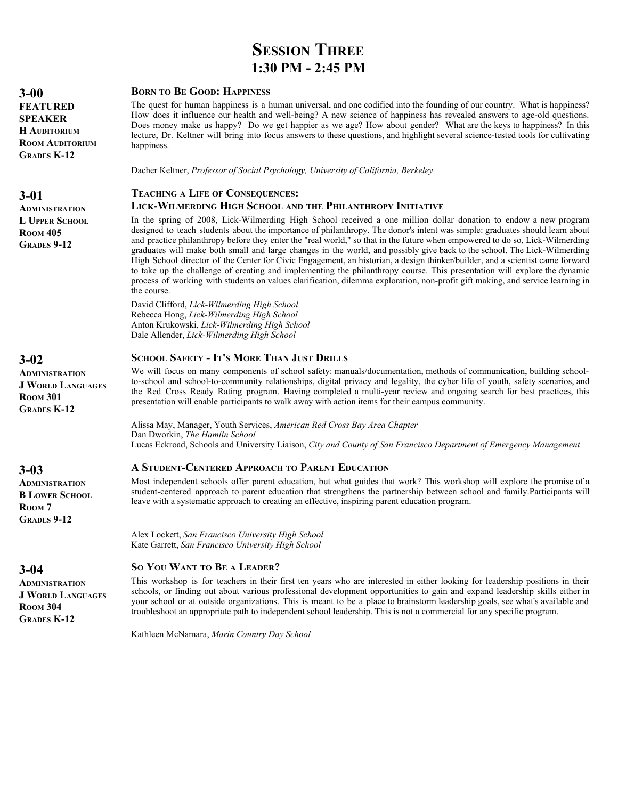# **SESSION THREE 1:30 PM - 2:45 PM**

#### **BORN TO BE GOOD: HAPPINESS**

The quest for human happiness is a human universal, and one codified into the founding of our country. What is happiness? How does it influence our health and well-being? A new science of happiness has revealed answers to age-old questions. Does money make us happy? Do we get happier as we age? How about gender? What are the keys to happiness? In this lecture, Dr. Keltner will bring into focus answers to these questions, and highlight several science-tested tools for cultivating happiness.

Dacher Keltner, *Professor of Social Psychology, University of California, Berkeley*

# **TEACHING A LIFE OF CONSEQUENCES:**

#### **LICK-WILMERDING HIGH SCHOOL AND THE PHILANTHROPY INITIATIVE**

In the spring of 2008, Lick-Wilmerding High School received a one million dollar donation to endow a new program designed to teach students about the importance of philanthropy. The donor's intent was simple: graduates should learn about and practice philanthropy before they enter the "real world," so that in the future when empowered to do so, Lick-Wilmerding graduates will make both small and large changes in the world, and possibly give back to the school. The Lick-Wilmerding High School director of the Center for Civic Engagement, an historian, a design thinker/builder, and a scientist came forward to take up the challenge of creating and implementing the philanthropy course. This presentation will explore the dynamic process of working with students on values clarification, dilemma exploration, non-profit gift making, and service learning in the course.

David Clifford, *Lick-Wilmerding High School* Rebecca Hong, *Lick-Wilmerding High School* Anton Krukowski, *Lick-Wilmerding High School* Dale Allender, *Lick-Wilmerding High School*

#### **SCHOOL SAFETY - IT'S MORE THAN JUST DRILLS**

We will focus on many components of school safety: manuals/documentation, methods of communication, building schoolto-school and school-to-community relationships, digital privacy and legality, the cyber life of youth, safety scenarios, and the Red Cross Ready Rating program. Having completed a multi-year review and ongoing search for best practices, this presentation will enable participants to walk away with action items for their campus community.

Alissa May, Manager, Youth Services, *American Red Cross Bay Area Chapter* Dan Dworkin, *The Hamlin School* Lucas Eckroad, Schools and University Liaison, *City and County of San Francisco Department of Emergency Management*

#### **A STUDENT-CENTERED APPROACH TO PARENT EDUCATION**

Most independent schools offer parent education, but what guides that work? This workshop will explore the promise of a student-centered approach to parent education that strengthens the partnership between school and family.Participants will leave with a systematic approach to creating an effective, inspiring parent education program.

Alex Lockett, *San Francisco University High School* Kate Garrett, *San Francisco University High School*

#### **SO YOU WANT TO BE A LEADER?**

This workshop is for teachers in their first ten years who are interested in either looking for leadership positions in their schools, or finding out about various professional development opportunities to gain and expand leadership skills either in your school or at outside organizations. This is meant to be a place to brainstorm leadership goals, see what's available and troubleshoot an appropriate path to independent school leadership. This is not a commercial for any specific program.

Kathleen McNamara, *Marin Country Day School*

**3-00 FEATURED SPEAKER H AUDITORIUM ROOM AUDITORIUM GRADES K-12**

**3-01**

**ADMINISTRATION L UPPER SCHOOL ROOM 405 GRADES 9-12**

#### **3-02**

**ADMINISTRATION J WORLD LANGUAGES ROOM 301 GRADES K-12**

# **3-03**

**ADMINISTRATION B LOWER SCHOOL ROOM 7 GRADES 9-12**

# **3-04**

**ADMINISTRATION J WORLD LANGUAGES ROOM 304 GRADES K-12**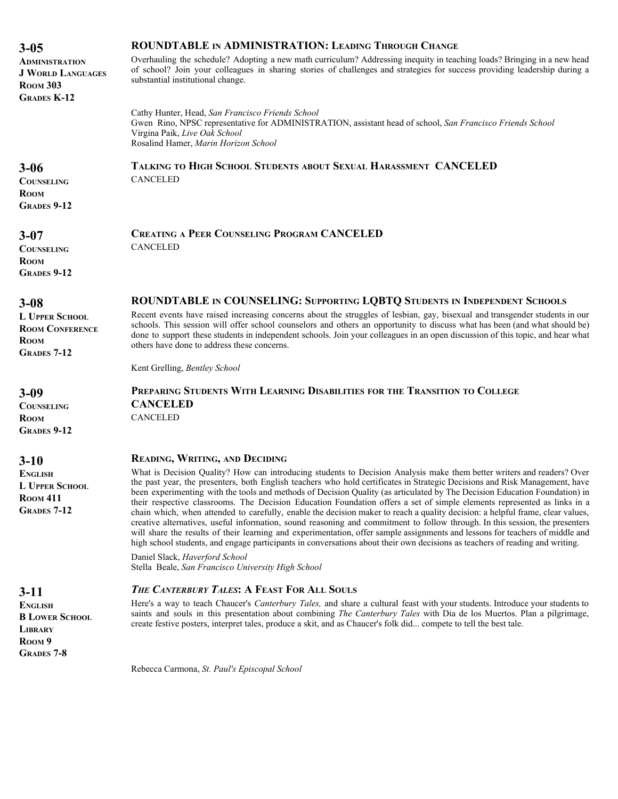| $3 - 05$                                                                                            | <b>ROUNDTABLE IN ADMINISTRATION: LEADING THROUGH CHANGE</b>                                                                                                                                                                                                                                                                                                                                                                                                                                                                                                                                                                                                                                                                                                                                                                                                                                                                                                                                                                                        |
|-----------------------------------------------------------------------------------------------------|----------------------------------------------------------------------------------------------------------------------------------------------------------------------------------------------------------------------------------------------------------------------------------------------------------------------------------------------------------------------------------------------------------------------------------------------------------------------------------------------------------------------------------------------------------------------------------------------------------------------------------------------------------------------------------------------------------------------------------------------------------------------------------------------------------------------------------------------------------------------------------------------------------------------------------------------------------------------------------------------------------------------------------------------------|
| <b>ADMINISTRATION</b><br><b>J WORLD LANGUAGES</b><br><b>ROOM 303</b><br><b>GRADES K-12</b>          | Overhauling the schedule? Adopting a new math curriculum? Addressing inequity in teaching loads? Bringing in a new head<br>of school? Join your colleagues in sharing stories of challenges and strategies for success providing leadership during a<br>substantial institutional change.                                                                                                                                                                                                                                                                                                                                                                                                                                                                                                                                                                                                                                                                                                                                                          |
|                                                                                                     | Cathy Hunter, Head, San Francisco Friends School<br>Gwen Rino, NPSC representative for ADMINISTRATION, assistant head of school, San Francisco Friends School<br>Virgina Paik, Live Oak School<br>Rosalind Hamer, Marin Horizon School                                                                                                                                                                                                                                                                                                                                                                                                                                                                                                                                                                                                                                                                                                                                                                                                             |
| $3 - 06$<br><b>COUNSELING</b><br><b>ROOM</b><br><b>GRADES 9-12</b>                                  | TALKING TO HIGH SCHOOL STUDENTS ABOUT SEXUAL HARASSMENT CANCELED<br><b>CANCELED</b>                                                                                                                                                                                                                                                                                                                                                                                                                                                                                                                                                                                                                                                                                                                                                                                                                                                                                                                                                                |
| $3 - 07$<br><b>COUNSELING</b><br><b>ROOM</b><br><b>GRADES 9-12</b>                                  | <b>CREATING A PEER COUNSELING PROGRAM CANCELED</b><br><b>CANCELED</b>                                                                                                                                                                                                                                                                                                                                                                                                                                                                                                                                                                                                                                                                                                                                                                                                                                                                                                                                                                              |
|                                                                                                     | ROUNDTABLE IN COUNSELING: SUPPORTING LOBTQ STUDENTS IN INDEPENDENT SCHOOLS                                                                                                                                                                                                                                                                                                                                                                                                                                                                                                                                                                                                                                                                                                                                                                                                                                                                                                                                                                         |
| $3 - 08$<br><b>L UPPER SCHOOL</b><br><b>ROOM CONFERENCE</b><br><b>ROOM</b><br><b>GRADES 7-12</b>    | Recent events have raised increasing concerns about the struggles of lesbian, gay, bisexual and transgender students in our<br>schools. This session will offer school counselors and others an opportunity to discuss what has been (and what should be)<br>done to support these students in independent schools. Join your colleagues in an open discussion of this topic, and hear what<br>others have done to address these concerns.                                                                                                                                                                                                                                                                                                                                                                                                                                                                                                                                                                                                         |
|                                                                                                     | Kent Grelling, Bentley School                                                                                                                                                                                                                                                                                                                                                                                                                                                                                                                                                                                                                                                                                                                                                                                                                                                                                                                                                                                                                      |
| $3 - 09$<br><b>COUNSELING</b><br><b>ROOM</b><br><b>GRADES 9-12</b>                                  | PREPARING STUDENTS WITH LEARNING DISABILITIES FOR THE TRANSITION TO COLLEGE<br><b>CANCELED</b><br><b>CANCELED</b>                                                                                                                                                                                                                                                                                                                                                                                                                                                                                                                                                                                                                                                                                                                                                                                                                                                                                                                                  |
|                                                                                                     | <b>READING, WRITING, AND DECIDING</b>                                                                                                                                                                                                                                                                                                                                                                                                                                                                                                                                                                                                                                                                                                                                                                                                                                                                                                                                                                                                              |
| $3 - 10$<br><b>ENGLISH</b><br><b>L UPPER SCHOOL</b><br><b>ROOM 411</b><br><b>GRADES 7-12</b>        | What is Decision Quality? How can introducing students to Decision Analysis make them better writers and readers? Over<br>the past year, the presenters, both English teachers who hold certificates in Strategic Decisions and Risk Management, have<br>been experimenting with the tools and methods of Decision Quality (as articulated by The Decision Education Foundation) in<br>their respective classrooms. The Decision Education Foundation offers a set of simple elements represented as links in a<br>chain which, when attended to carefully, enable the decision maker to reach a quality decision: a helpful frame, clear values,<br>creative alternatives, useful information, sound reasoning and commitment to follow through. In this session, the presenters<br>will share the results of their learning and experimentation, offer sample assignments and lessons for teachers of middle and<br>high school students, and engage participants in conversations about their own decisions as teachers of reading and writing. |
|                                                                                                     | Daniel Slack, Haverford School<br>Stella Beale, San Francisco University High School                                                                                                                                                                                                                                                                                                                                                                                                                                                                                                                                                                                                                                                                                                                                                                                                                                                                                                                                                               |
| $3-11$                                                                                              | THE CANTERBURY TALES: A FEAST FOR ALL SOULS                                                                                                                                                                                                                                                                                                                                                                                                                                                                                                                                                                                                                                                                                                                                                                                                                                                                                                                                                                                                        |
| <b>ENGLISH</b><br><b>B LOWER SCHOOL</b><br><b>LIBRARY</b><br>ROOM <sub>9</sub><br><b>GRADES 7-8</b> | Here's a way to teach Chaucer's Canterbury Tales, and share a cultural feast with your students. Introduce your students to<br>saints and souls in this presentation about combining The Canterbury Tales with Dia de los Muertos. Plan a pilgrimage,<br>create festive posters, interpret tales, produce a skit, and as Chaucer's folk did compete to tell the best tale.                                                                                                                                                                                                                                                                                                                                                                                                                                                                                                                                                                                                                                                                         |

Rebecca Carmona, *St. Paul's Episcopal School*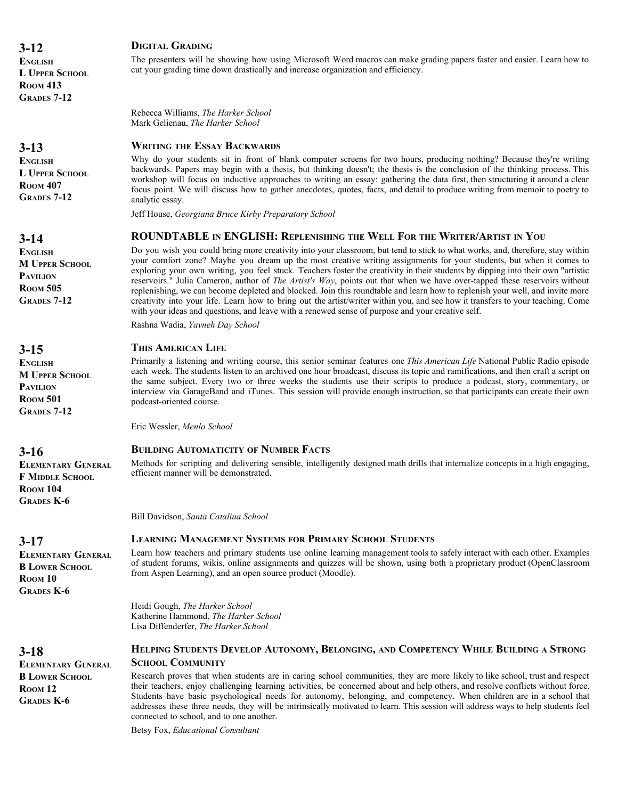**ENGLISH L UPPER SCHOOL ROOM 413 GRADES 7-12**

# **3-13**

**ENGLISH L UPPER SCHOOL ROOM 407 GRADES 7-12**

# **3-14**

**ENGLISH M UPPER SCHOOL PAVILION ROOM 505 GRADES 7-12**

# **3-15**

**ENGLISH M UPPER SCHOOL PAVILION ROOM 501 GRADES 7-12**

**3-16**

**ELEMENTARY GENERAL F MIDDLE SCHOOL ROOM 104 GRADES K-6**

# **3-17**

**3-18**

**ROOM 12 GRADES K-6**

**ELEMENTARY GENERAL B LOWER SCHOOL ROOM 10 GRADES K-6**

**ELEMENTARY GENERAL B LOWER SCHOOL**

# **DIGITAL GRADING**

The presenters will be showing how using Microsoft Word macros can make grading papers faster and easier. Learn how to cut your grading time down drastically and increase organization and efficiency.

Rebecca Williams, *The Harker School* Mark Gelienau, *The Harker School*

#### **WRITING THE ESSAY BACKWARDS**

Why do your students sit in front of blank computer screens for two hours, producing nothing? Because they're writing backwards. Papers may begin with a thesis, but thinking doesn't; the thesis is the conclusion of the thinking process. This workshop will focus on inductive approaches to writing an essay: gathering the data first, then structuring it around a clear focus point. We will discuss how to gather anecdotes, quotes, facts, and detail to produce writing from memoir to poetry to analytic essay.

Jeff House, *Georgiana Bruce Kirby Preparatory School*

#### **ROUNDTABLE IN ENGLISH: REPLENISHING THE WELL FOR THE WRITER/ARTIST IN YOU**

Do you wish you could bring more creativity into your classroom, but tend to stick to what works, and, therefore, stay within your comfort zone? Maybe you dream up the most creative writing assignments for your students, but when it comes to exploring your own writing, you feel stuck. Teachers foster the creativity in their students by dipping into their own "artistic reservoirs." Julia Cameron, author of *The Artist's Way*, points out that when we have over-tapped these reservoirs without replenishing, we can become depleted and blocked. Join this roundtable and learn how to replenish your well, and invite more creativity into your life. Learn how to bring out the artist/writer within you, and see how it transfers to your teaching. Come with your ideas and questions, and leave with a renewed sense of purpose and your creative self.

Rashna Wadia, *Yavneh Day School*

#### **THIS AMERICAN LIFE**

Primarily a listening and writing course, this senior seminar features one *This American Life* National Public Radio episode each week. The students listen to an archived one hour broadcast, discuss its topic and ramifications, and then craft a script on the same subject. Every two or three weeks the students use their scripts to produce a podcast, story, commentary, or interview via GarageBand and iTunes. This session will provide enough instruction, so that participants can create their own podcast-oriented course.

Eric Wessler, *Menlo School*

#### **BUILDING AUTOMATICITY OF NUMBER FACTS**

Methods for scripting and delivering sensible, intelligently designed math drills that internalize concepts in a high engaging, efficient manner will be demonstrated.

Bill Davidson, *Santa Catalina School*

# **LEARNING MANAGEMENT SYSTEMS FOR PRIMARY SCHOOL STUDENTS**

Learn how teachers and primary students use online learning management tools to safely interact with each other. Examples of student forums, wikis, online assignments and quizzes will be shown, using both a proprietary product (OpenClassroom from Aspen Learning), and an open source product (Moodle).

Heidi Gough, *The Harker School* Katherine Hammond, *The Harker School* Lisa Diffenderfer, *The Harker School*

#### **HELPING STUDENTS DEVELOP AUTONOMY, BELONGING, AND COMPETENCY WHILE BUILDING A STRONG SCHOOL COMMUNITY**

Research proves that when students are in caring school communities, they are more likely to like school, trust and respect their teachers, enjoy challenging learning activities, be concerned about and help others, and resolve conflicts without force. Students have basic psychological needs for autonomy, belonging, and competency. When children are in a school that addresses these three needs, they will be intrinsically motivated to learn. This session will address ways to help students feel connected to school, and to one another.

Betsy Fox, *Educational Consultant*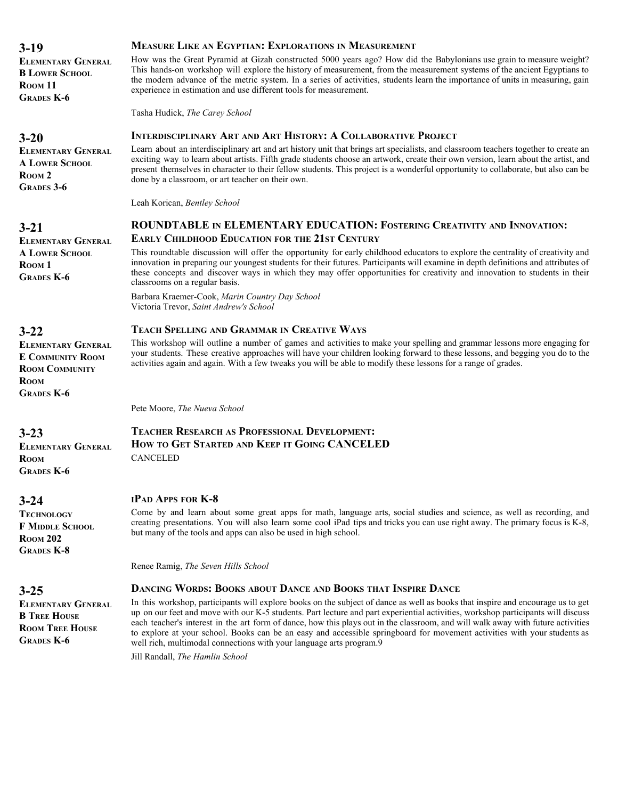| <b>ELEMENTARY GENERAL</b><br><b>B LOWER SCHOOL</b><br>ROOM <sub>11</sub><br><b>GRADES K-6</b>                     | How was the Great Pyramid at Gizah constructed 5000 years ago? How did the Babylonians use grain to measure weight?<br>This hands-on workshop will explore the history of measurement, from the measurement systems of the ancient Egyptians to<br>the modern advance of the metric system. In a series of activities, students learn the importance of units in measuring, gain<br>experience in estimation and use different tools for measurement.                                                                                                                                                      |
|-------------------------------------------------------------------------------------------------------------------|------------------------------------------------------------------------------------------------------------------------------------------------------------------------------------------------------------------------------------------------------------------------------------------------------------------------------------------------------------------------------------------------------------------------------------------------------------------------------------------------------------------------------------------------------------------------------------------------------------|
|                                                                                                                   | Tasha Hudick, The Carey School                                                                                                                                                                                                                                                                                                                                                                                                                                                                                                                                                                             |
| $3 - 20$                                                                                                          | <b>INTERDISCIPLINARY ART AND ART HISTORY: A COLLABORATIVE PROJECT</b>                                                                                                                                                                                                                                                                                                                                                                                                                                                                                                                                      |
| <b>ELEMENTARY GENERAL</b><br><b>A LOWER SCHOOL</b><br>ROOM <sub>2</sub><br><b>GRADES</b> 3-6                      | Learn about an interdisciplinary art and art history unit that brings art specialists, and classroom teachers together to create an<br>exciting way to learn about artists. Fifth grade students choose an artwork, create their own version, learn about the artist, and<br>present themselves in character to their fellow students. This project is a wonderful opportunity to collaborate, but also can be<br>done by a classroom, or art teacher on their own.                                                                                                                                        |
|                                                                                                                   | Leah Korican, Bentley School                                                                                                                                                                                                                                                                                                                                                                                                                                                                                                                                                                               |
| $3 - 21$                                                                                                          | ROUNDTABLE IN ELEMENTARY EDUCATION: FOSTERING CREATIVITY AND INNOVATION:                                                                                                                                                                                                                                                                                                                                                                                                                                                                                                                                   |
| <b>ELEMENTARY GENERAL</b>                                                                                         | <b>EARLY CHILDHOOD EDUCATION FOR THE 21ST CENTURY</b>                                                                                                                                                                                                                                                                                                                                                                                                                                                                                                                                                      |
| <b>A LOWER SCHOOL</b><br>ROOM <sub>1</sub><br><b>GRADES K-6</b>                                                   | This roundtable discussion will offer the opportunity for early childhood educators to explore the centrality of creativity and<br>innovation in preparing our youngest students for their futures. Participants will examine in depth definitions and attributes of<br>these concepts and discover ways in which they may offer opportunities for creativity and innovation to students in their<br>classrooms on a regular basis.                                                                                                                                                                        |
|                                                                                                                   | Barbara Kraemer-Cook, Marin Country Day School<br>Victoria Trevor, Saint Andrew's School                                                                                                                                                                                                                                                                                                                                                                                                                                                                                                                   |
| $3 - 22$                                                                                                          | <b>TEACH SPELLING AND GRAMMAR IN CREATIVE WAYS</b>                                                                                                                                                                                                                                                                                                                                                                                                                                                                                                                                                         |
| <b>ELEMENTARY GENERAL</b><br><b>E COMMUNITY ROOM</b><br><b>ROOM COMMUNITY</b><br><b>ROOM</b><br><b>GRADES K-6</b> | This workshop will outline a number of games and activities to make your spelling and grammar lessons more engaging for<br>your students. These creative approaches will have your children looking forward to these lessons, and begging you do to the<br>activities again and again. With a few tweaks you will be able to modify these lessons for a range of grades.                                                                                                                                                                                                                                   |
|                                                                                                                   | Pete Moore, The Nueva School                                                                                                                                                                                                                                                                                                                                                                                                                                                                                                                                                                               |
| $3 - 23$                                                                                                          | <b>TEACHER RESEARCH AS PROFESSIONAL DEVELOPMENT:</b>                                                                                                                                                                                                                                                                                                                                                                                                                                                                                                                                                       |
| <b>ELEMENTARY GENERAL</b>                                                                                         | HOW TO GET STARTED AND KEEP IT GOING CANCELED                                                                                                                                                                                                                                                                                                                                                                                                                                                                                                                                                              |
| <b>ROOM</b><br><b>GRADES K-6</b>                                                                                  | <b>CANCELED</b>                                                                                                                                                                                                                                                                                                                                                                                                                                                                                                                                                                                            |
| $3 - 24$                                                                                                          | IPAD APPS FOR K-8                                                                                                                                                                                                                                                                                                                                                                                                                                                                                                                                                                                          |
| <b>TECHNOLOGY</b><br><b>F MIDDLE SCHOOL</b><br><b>ROOM 202</b><br><b>GRADES K-8</b>                               | Come by and learn about some great apps for math, language arts, social studies and science, as well as recording, and<br>creating presentations. You will also learn some cool iPad tips and tricks you can use right away. The primary focus is K-8,<br>but many of the tools and apps can also be used in high school.                                                                                                                                                                                                                                                                                  |
|                                                                                                                   | Renee Ramig, The Seven Hills School                                                                                                                                                                                                                                                                                                                                                                                                                                                                                                                                                                        |
| $3 - 25$                                                                                                          | <b>DANCING WORDS: BOOKS ABOUT DANCE AND BOOKS THAT INSPIRE DANCE</b>                                                                                                                                                                                                                                                                                                                                                                                                                                                                                                                                       |
| <b>ELEMENTARY GENERAL</b><br><b>B</b> TREE HOUSE<br><b>ROOM TREE HOUSE</b><br><b>GRADES K-6</b>                   | In this workshop, participants will explore books on the subject of dance as well as books that inspire and encourage us to get<br>up on our feet and move with our K-5 students. Part lecture and part experiential activities, workshop participants will discuss<br>each teacher's interest in the art form of dance, how this plays out in the classroom, and will walk away with future activities<br>to explore at your school. Books can be an easy and accessible springboard for movement activities with your students as<br>well rich, multimodal connections with your language arts program.9 |
|                                                                                                                   | Jill Randall, The Hamlin School                                                                                                                                                                                                                                                                                                                                                                                                                                                                                                                                                                            |

**MEASURE LIKE AN EGYPTIAN: EXPLORATIONS IN MEASUREMENT**

**3-19**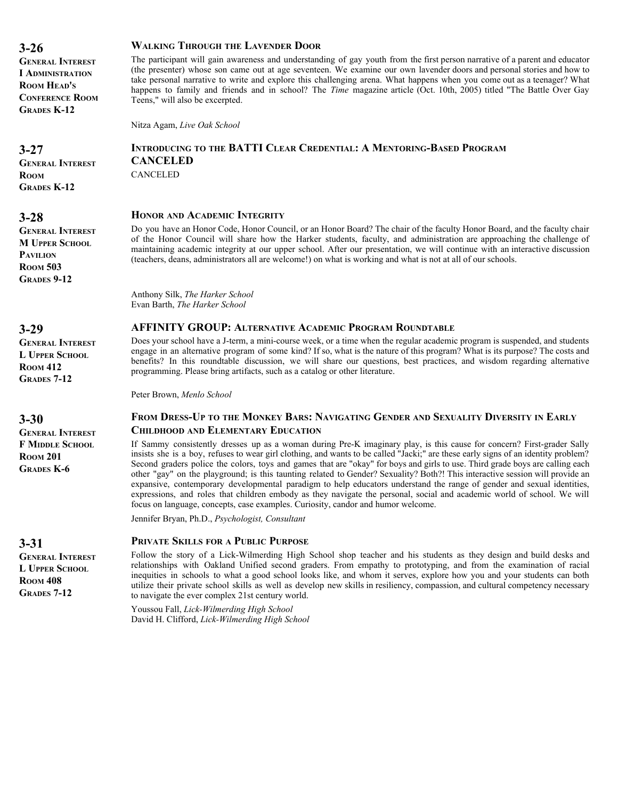**GENERAL INTEREST I ADMINISTRATION ROOM HEAD'S CONFERENCE ROOM GRADES K-12**

**3-27 GENERAL INTEREST ROOM GRADES K-12**

# **3-28**

**GENERAL INTEREST M UPPER SCHOOL PAVILION ROOM 503 GRADES 9-12**

**3-29**

**GENERAL INTEREST L UPPER SCHOOL ROOM 412 GRADES 7-12**

**3-30 GENERAL INTEREST F MIDDLE SCHOOL ROOM 201 GRADES K-6**

# **3-31**

**GENERAL INTEREST L UPPER SCHOOL ROOM 408 GRADES 7-12**

#### **WALKING THROUGH THE LAVENDER DOOR**

The participant will gain awareness and understanding of gay youth from the first person narrative of a parent and educator (the presenter) whose son came out at age seventeen. We examine our own lavender doors and personal stories and how to take personal narrative to write and explore this challenging arena. What happens when you come out as a teenager? What happens to family and friends and in school? The *Time* magazine article (Oct. 10th, 2005) titled "The Battle Over Gay Teens," will also be excerpted.

Nitza Agam, *Live Oak School*

# **INTRODUCING TO THE BATTI CLEAR CREDENTIAL: A MENTORING-BASED PROGRAM CANCELED**

CANCELED

#### **HONOR AND ACADEMIC INTEGRITY**

Do you have an Honor Code, Honor Council, or an Honor Board? The chair of the faculty Honor Board, and the faculty chair of the Honor Council will share how the Harker students, faculty, and administration are approaching the challenge of maintaining academic integrity at our upper school. After our presentation, we will continue with an interactive discussion (teachers, deans, administrators all are welcome!) on what is working and what is not at all of our schools.

Anthony Silk, *The Harker School* Evan Barth, *The Harker School*

# **AFFINITY GROUP: ALTERNATIVE ACADEMIC PROGRAM ROUNDTABLE**

Does your school have a J-term, a mini-course week, or a time when the regular academic program is suspended, and students engage in an alternative program of some kind? If so, what is the nature of this program? What is its purpose? The costs and benefits? In this roundtable discussion, we will share our questions, best practices, and wisdom regarding alternative programming. Please bring artifacts, such as a catalog or other literature.

Peter Brown, *Menlo School*

#### **FROM DRESS-UP TO THE MONKEY BARS: NAVIGATING GENDER AND SEXUALITY DIVERSITY IN EARLY CHILDHOOD AND ELEMENTARY EDUCATION**

If Sammy consistently dresses up as a woman during Pre-K imaginary play, is this cause for concern? First-grader Sally insists she is a boy, refuses to wear girl clothing, and wants to be called "Jacki;" are these early signs of an identity problem? Second graders police the colors, toys and games that are "okay" for boys and girls to use. Third grade boys are calling each other "gay" on the playground; is this taunting related to Gender? Sexuality? Both?! This interactive session will provide an expansive, contemporary developmental paradigm to help educators understand the range of gender and sexual identities, expressions, and roles that children embody as they navigate the personal, social and academic world of school. We will focus on language, concepts, case examples. Curiosity, candor and humor welcome.

Jennifer Bryan, Ph.D., *Psychologist, Consultant*

#### **PRIVATE SKILLS FOR A PUBLIC PURPOSE**

Follow the story of a Lick-Wilmerding High School shop teacher and his students as they design and build desks and relationships with Oakland Unified second graders. From empathy to prototyping, and from the examination of racial inequities in schools to what a good school looks like, and whom it serves, explore how you and your students can both utilize their private school skills as well as develop new skills in resiliency, compassion, and cultural competency necessary to navigate the ever complex 21st century world.

Youssou Fall, *Lick-Wilmerding High School* David H. Clifford, *Lick-Wilmerding High School*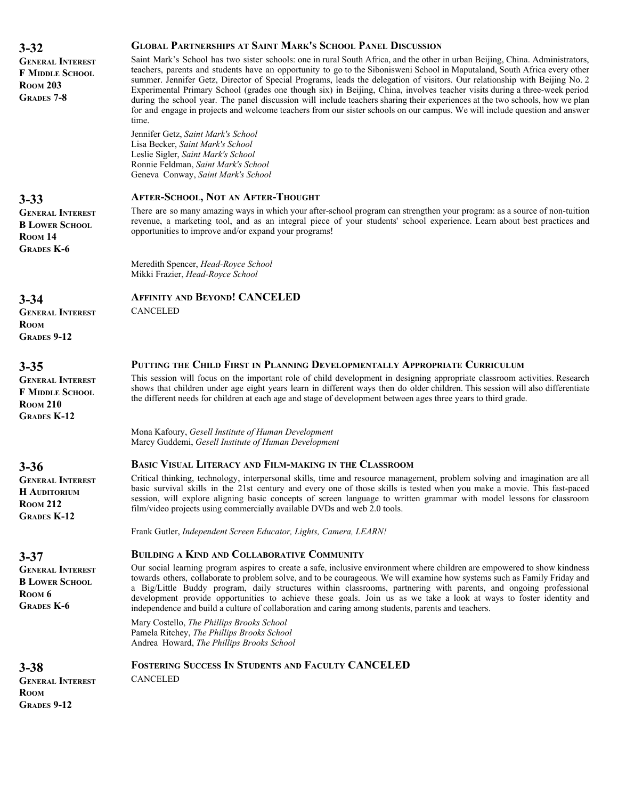| $3 - 32$                                                                                    | <b>GLOBAL PARTNERSHIPS AT SAINT MARK'S SCHOOL PANEL DISCUSSION</b>                                                                                                                                                                                                                                                                                                                                                                                                                                                                                                                                                                                                                                                                                                                            |
|---------------------------------------------------------------------------------------------|-----------------------------------------------------------------------------------------------------------------------------------------------------------------------------------------------------------------------------------------------------------------------------------------------------------------------------------------------------------------------------------------------------------------------------------------------------------------------------------------------------------------------------------------------------------------------------------------------------------------------------------------------------------------------------------------------------------------------------------------------------------------------------------------------|
| <b>GENERAL INTEREST</b><br><b>F MIDDLE SCHOOL</b><br><b>ROOM 203</b><br><b>GRADES 7-8</b>   | Saint Mark's School has two sister schools: one in rural South Africa, and the other in urban Beijing, China. Administrators,<br>teachers, parents and students have an opportunity to go to the Sibonisweni School in Maputaland, South Africa every other<br>summer. Jennifer Getz, Director of Special Programs, leads the delegation of visitors. Our relationship with Beijing No. 2<br>Experimental Primary School (grades one though six) in Beijing, China, involves teacher visits during a three-week period<br>during the school year. The panel discussion will include teachers sharing their experiences at the two schools, how we plan<br>for and engage in projects and welcome teachers from our sister schools on our campus. We will include question and answer<br>time. |
|                                                                                             | Jennifer Getz, Saint Mark's School<br>Lisa Becker, Saint Mark's School<br>Leslie Sigler, Saint Mark's School<br>Ronnie Feldman, Saint Mark's School<br>Geneva Conway, Saint Mark's School                                                                                                                                                                                                                                                                                                                                                                                                                                                                                                                                                                                                     |
| $3 - 33$                                                                                    | <b>AFTER-SCHOOL, NOT AN AFTER-THOUGHT</b>                                                                                                                                                                                                                                                                                                                                                                                                                                                                                                                                                                                                                                                                                                                                                     |
| <b>GENERAL INTEREST</b><br><b>B LOWER SCHOOL</b><br>ROOM <sub>14</sub><br><b>GRADES K-6</b> | There are so many amazing ways in which your after-school program can strengthen your program: as a source of non-tuition<br>revenue, a marketing tool, and as an integral piece of your students' school experience. Learn about best practices and<br>opportunities to improve and/or expand your programs!                                                                                                                                                                                                                                                                                                                                                                                                                                                                                 |
|                                                                                             | Meredith Spencer, Head-Royce School<br>Mikki Frazier, Head-Royce School                                                                                                                                                                                                                                                                                                                                                                                                                                                                                                                                                                                                                                                                                                                       |
| $3 - 34$                                                                                    | <b>AFFINITY AND BEYOND! CANCELED</b>                                                                                                                                                                                                                                                                                                                                                                                                                                                                                                                                                                                                                                                                                                                                                          |
| <b>GENERAL INTEREST</b><br><b>ROOM</b><br><b>GRADES 9-12</b>                                | <b>CANCELED</b>                                                                                                                                                                                                                                                                                                                                                                                                                                                                                                                                                                                                                                                                                                                                                                               |
| $3 - 35$                                                                                    | PUTTING THE CHILD FIRST IN PLANNING DEVELOPMENTALLY APPROPRIATE CURRICULUM                                                                                                                                                                                                                                                                                                                                                                                                                                                                                                                                                                                                                                                                                                                    |
| <b>GENERAL INTEREST</b><br>F MIDDLE SCHOOL<br><b>ROOM 210</b><br><b>GRADES K-12</b>         | This session will focus on the important role of child development in designing appropriate classroom activities. Research<br>shows that children under age eight years learn in different ways then do older children. This session will also differentiate<br>the different needs for children at each age and stage of development between ages three years to third grade.                                                                                                                                                                                                                                                                                                                                                                                                                |
|                                                                                             | Mona Kafoury, Gesell Institute of Human Development<br>Marcy Guddemi, Gesell Institute of Human Development                                                                                                                                                                                                                                                                                                                                                                                                                                                                                                                                                                                                                                                                                   |
| $3 - 36$                                                                                    | <b>BASIC VISUAL LITERACY AND FILM-MAKING IN THE CLASSROOM</b>                                                                                                                                                                                                                                                                                                                                                                                                                                                                                                                                                                                                                                                                                                                                 |
| <b>GENERAL INTEREST</b><br><b>H</b> AUDITORIUM<br><b>ROOM 212</b><br><b>GRADES K-12</b>     | Critical thinking, technology, interpersonal skills, time and resource management, problem solving and imagination are all<br>basic survival skills in the 21st century and every one of those skills is tested when you make a movie. This fast-paced<br>session, will explore aligning basic concepts of screen language to written grammar with model lessons for classroom<br>film/video projects using commercially available DVDs and web 2.0 tools.                                                                                                                                                                                                                                                                                                                                    |
|                                                                                             | Frank Gutler, Independent Screen Educator, Lights, Camera, LEARN!                                                                                                                                                                                                                                                                                                                                                                                                                                                                                                                                                                                                                                                                                                                             |
| $3 - 37$                                                                                    | <b>BUILDING A KIND AND COLLABORATIVE COMMUNITY</b>                                                                                                                                                                                                                                                                                                                                                                                                                                                                                                                                                                                                                                                                                                                                            |
| <b>GENERAL INTEREST</b><br><b>B LOWER SCHOOL</b><br>ROOM <sub>6</sub><br><b>GRADES K-6</b>  | Our social learning program aspires to create a safe, inclusive environment where children are empowered to show kindness<br>towards others, collaborate to problem solve, and to be courageous. We will examine how systems such as Family Friday and<br>a Big/Little Buddy program, daily structures within classrooms, partnering with parents, and ongoing professional<br>development provide opportunities to achieve these goals. Join us as we take a look at ways to foster identity and<br>independence and build a culture of collaboration and caring among students, parents and teachers.                                                                                                                                                                                       |
|                                                                                             | Mary Costello, The Phillips Brooks School<br>Pamela Ritchey, The Phillips Brooks School<br>Andrea Howard, The Phillips Brooks School                                                                                                                                                                                                                                                                                                                                                                                                                                                                                                                                                                                                                                                          |
| $3 - 38$<br><b>GENERAL INTEREST</b><br><b>ROOM</b><br><b>GRADES 9-12</b>                    | <b>FOSTERING SUCCESS IN STUDENTS AND FACULTY CANCELED</b><br><b>CANCELED</b>                                                                                                                                                                                                                                                                                                                                                                                                                                                                                                                                                                                                                                                                                                                  |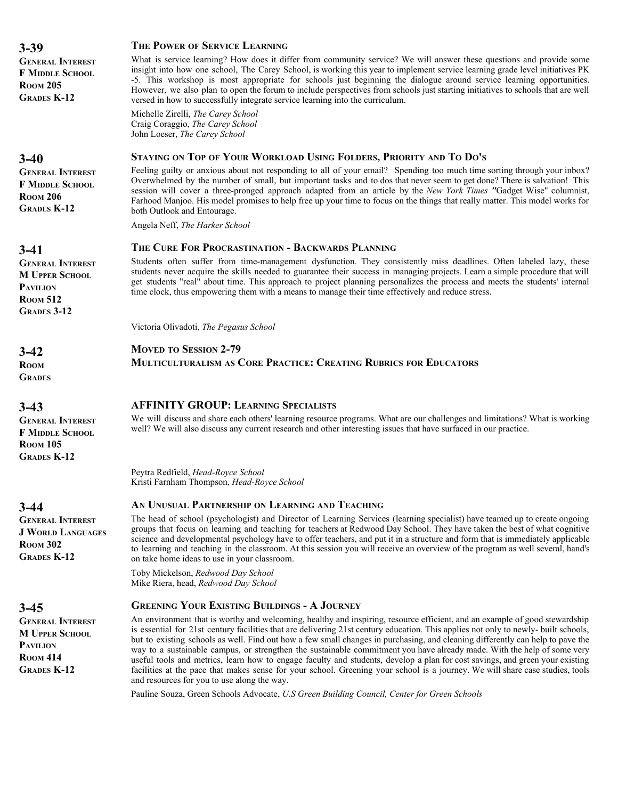| $3 - 39$                                                                                                     | THE POWER OF SERVICE LEARNING                                                                                                                                                                                                                                                                                                                                                                                                                                                         |
|--------------------------------------------------------------------------------------------------------------|---------------------------------------------------------------------------------------------------------------------------------------------------------------------------------------------------------------------------------------------------------------------------------------------------------------------------------------------------------------------------------------------------------------------------------------------------------------------------------------|
| <b>GENERAL INTEREST</b><br><b>F MIDDLE SCHOOL</b><br><b>ROOM 205</b><br><b>GRADES K-12</b>                   | What is service learning? How does it differ from community service? We will answer these of<br>insight into how one school, The Carey School, is working this year to implement service learning<br>-5. This workshop is most appropriate for schools just beginning the dialogue around serv<br>However, we also plan to open the forum to include perspectives from schools just starting initiat<br>versed in how to successfully integrate service learning into the curriculum. |
|                                                                                                              | Michelle Zirelli, The Carey School<br>Craig Coraggio, The Carey School<br>John Loeser, The Carey School                                                                                                                                                                                                                                                                                                                                                                               |
| $3 - 40$                                                                                                     | STAYING ON TOP OF YOUR WORKLOAD USING FOLDERS, PRIORITY AND TO DO'S                                                                                                                                                                                                                                                                                                                                                                                                                   |
| <b>GENERAL INTEREST</b><br><b>F MIDDLE SCHOOL</b><br><b>ROOM 206</b><br><b>GRADES K-12</b>                   | Feeling guilty or anxious about not responding to all of your email? Spending too much time<br>Overwhelmed by the number of small, but important tasks and to dos that never seem to get do<br>session will cover a three-pronged approach adapted from an article by the New York Times<br>Farhood Manjoo. His model promises to help free up your time to focus on the things that really m<br>both Outlook and Entourage.                                                          |
|                                                                                                              | Angela Neff, The Harker School                                                                                                                                                                                                                                                                                                                                                                                                                                                        |
| $3-41$                                                                                                       | THE CURE FOR PROCRASTINATION - BACKWARDS PLANNING                                                                                                                                                                                                                                                                                                                                                                                                                                     |
| <b>GENERAL INTEREST</b><br><b>M UPPER SCHOOL</b><br><b>PAVILION</b><br><b>ROOM 512</b><br><b>GRADES 3-12</b> | Students often suffer from time-management dysfunction. They consistently miss deadlines.<br>students never acquire the skills needed to guarantee their success in managing projects. Learn<br>get students "real" about time. This approach to project planning personalizes the process and<br>time clock, thus empowering them with a means to manage their time effectively and reduce stress                                                                                    |
|                                                                                                              | Victoria Olivadoti, The Pegasus School                                                                                                                                                                                                                                                                                                                                                                                                                                                |
| $3-42$                                                                                                       | <b>MOVED TO SESSION 2-79</b>                                                                                                                                                                                                                                                                                                                                                                                                                                                          |
| <b>ROOM</b><br><b>GRADES</b>                                                                                 | <b>MULTICULTURALISM AS CORE PRACTICE: CREATING RUBRICS FOR EDUCATORS</b>                                                                                                                                                                                                                                                                                                                                                                                                              |
| $3 - 43$                                                                                                     | <b>AFFINITY GROUP: LEARNING SPECIALISTS</b>                                                                                                                                                                                                                                                                                                                                                                                                                                           |
| <b>GENERAL INTEREST</b><br><b>F MIDDLE SCHOOL</b><br><b>ROOM 105</b><br><b>GRADES K-12</b>                   | We will discuss and share each others' learning resource programs. What are our challenges and li<br>well? We will also discuss any current research and other interesting issues that have surfaced in o                                                                                                                                                                                                                                                                             |
|                                                                                                              | Peytra Redfield, Head-Royce School<br>Kristi Farnham Thompson, Head-Royce School                                                                                                                                                                                                                                                                                                                                                                                                      |
| $3 - 44$                                                                                                     | AN UNUSUAL PARTNERSHIP ON LEARNING AND TEACHING                                                                                                                                                                                                                                                                                                                                                                                                                                       |
| <b>GENERAL INTEREST</b><br><b>J WORLD LANGUAGES</b><br><b>ROOM 302</b><br><b>GRADES K-12</b>                 | The head of school (psychologist) and Director of Learning Services (learning specialist) have t<br>groups that focus on learning and teaching for teachers at Redwood Day School. They have take<br>science and developmental psychology have to offer teachers, and put it in a structure and form th<br>to learning and teaching in the classroom. At this session you will receive an overview of the pro<br>on take home ideas to use in your classroom.                         |
|                                                                                                              | Toby Mickelson, Redwood Day School<br>Mike Riera, head, Redwood Day School                                                                                                                                                                                                                                                                                                                                                                                                            |
|                                                                                                              |                                                                                                                                                                                                                                                                                                                                                                                                                                                                                       |

**GENERAL INTEREST M UPPER SCHOOL PAVILION ROOM 414 GRADES K-12**

# **THE POWER OF SERVICE LEARNING**

questions and provide some ng grade level initiatives PK vice learning opportunities. tives to schools that are well

sorting through your inbox? ne? There is salvation! This session will cover a three-pronged approach adapted from an article by the *New York Times "*Gadget Wise" columnist, natter. This model works for

Often labeled lazy, these a simple procedure that will meets the students' internal time clock, thus empowering them with a means to manage their time effectively and reduce stress.

imitations? What is working our practice. well? We will also discuss any current research and other interesting issues that have surfaced in our practice.

teamed up to create ongoing en the best of what cognitive at is immediately applicable gram as well several, hand's

# **GREENING YOUR EXISTING BUILDINGS - A JOURNEY**

An environment that is worthy and welcoming, healthy and inspiring, resource efficient, and an example of good stewardship is essential for 21st century facilities that are delivering 21st century education. This applies not only to newly- built schools, but to existing schools as well. Find out how a few small changes in purchasing, and cleaning differently can help to pave the way to a sustainable campus, or strengthen the sustainable commitment you have already made. With the help of some very useful tools and metrics, learn how to engage faculty and students, develop a plan for cost savings, and green your existing facilities at the pace that makes sense for your school. Greening your school is a journey. We will share case studies, tools and resources for you to use along the way.

Pauline Souza, Green Schools Advocate, *U.S Green Building Council, Center for Green Schools*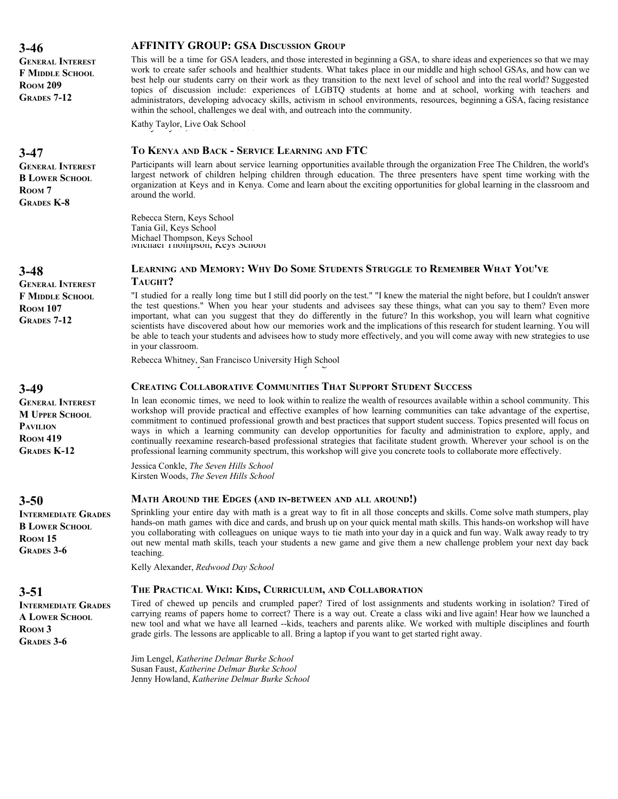work to create safer schools and healthier students. What takes place in our middle and high school GSAs, and how can we best help our students carry on their work as they transition to the next level of school and into the real world? Suggested topics of discussion include: experiences of LGBTQ students at home and at school, working with teachers and administrators, developing advocacy skills, activism in school environments, resources, beginning a GSA, facing resistance within the school, challenges we deal with, and outreach into the community. **ROOM 209 GRADES 7-12** Kathy Taylor, Live Oak School **TO KENYA AND BACK - SERVICE LEARNING AND FTC** Participants will learn about service learning opportunities available through the organization Free The Children, the world's largest network of children helping children through education. The three presenters have spent time working with the organization at Keys and in Kenya. Come and learn about the exciting opportunities for global learning in the classroom and around the world. **3-47 GENERAL INTEREST B LOWER SCHOOL** R<sub>OOM</sub> 7 **GRADES K-8** Rebecca Stern, Keys School Michael Thompson, Keys School Michael Thompson, Keys School **LEARNING AND MEMORY: WHY DO SOME STUDENTS STRUGGLE TO REMEMBER WHAT YOU'VE TAUGHT?** "I studied for a really long time but I still did poorly on the test." "I knew the material the night before, but I couldn't answer the test questions." When you hear your students and advisees say these things, what can you say to them? Even more important, what can you suggest that they do differently in the future? In this workshop, you will learn what cognitive scientists have discovered about how our memories work and the implications of this research for student learning. You will be able to teach your students and advisees how to study more effectively, and you will come away with new strategies to use in your classroom. **3-48 GENERAL INTEREST F MIDDLE SCHOOL ROOM 107 GRADES 7-12** Rebecca Whitney, San Francisco University High School **CREATING COLLABORATIVE COMMUNITIES THAT SUPPORT STUDENT SUCCESS** In lean economic times, we need to look within to realize the wealth of resources available within a school community. This workshop will provide practical and effective examples of how learning communities can take advantage of the expertise, commitment to continued professional growth and best practices that support student success. Topics presented will focus on ways in which a learning community can develop opportunities for faculty and administration to explore, apply, and continually reexamine research-based professional strategies that facilitate student growth. Wherever your school is on the professional learning community spectrum, this workshop will give you concrete tools to collaborate more effectively. **3-49 GENERAL INTEREST M UPPER SCHOOL PAVILION ROOM 419 GRADES K-12** Jessica Conkle, *The Seven Hills School* Kirsten Woods, *The Seven Hills School* **MATH AROUND THE EDGES (AND IN-BETWEEN AND ALL AROUND!)** Sprinkling your entire day with math is a great way to fit in all those concepts and skills. Come solve math stumpers, play hands-on math games with dice and cards, and brush up on your quick mental math skills. This hands-on workshop will have you collaborating with colleagues on unique ways to tie math into your day in a quick and fun way. Walk away ready to try out new mental math skills, teach your students a new game and give them a new challenge problem your next day back teaching. **3-50 INTERMEDIATE GRADES B LOWER SCHOOL ROOM 15 GRADES 3-6** Kelly Alexander, *Redwood Day School* **THE PRACTICAL WIKI: KIDS, CURRICULUM, AND COLLABORATION** Tired of chewed up pencils and crumpled paper? Tired of lost assignments and students working in isolation? Tired of carrying reams of papers home to correct? There is a way out. Create a class wiki and live again! Hear how we launched a new tool and what we have all learned --kids, teachers and parents alike. We worked with multiple disciplines and fourth grade girls. The lessons are applicable to all. Bring a laptop if you want to get started right away. **3-51 INTERMEDIATE GRADES A LOWER SCHOOL ROOM 3 GRADES 3-6**

> Jim Lengel, *Katherine Delmar Burke School* Susan Faust, *Katherine Delmar Burke School* Jenny Howland, *Katherine Delmar Burke School*

#### **3-46**

**GENERAL INTEREST F MIDDLE SCHOOL**

#### **AFFINITY GROUP: GSA DISCUSSION GROUP**

This will be a time for GSA leaders, and those interested in beginning a GSA, to share ideas and experiences so that we may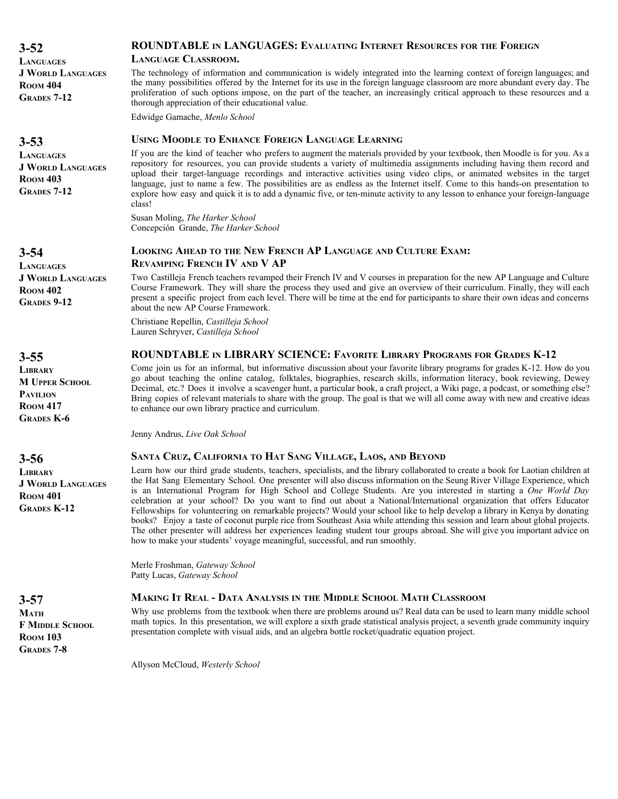**3-52 LANGUAGES J WORLD LANGUAGES ROOM 404 GRADES 7-12**

**3-53**

**LANGUAGES J WORLD LANGUAGES ROOM 403 GRADES 7-12**

#### **ROUNDTABLE IN LANGUAGES: EVALUATING INTERNET RESOURCES FOR THE FOREIGN**

#### **LANGUAGE CLASSROOM.**

The technology of information and communication is widely integrated into the learning context of foreign languages; and the many possibilities offered by the Internet for its use in the foreign language classroom are more abundant every day. The proliferation of such options impose, on the part of the teacher, an increasingly critical approach to these resources and a thorough appreciation of their educational value.

Edwidge Gamache, *Menlo School*

#### **USING MOODLE TO ENHANCE FOREIGN LANGUAGE LEARNING**

If you are the kind of teacher who prefers to augment the materials provided by your textbook, then Moodle is for you. As a repository for resources, you can provide students a variety of multimedia assignments including having them record and upload their target-language recordings and interactive activities using video clips, or animated websites in the target language, just to name a few. The possibilities are as endless as the Internet itself. Come to this hands-on presentation to explore how easy and quick it is to add a dynamic five, or ten-minute activity to any lesson to enhance your foreign-language class!

Susan Moling, *The Harker School* Concepción Grande, *The Harker School*

#### **LOOKING AHEAD TO THE NEW FRENCH AP LANGUAGE AND CULTURE EXAM: REVAMPING FRENCH IV AND V AP**

Two Castilleja French teachers revamped their French IV and V courses in preparation for the new AP Language and Culture Course Framework. They will share the process they used and give an overview of their curriculum. Finally, they will each present a specific project from each level. There will be time at the end for participants to share their own ideas and concerns about the new AP Course Framework.

Christiane Repellin, *Castilleja School* Lauren Schryver, *Castilleja School*

#### **ROUNDTABLE IN LIBRARY SCIENCE: FAVORITE LIBRARY PROGRAMS FOR GRADES K-12**

Come join us for an informal, but informative discussion about your favorite library programs for grades K-12. How do you go about teaching the online catalog, folktales, biographies, research skills, information literacy, book reviewing, Dewey Decimal, etc.? Does it involve a scavenger hunt, a particular book, a craft project, a Wiki page, a podcast, or something else? Bring copies of relevant materials to share with the group. The goal is that we will all come away with new and creative ideas to enhance our own library practice and curriculum.

Jenny Andrus, *Live Oak School*

#### **SANTA CRUZ, CALIFORNIA TO HAT SANG VILLAGE, LAOS, AND BEYOND**

Learn how our third grade students, teachers, specialists, and the library collaborated to create a book for Laotian children at the Hat Sang Elementary School. One presenter will also discuss information on the Seung River Village Experience, which is an International Program for High School and College Students. Are you interested in starting a *One World Day* celebration at your school? Do you want to find out about a National/International organization that offers Educator Fellowships for volunteering on remarkable projects? Would your school like to help develop a library in Kenya by donating books? Enjoy a taste of coconut purple rice from Southeast Asia while attending this session and learn about global projects. The other presenter will address her experiences leading student tour groups abroad. She will give you important advice on how to make your students' voyage meaningful, successful, and run smoothly.

Merle Froshman, *Gateway School* Patty Lucas, *Gateway School*

#### **MAKING IT REAL - DATA ANALYSIS IN THE MIDDLE SCHOOL MATH CLASSROOM**

Why use problems from the textbook when there are problems around us? Real data can be used to learn many middle school math topics. In this presentation, we will explore a sixth grade statistical analysis project, a seventh grade community inquiry presentation complete with visual aids, and an algebra bottle rocket/quadratic equation project.

Allyson McCloud, *Westerly School*

**3-54 LANGUAGES J WORLD LANGUAGES ROOM 402 GRADES 9-12**

**3-55**

**LIBRARY M UPPER SCHOOL PAVILION ROOM 417 GRADES K-6**

**3-56**

**LIBRARY J WORLD LANGUAGES ROOM 401 GRADES K-12**

**3-57 MATH F MIDDLE SCHOOL ROOM 103 GRADES 7-8**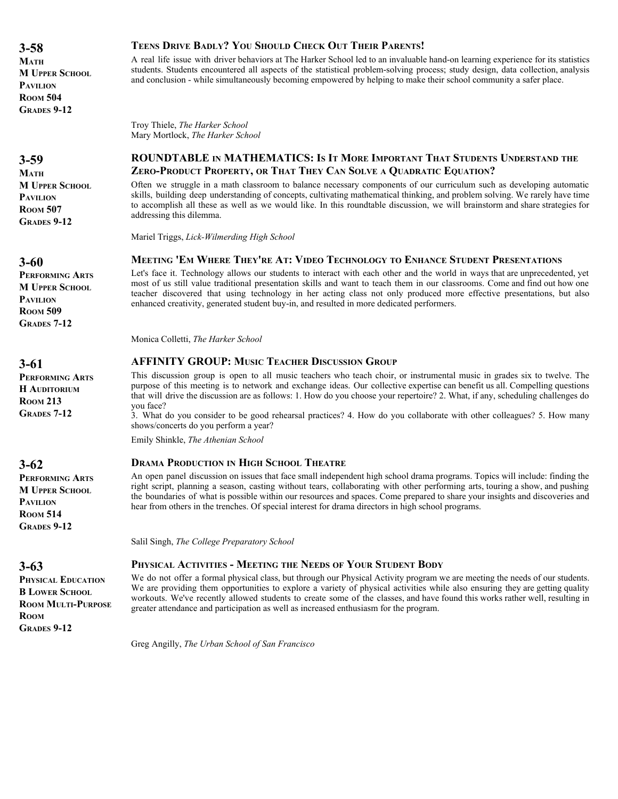**3-58 MATH M UPPER SCHOOL PAVILION ROOM 504 GRADES 9-12**

**3-59**

**MATH M UPPER SCHOOL PAVILION ROOM 507 GRADES 9-12**

**3-60**

**PERFORMING ARTS M UPPER SCHOOL PAVILION ROOM 509 GRADES 7-12**

**3-61**

**PERFORMING ARTS H AUDITORIUM ROOM 213 GRADES 7-12**

**3-62**

**PERFORMING ARTS M UPPER SCHOOL PAVILION ROOM 514 GRADES 9-12**

**3-63**

**PHYSICAL EDUCATION B LOWER SCHOOL ROOM MULTI-PURPOSE ROOM GRADES 9-12**

# **TEENS DRIVE BADLY? YOU SHOULD CHECK OUT THEIR PARENTS!**

A real life issue with driver behaviors at The Harker School led to an invaluable hand-on learning experience for its statistics students. Students encountered all aspects of the statistical problem-solving process; study design, data collection, analysis and conclusion - while simultaneously becoming empowered by helping to make their school community a safer place.

Troy Thiele, *The Harker School* Mary Mortlock, *The Harker School*

# **ROUNDTABLE IN MATHEMATICS: IS IT MORE IMPORTANT THAT STUDENTS UNDERSTAND THE ZERO-PRODUCT PROPERTY, OR THAT THEY CAN SOLVE A QUADRATIC EQUATION?**

Often we struggle in a math classroom to balance necessary components of our curriculum such as developing automatic skills, building deep understanding of concepts, cultivating mathematical thinking, and problem solving. We rarely have time to accomplish all these as well as we would like. In this roundtable discussion, we will brainstorm and share strategies for addressing this dilemma.

Mariel Triggs, *Lick-Wilmerding High School*

# **MEETING 'EM WHERE THEY'RE AT: VIDEO TECHNOLOGY TO ENHANCE STUDENT PRESENTATIONS**

Let's face it. Technology allows our students to interact with each other and the world in ways that are unprecedented, yet most of us still value traditional presentation skills and want to teach them in our classrooms. Come and find out how one teacher discovered that using technology in her acting class not only produced more effective presentations, but also enhanced creativity, generated student buy-in, and resulted in more dedicated performers.

Monica Colletti, *The Harker School*

# **AFFINITY GROUP: MUSIC TEACHER DISCUSSION GROUP**

This discussion group is open to all music teachers who teach choir, or instrumental music in grades six to twelve. The purpose of this meeting is to network and exchange ideas. Our collective expertise can benefit us all. Compelling questions that will drive the discussion are as follows: 1. How do you choose your repertoire? 2. What, if any, scheduling challenges do you face?

3. What do you consider to be good rehearsal practices? 4. How do you collaborate with other colleagues? 5. How many shows/concerts do you perform a year?

Emily Shinkle, *The Athenian School*

#### **DRAMA PRODUCTION IN HIGH SCHOOL THEATRE**

An open panel discussion on issues that face small independent high school drama programs. Topics will include: finding the right script, planning a season, casting without tears, collaborating with other performing arts, touring a show, and pushing the boundaries of what is possible within our resources and spaces. Come prepared to share your insights and discoveries and hear from others in the trenches. Of special interest for drama directors in high school programs.

Salil Singh, *The College Preparatory School*

# **PHYSICAL ACTIVITIES - MEETING THE NEEDS OF YOUR STUDENT BODY**

We do not offer a formal physical class, but through our Physical Activity program we are meeting the needs of our students. We are providing them opportunities to explore a variety of physical activities while also ensuring they are getting quality workouts. We've recently allowed students to create some of the classes, and have found this works rather well, resulting in greater attendance and participation as well as increased enthusiasm for the program.

Greg Angilly, *The Urban School of San Francisco*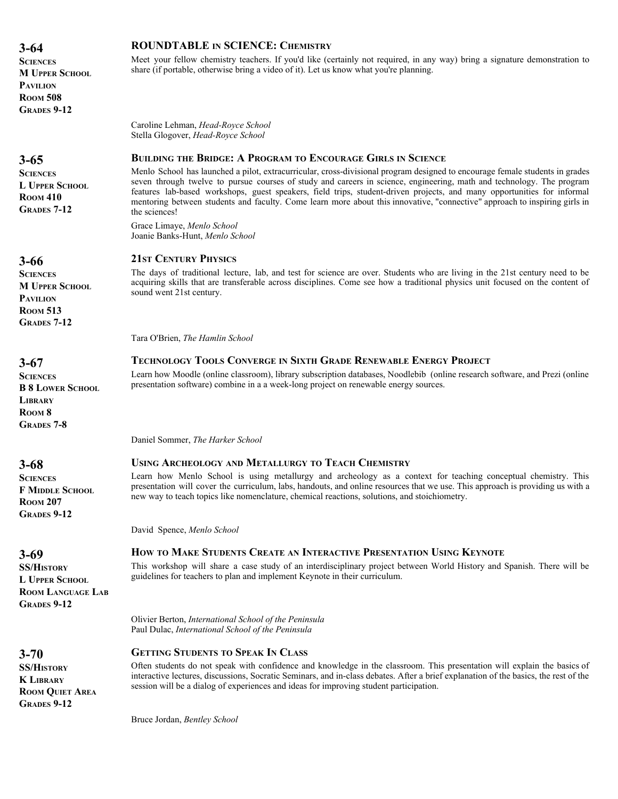| <b>SCIENCES</b><br><b>M UPPER SCHOOL</b><br><b>PAVILION</b><br><b>ROOM 508</b><br><b>GRADES 9-12</b>               | Meet your fellow chemistry teachers. If you'd like (certainly not required, in any way) bring a signature demonstration to<br>share (if portable, otherwise bring a video of it). Let us know what you're planning.                                                                                                                                                                                                                                                                                                                                                                                                                                                     |
|--------------------------------------------------------------------------------------------------------------------|-------------------------------------------------------------------------------------------------------------------------------------------------------------------------------------------------------------------------------------------------------------------------------------------------------------------------------------------------------------------------------------------------------------------------------------------------------------------------------------------------------------------------------------------------------------------------------------------------------------------------------------------------------------------------|
|                                                                                                                    | Caroline Lehman, Head-Royce School<br>Stella Glogover, Head-Royce School                                                                                                                                                                                                                                                                                                                                                                                                                                                                                                                                                                                                |
| $3 - 65$<br><b>SCIENCES</b><br><b>L UPPER SCHOOL</b><br><b>ROOM 410</b><br><b>GRADES 7-12</b>                      | <b>BUILDING THE BRIDGE: A PROGRAM TO ENCOURAGE GIRLS IN SCIENCE</b><br>Menlo School has launched a pilot, extracurricular, cross-divisional program designed to encourage female students in grades<br>seven through twelve to pursue courses of study and careers in science, engineering, math and technology. The program<br>features lab-based workshops, guest speakers, field trips, student-driven projects, and many opportunities for informal<br>mentoring between students and faculty. Come learn more about this innovative, "connective" approach to inspiring girls in<br>the sciences!<br>Grace Limaye, Menlo School<br>Joanie Banks-Hunt, Menlo School |
| $3 - 66$<br><b>SCIENCES</b><br><b>M UPPER SCHOOL</b><br><b>PAVILION</b><br><b>ROOM 513</b><br><b>GRADES 7-12</b>   | <b>21ST CENTURY PHYSICS</b><br>The days of traditional lecture, lab, and test for science are over. Students who are living in the 21st century need to be<br>acquiring skills that are transferable across disciplines. Come see how a traditional physics unit focused on the content of<br>sound went 21st century.<br>Tara O'Brien, The Hamlin School                                                                                                                                                                                                                                                                                                               |
| $3 - 67$<br><b>SCIENCES</b><br><b>B 8 LOWER SCHOOL</b><br><b>LIBRARY</b><br>ROOM <sub>8</sub><br><b>GRADES 7-8</b> | <b>TECHNOLOGY TOOLS CONVERGE IN SIXTH GRADE RENEWABLE ENERGY PROJECT</b><br>Learn how Moodle (online classroom), library subscription databases, Noodlebib (online research software, and Prezi (online<br>presentation software) combine in a a week-long project on renewable energy sources.                                                                                                                                                                                                                                                                                                                                                                         |
|                                                                                                                    | Daniel Sommer, The Harker School                                                                                                                                                                                                                                                                                                                                                                                                                                                                                                                                                                                                                                        |
| $3 - 68$                                                                                                           | <b>USING ARCHEOLOGY AND METALLURGY TO TEACH CHEMISTRY</b>                                                                                                                                                                                                                                                                                                                                                                                                                                                                                                                                                                                                               |
| <b>SCIENCES</b><br><b>F MIDDLE SCHOOL</b><br><b>ROOM 207</b><br><b>GRADES 9-12</b>                                 | Learn how Menlo School is using metallurgy and archeology as a context for teaching conceptual chemistry. This<br>presentation will cover the curriculum, labs, handouts, and online resources that we use. This approach is providing us with a<br>new way to teach topics like nomenclature, chemical reactions, solutions, and stoichiometry.                                                                                                                                                                                                                                                                                                                        |
|                                                                                                                    | David Spence, Menlo School                                                                                                                                                                                                                                                                                                                                                                                                                                                                                                                                                                                                                                              |
| $3 - 69$<br><b>SS/HISTORY</b><br><b>L UPPER SCHOOL</b><br><b>ROOM LANGUAGE LAB</b><br><b>GRADES 9-12</b>           | HOW TO MAKE STUDENTS CREATE AN INTERACTIVE PRESENTATION USING KEYNOTE<br>This workshop will share a case study of an interdisciplinary project between World History and Spanish. There will be<br>guidelines for teachers to plan and implement Keynote in their curriculum.                                                                                                                                                                                                                                                                                                                                                                                           |
|                                                                                                                    | Olivier Berton, International School of the Peninsula<br>Paul Dulac, International School of the Peninsula                                                                                                                                                                                                                                                                                                                                                                                                                                                                                                                                                              |

**ROUNDTABLE IN SCIENCE: CHEMISTRY**

**3-64**

**3-70 SS/HISTORY K LIBRARY**

**ROOM QUIET AREA GRADES 9-12**

Often students do not speak with confidence and knowledge in the classroom. This presentation will explain the basics of interactive lectures, discussions, Socratic Seminars, and in-class debates. After a brief explanation of the basics, the rest of the session will be a dialog of experiences and ideas for improving student participation.

Bruce Jordan, *Bentley School*

**GETTING STUDENTS TO SPEAK IN CLASS**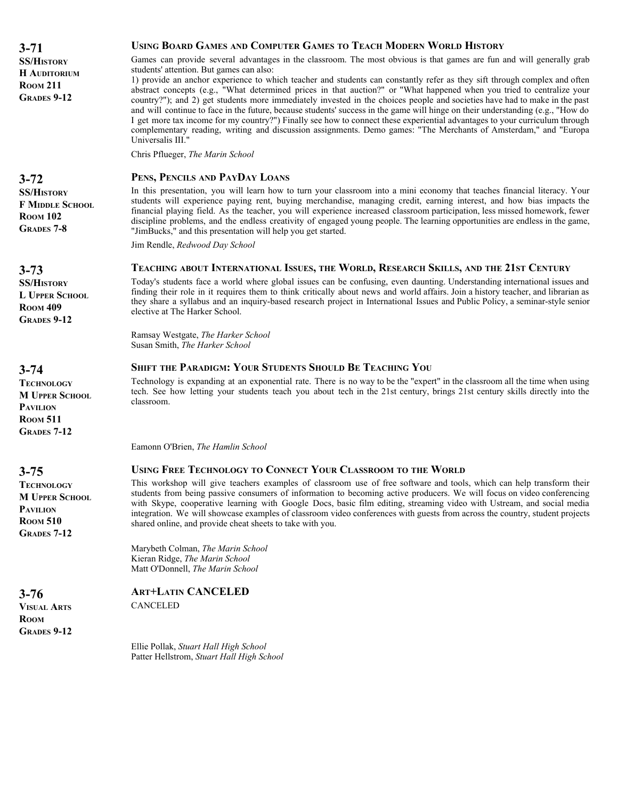**3-71 SS/HISTORY H AUDITORIUM ROOM 211 GRADES 9-12**

**3-72**

**SS/HISTORY F MIDDLE SCHOOL ROOM 102 GRADES 7-8**

**3-73**

**SS/HISTORY L UPPER SCHOOL ROOM 409 GRADES 9-12**

**3-74**

**TECHNOLOGY M UPPER SCHOOL PAVILION ROOM 511 GRADES 7-12**

**3-75**

**3-76 VISUAL ARTS ROOM GRADES 9-12**

**TECHNOLOGY M UPPER SCHOOL PAVILION ROOM 510 GRADES 7-12**

# **USING BOARD GAMES AND COMPUTER GAMES TO TEACH MODERN WORLD HISTORY**

Games can provide several advantages in the classroom. The most obvious is that games are fun and will generally grab students' attention. But games can also:

1) provide an anchor experience to which teacher and students can constantly refer as they sift through complex and often abstract concepts (e.g., "What determined prices in that auction?" or "What happened when you tried to centralize your country?"); and 2) get students more immediately invested in the choices people and societies have had to make in the past and will continue to face in the future, because students' success in the game will hinge on their understanding (e.g., "How do I get more tax income for my country?") Finally see how to connect these experiential advantages to your curriculum through complementary reading, writing and discussion assignments. Demo games: "The Merchants of Amsterdam," and "Europa Universalis III."

Chris Pflueger, *The Marin School*

# **PENS, PENCILS AND PAYDAY LOANS**

In this presentation, you will learn how to turn your classroom into a mini economy that teaches financial literacy. Your students will experience paying rent, buying merchandise, managing credit, earning interest, and how bias impacts the financial playing field. As the teacher, you will experience increased classroom participation, less missed homework, fewer discipline problems, and the endless creativity of engaged young people. The learning opportunities are endless in the game, "JimBucks," and this presentation will help you get started.

Jim Rendle, *Redwood Day School*

#### **TEACHING ABOUT INTERNATIONAL ISSUES, THE WORLD, RESEARCH SKILLS, AND THE 21ST CENTURY**

Today's students face a world where global issues can be confusing, even daunting. Understanding international issues and finding their role in it requires them to think critically about news and world affairs. Join a history teacher, and librarian as they share a syllabus and an inquiry-based research project in International Issues and Public Policy, a seminar-style senior elective at The Harker School.

Ramsay Westgate, *The Harker School* Susan Smith, *The Harker School*

#### **SHIFT THE PARADIGM: YOUR STUDENTS SHOULD BE TEACHING YOU**

Technology is expanding at an exponential rate. There is no way to be the "expert" in the classroom all the time when using tech. See how letting your students teach you about tech in the 21st century, brings 21st century skills directly into the classroom.

Eamonn O'Brien, *The Hamlin School*

# **USING FREE TECHNOLOGY TO CONNECT YOUR CLASSROOM TO THE WORLD**

This workshop will give teachers examples of classroom use of free software and tools, which can help transform their students from being passive consumers of information to becoming active producers. We will focus on video conferencing with Skype, cooperative learning with Google Docs, basic film editing, streaming video with Ustream, and social media integration. We will showcase examples of classroom video conferences with guests from across the country, student projects shared online, and provide cheat sheets to take with you.

Marybeth Colman, *The Marin School* Kieran Ridge, *The Marin School* Matt O'Donnell, *The Marin School*

# **ART+LATIN CANCELED**

**CANCELED** 

Ellie Pollak, *Stuart Hall High School* Patter Hellstrom, *Stuart Hall High School*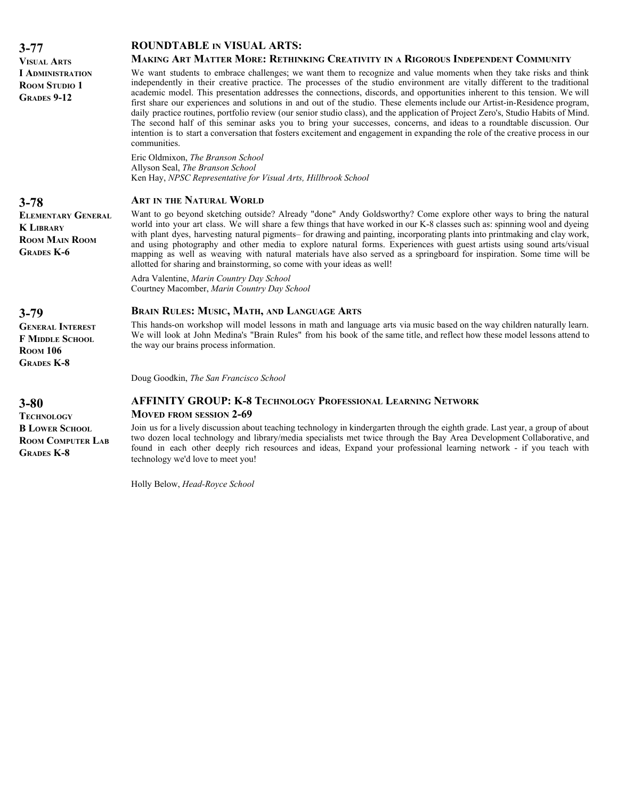| $3 - 77$                                                                                    | <b>ROUNDTABLE IN VISUAL ARTS:</b>                                                                                                                                                                                                                                                                                                                                                                                                                                                                                                                                                                                                                                                                                                                                                                                                                                                                                                                                                                                     |
|---------------------------------------------------------------------------------------------|-----------------------------------------------------------------------------------------------------------------------------------------------------------------------------------------------------------------------------------------------------------------------------------------------------------------------------------------------------------------------------------------------------------------------------------------------------------------------------------------------------------------------------------------------------------------------------------------------------------------------------------------------------------------------------------------------------------------------------------------------------------------------------------------------------------------------------------------------------------------------------------------------------------------------------------------------------------------------------------------------------------------------|
| <b>VISUAL ARTS</b><br><b>I ADMINISTRATION</b><br><b>ROOM STUDIO 1</b><br><b>GRADES 9-12</b> | MAKING ART MATTER MORE: RETHINKING CREATIVITY IN A RIGOROUS INDEPENDENT COMMUNITY<br>We want students to embrace challenges; we want them to recognize and value moments when they take risks and think<br>independently in their creative practice. The processes of the studio environment are vitally different to the traditional<br>academic model. This presentation addresses the connections, discords, and opportunities inherent to this tension. We will<br>first share our experiences and solutions in and out of the studio. These elements include our Artist-in-Residence program,<br>daily practice routines, portfolio review (our senior studio class), and the application of Project Zero's, Studio Habits of Mind.<br>The second half of this seminar asks you to bring your successes, concerns, and ideas to a roundtable discussion. Our<br>intention is to start a conversation that fosters excitement and engagement in expanding the role of the creative process in our<br>communities. |
|                                                                                             | Eric Oldmixon, The Branson School<br>Allyson Seal, The Branson School<br>Ken Hay, NPSC Representative for Visual Arts, Hillbrook School                                                                                                                                                                                                                                                                                                                                                                                                                                                                                                                                                                                                                                                                                                                                                                                                                                                                               |
| $3 - 78$                                                                                    | <b>ART IN THE NATURAL WORLD</b>                                                                                                                                                                                                                                                                                                                                                                                                                                                                                                                                                                                                                                                                                                                                                                                                                                                                                                                                                                                       |
| <b>ELEMENTARY GENERAL</b><br><b>K LIBRARY</b><br><b>ROOM MAIN ROOM</b><br><b>GRADES K-6</b> | Want to go beyond sketching outside? Already "done" Andy Goldsworthy? Come explore other ways to bring the natural<br>world into your art class. We will share a few things that have worked in our K-8 classes such as: spinning wool and dyeing<br>with plant dyes, harvesting natural pigments– for drawing and painting, incorporating plants into printmaking and clay work,<br>and using photography and other media to explore natural forms. Experiences with guest artists using sound arts/visual<br>mapping as well as weaving with natural materials have also served as a springboard for inspiration. Some time will be<br>allotted for sharing and brainstorming, so come with your ideas as well!                                                                                                                                                                                                                                                                                                     |
|                                                                                             | Adra Valentine, Marin Country Day School<br>Courtney Macomber, Marin Country Day School                                                                                                                                                                                                                                                                                                                                                                                                                                                                                                                                                                                                                                                                                                                                                                                                                                                                                                                               |
| $3 - 79$                                                                                    | <b>BRAIN RULES: MUSIC, MATH, AND LANGUAGE ARTS</b>                                                                                                                                                                                                                                                                                                                                                                                                                                                                                                                                                                                                                                                                                                                                                                                                                                                                                                                                                                    |
| <b>GENERAL INTEREST</b><br><b>F MIDDLE SCHOOL</b><br><b>ROOM 106</b><br><b>GRADES K-8</b>   | This hands-on workshop will model lessons in math and language arts via music based on the way children naturally learn.<br>We will look at John Medina's "Brain Rules" from his book of the same title, and reflect how these model lessons attend to<br>the way our brains process information.                                                                                                                                                                                                                                                                                                                                                                                                                                                                                                                                                                                                                                                                                                                     |
|                                                                                             | Doug Goodkin, The San Francisco School                                                                                                                                                                                                                                                                                                                                                                                                                                                                                                                                                                                                                                                                                                                                                                                                                                                                                                                                                                                |
| $3 - 80$<br><b>TECHNOLOGY</b>                                                               | <b>AFFINITY GROUP: K-8 TECHNOLOGY PROFESSIONAL LEARNING NETWORK</b><br><b>MOVED FROM SESSION 2-69</b>                                                                                                                                                                                                                                                                                                                                                                                                                                                                                                                                                                                                                                                                                                                                                                                                                                                                                                                 |
| <b>B LOWER SCHOOL</b><br><b>ROOM COMPUTER LAB</b>                                           | Join us for a lively discussion about teaching technology in kindergarten through the eighth grade. Last year, a group of about<br>two dozen local technology and library/media specialists met twice through the Bay Area Development Collaborative, and                                                                                                                                                                                                                                                                                                                                                                                                                                                                                                                                                                                                                                                                                                                                                             |

found in each other deeply rich resources and ideas, Expand your professional learning network - if you teach with

Holly Below, *Head-Royce School*

technology we'd love to meet you!

**GRADES K-8**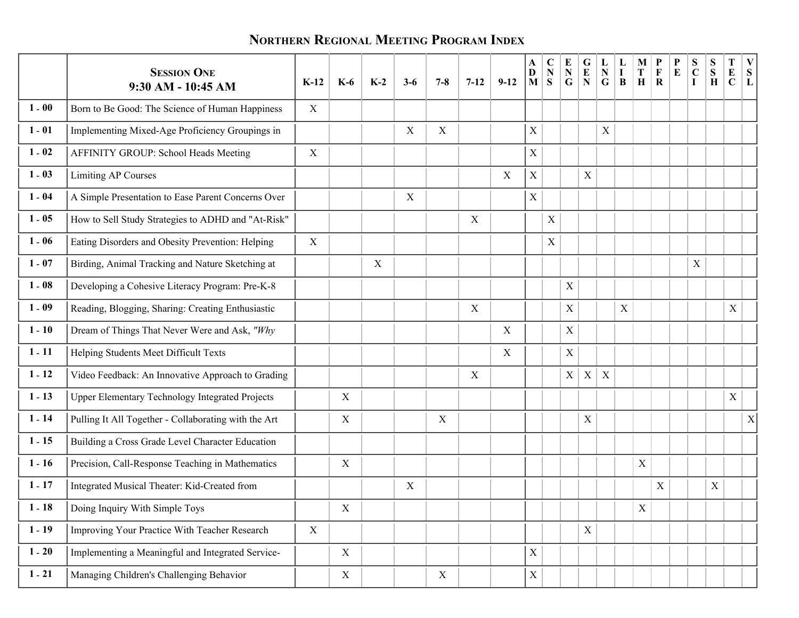# **NORTHERN REGIONAL MEETING PROGRAM INDEX**

|          | <b>SESSION ONE</b><br>9:30 AM - 10:45 AM               | $K-12$      | $K-6$       | $K-2$            | $3-6$       | $7 - 8$ | $7 - 12$ | $9 - 12$    | A<br>$\mathbf D$<br>$\mathbf{M}$ | $\mathbf C$<br>${\bf N}$<br>S | E<br>${\bf N}$<br>$\mathbf G$ | G<br>${\bf E}$<br>${\bf N}$ | L<br>${\bf N}$<br>${\bf G}$ | $\mathbf I$<br>B | М<br>T<br>$\mathbf H$ | P<br>$\mathbf F$<br>$\mathbf R$ | P<br>${\bf E}$ | S<br>$\mathbf C$<br>$\mathbf I$ | S<br>S<br>$\mathbf H$ | T<br>${\bf E}$<br>$\mathbf C$ | V<br>${\bf S}$<br>L |
|----------|--------------------------------------------------------|-------------|-------------|------------------|-------------|---------|----------|-------------|----------------------------------|-------------------------------|-------------------------------|-----------------------------|-----------------------------|------------------|-----------------------|---------------------------------|----------------|---------------------------------|-----------------------|-------------------------------|---------------------|
| $1 - 00$ | Born to Be Good: The Science of Human Happiness        | $\mathbf X$ |             |                  |             |         |          |             |                                  |                               |                               |                             |                             |                  |                       |                                 |                |                                 |                       |                               |                     |
| $1 - 01$ | Implementing Mixed-Age Proficiency Groupings in        |             |             |                  | $\mathbf X$ | X       |          |             | $\mathbf X$                      |                               |                               |                             | $\mathbf X$                 |                  |                       |                                 |                |                                 |                       |                               |                     |
| $1 - 02$ | AFFINITY GROUP: School Heads Meeting                   | $\mathbf X$ |             |                  |             |         |          |             | $\mathbf X$                      |                               |                               |                             |                             |                  |                       |                                 |                |                                 |                       |                               |                     |
| $1 - 03$ | <b>Limiting AP Courses</b>                             |             |             |                  |             |         |          | X           | $\mathbf X$                      |                               |                               | $\mathbf X$                 |                             |                  |                       |                                 |                |                                 |                       |                               |                     |
| $1 - 04$ | A Simple Presentation to Ease Parent Concerns Over     |             |             |                  | X           |         |          |             | $\mathbf X$                      |                               |                               |                             |                             |                  |                       |                                 |                |                                 |                       |                               |                     |
| $1 - 05$ | How to Sell Study Strategies to ADHD and "At-Risk"     |             |             |                  |             |         | X        |             |                                  | $\mathbf X$                   |                               |                             |                             |                  |                       |                                 |                |                                 |                       |                               |                     |
| $1 - 06$ | Eating Disorders and Obesity Prevention: Helping       | $\mathbf X$ |             |                  |             |         |          |             |                                  | $\boldsymbol{\mathrm{X}}$     |                               |                             |                             |                  |                       |                                 |                |                                 |                       |                               |                     |
| $1 - 07$ | Birding, Animal Tracking and Nature Sketching at       |             |             | $\boldsymbol{X}$ |             |         |          |             |                                  |                               |                               |                             |                             |                  |                       |                                 |                | $\mathbf X$                     |                       |                               |                     |
| $1 - 08$ | Developing a Cohesive Literacy Program: Pre-K-8        |             |             |                  |             |         |          |             |                                  |                               | X                             |                             |                             |                  |                       |                                 |                |                                 |                       |                               |                     |
| $1 - 09$ | Reading, Blogging, Sharing: Creating Enthusiastic      |             |             |                  |             |         | X        |             |                                  |                               | $\mathbf X$                   |                             |                             | $\mathbf X$      |                       |                                 |                |                                 |                       | $\mathbf X$                   |                     |
| $1 - 10$ | Dream of Things That Never Were and Ask, "Why          |             |             |                  |             |         |          | X           |                                  |                               | $\boldsymbol{\mathrm{X}}$     |                             |                             |                  |                       |                                 |                |                                 |                       |                               |                     |
| $1 - 11$ | Helping Students Meet Difficult Texts                  |             |             |                  |             |         |          | $\mathbf X$ |                                  |                               | $\boldsymbol{\mathrm{X}}$     |                             |                             |                  |                       |                                 |                |                                 |                       |                               |                     |
| $1 - 12$ | Video Feedback: An Innovative Approach to Grading      |             |             |                  |             |         | X        |             |                                  |                               | X <sub>1</sub>                | X                           | $\boldsymbol{X}$            |                  |                       |                                 |                |                                 |                       |                               |                     |
| $1 - 13$ | <b>Upper Elementary Technology Integrated Projects</b> |             | $\mathbf X$ |                  |             |         |          |             |                                  |                               |                               |                             |                             |                  |                       |                                 |                |                                 |                       | $\mathbf X$                   |                     |
| $1 - 14$ | Pulling It All Together - Collaborating with the Art   |             | X           |                  |             | X       |          |             |                                  |                               |                               | $\mathbf X$                 |                             |                  |                       |                                 |                |                                 |                       |                               | X                   |
| $1 - 15$ | Building a Cross Grade Level Character Education       |             |             |                  |             |         |          |             |                                  |                               |                               |                             |                             |                  |                       |                                 |                |                                 |                       |                               |                     |
| $1 - 16$ | Precision, Call-Response Teaching in Mathematics       |             | X           |                  |             |         |          |             |                                  |                               |                               |                             |                             |                  | X                     |                                 |                |                                 |                       |                               |                     |
| $1 - 17$ | Integrated Musical Theater: Kid-Created from           |             |             |                  | X           |         |          |             |                                  |                               |                               |                             |                             |                  |                       | $\mathbf X$                     |                |                                 | $\mathbf X$           |                               |                     |
|          | 1 - 18   Doing Inquiry With Simple Toys                |             | X           |                  |             |         |          |             |                                  |                               |                               |                             |                             |                  | $\mathbf{X}$          |                                 |                |                                 |                       |                               |                     |
| $1 - 19$ | Improving Your Practice With Teacher Research          | $\mathbf X$ |             |                  |             |         |          |             |                                  |                               |                               | $\mathbf X$                 |                             |                  |                       |                                 |                |                                 |                       |                               |                     |
| $1 - 20$ | Implementing a Meaningful and Integrated Service-      |             | $\mathbf X$ |                  |             |         |          |             | $\mathbf X$                      |                               |                               |                             |                             |                  |                       |                                 |                |                                 |                       |                               |                     |
| $1 - 21$ | Managing Children's Challenging Behavior               |             | $\mathbf X$ |                  |             | X       |          |             | $\mathbf X$                      |                               |                               |                             |                             |                  |                       |                                 |                |                                 |                       |                               |                     |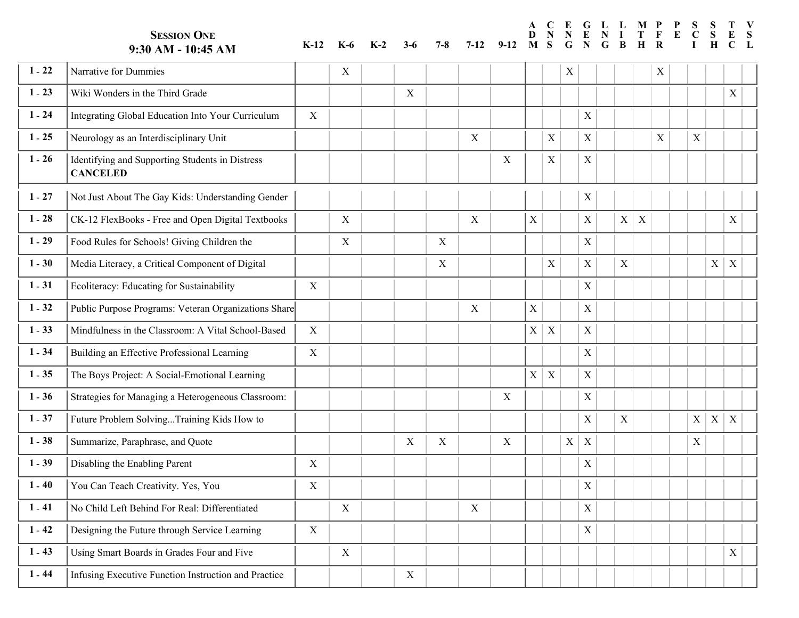**SESSION ONE**

**G E C N E N P L N L I M P S S T**

# **9:30 AM - 10:45 AM K-12 K-6 K-2 3-6 7-8 7-12 9-12**

**N D M S G G B**

**A**

#### **F R T H E S L C I S H E C**

**V**

| $1 - 22$ | Narrative for Dummies                                              |              | X           |             |   |             |   |             |                  | X           |             |             |                  | X           |           |             |                  |
|----------|--------------------------------------------------------------------|--------------|-------------|-------------|---|-------------|---|-------------|------------------|-------------|-------------|-------------|------------------|-------------|-----------|-------------|------------------|
| $1 - 23$ | Wiki Wonders in the Third Grade                                    |              |             | $\mathbf X$ |   |             |   |             |                  |             |             |             |                  |             |           |             | $\mathbf X$      |
| $1 - 24$ | Integrating Global Education Into Your Curriculum                  | X            |             |             |   |             |   |             |                  |             | X           |             |                  |             |           |             |                  |
| $1 - 25$ | Neurology as an Interdisciplinary Unit                             |              |             |             |   | X           |   |             | X                |             | $\mathbf X$ |             |                  | $\mathbf X$ | X         |             |                  |
| $1 - 26$ | Identifying and Supporting Students in Distress<br><b>CANCELED</b> |              |             |             |   |             | X |             | $\mathbf X$      |             | $\mathbf X$ |             |                  |             |           |             |                  |
| $1 - 27$ | Not Just About The Gay Kids: Understanding Gender                  |              |             |             |   |             |   |             |                  |             | X           |             |                  |             |           |             |                  |
| $1 - 28$ | CK-12 FlexBooks - Free and Open Digital Textbooks                  |              | $\mathbf X$ |             |   | $\mathbf X$ |   | $\mathbf X$ |                  |             | $\mathbf X$ | X           | $\boldsymbol{X}$ |             |           |             | X                |
| $1 - 29$ | Food Rules for Schools! Giving Children the                        |              | X           |             | X |             |   |             |                  |             | $\mathbf X$ |             |                  |             |           |             |                  |
| $1 - 30$ | Media Literacy, a Critical Component of Digital                    |              |             |             | X |             |   |             | X                |             | $\mathbf X$ | $\mathbf X$ |                  |             |           | X           | $\boldsymbol{X}$ |
| $1 - 31$ | Ecoliteracy: Educating for Sustainability                          | X            |             |             |   |             |   |             |                  |             | $\mathbf X$ |             |                  |             |           |             |                  |
| $1 - 32$ | Public Purpose Programs: Veteran Organizations Share               |              |             |             |   | $\mathbf X$ |   | $\mathbf X$ |                  |             | $\mathbf X$ |             |                  |             |           |             |                  |
| $1 - 33$ | Mindfulness in the Classroom: A Vital School-Based                 | $\mathbf{X}$ |             |             |   |             |   | $\mathbf X$ | $\boldsymbol{X}$ |             | X           |             |                  |             |           |             |                  |
| $1 - 34$ | Building an Effective Professional Learning                        | X            |             |             |   |             |   |             |                  |             | $\mathbf X$ |             |                  |             |           |             |                  |
| $1 - 35$ | The Boys Project: A Social-Emotional Learning                      |              |             |             |   |             |   | $\mathbf X$ | $\mathbf X$      |             | $\mathbf X$ |             |                  |             |           |             |                  |
| $1 - 36$ | Strategies for Managing a Heterogeneous Classroom:                 |              |             |             |   |             | X |             |                  |             | $\mathbf X$ |             |                  |             |           |             |                  |
| $1 - 37$ | Future Problem SolvingTraining Kids How to                         |              |             |             |   |             |   |             |                  |             | $\mathbf X$ | $\mathbf X$ |                  |             | $X \vert$ | $\mathbf X$ | X                |
| $1 - 38$ | Summarize, Paraphrase, and Quote                                   |              |             | $\mathbf X$ | X |             | X |             |                  | $\mathbf X$ | $\mathbf X$ |             |                  |             | X         |             |                  |
| $1 - 39$ | Disabling the Enabling Parent                                      | X            |             |             |   |             |   |             |                  |             | X           |             |                  |             |           |             |                  |
| $1 - 40$ | You Can Teach Creativity. Yes, You                                 | $\mathbf X$  |             |             |   |             |   |             |                  |             | $\mathbf X$ |             |                  |             |           |             |                  |
| $1 - 41$ | No Child Left Behind For Real: Differentiated                      |              | X           |             |   | X           |   |             |                  |             | $\mathbf X$ |             |                  |             |           |             |                  |
| $1 - 42$ | Designing the Future through Service Learning                      | $\mathbf X$  |             |             |   |             |   |             |                  |             | $\mathbf X$ |             |                  |             |           |             |                  |
| $1 - 43$ | Using Smart Boards in Grades Four and Five                         |              | $\mathbf X$ |             |   |             |   |             |                  |             |             |             |                  |             |           |             | $\mathbf X$      |
| $1 - 44$ | Infusing Executive Function Instruction and Practice               |              |             | $\mathbf X$ |   |             |   |             |                  |             |             |             |                  |             |           |             |                  |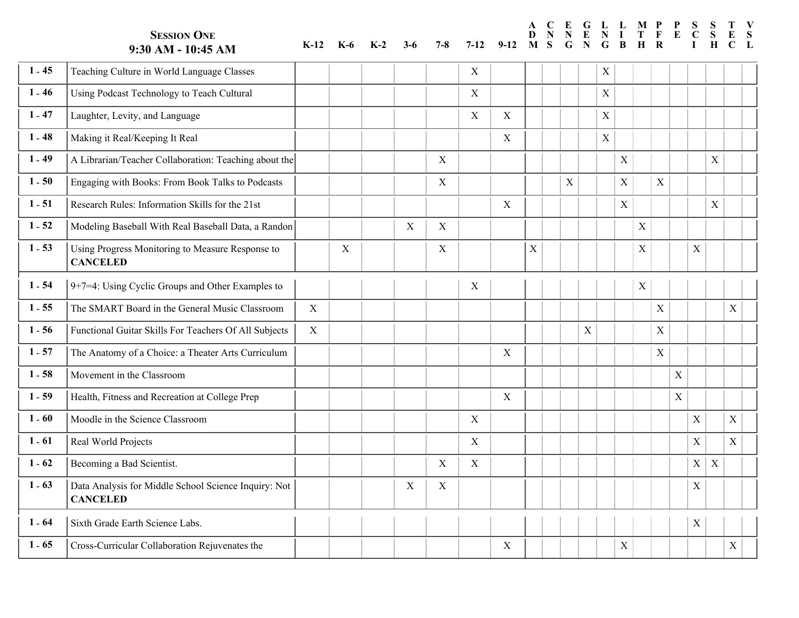|          | <b>SESSION ONE</b><br>9:30 AM - 10:45 AM                                | $K-12$      | <b>K-6</b>  | $K-2$ | 3-6 | $7 - 8$     | $7-12$           | $9-12$      | A<br>D<br>M | <sub>S</sub> | E<br>G                    | G<br>N                    | $\mathbf{L}$<br>G | L<br>B                    | M P         |             | $\mathbf{P}$<br>E | S           | S<br>S<br>H      |                           | V<br>S |
|----------|-------------------------------------------------------------------------|-------------|-------------|-------|-----|-------------|------------------|-------------|-------------|--------------|---------------------------|---------------------------|-------------------|---------------------------|-------------|-------------|-------------------|-------------|------------------|---------------------------|--------|
| $1 - 45$ | Teaching Culture in World Language Classes                              |             |             |       |     |             | X                |             |             |              |                           |                           | $\mathbf X$       |                           |             |             |                   |             |                  |                           |        |
| $1 - 46$ | Using Podcast Technology to Teach Cultural                              |             |             |       |     |             | $\boldsymbol{X}$ |             |             |              |                           |                           | $\mathbf X$       |                           |             |             |                   |             |                  |                           |        |
| $1 - 47$ | Laughter, Levity, and Language                                          |             |             |       |     |             | $\boldsymbol{X}$ | X           |             |              |                           |                           | $\mathbf X$       |                           |             |             |                   |             |                  |                           |        |
| $1 - 48$ | Making it Real/Keeping It Real                                          |             |             |       |     |             |                  | $\mathbf X$ |             |              |                           |                           | $\mathbf X$       |                           |             |             |                   |             |                  |                           |        |
| $1 - 49$ | A Librarian/Teacher Collaboration: Teaching about the                   |             |             |       |     | X           |                  |             |             |              |                           |                           |                   | $\boldsymbol{\mathrm{X}}$ |             |             |                   |             | $\mathbf X$      |                           |        |
| $1 - 50$ | Engaging with Books: From Book Talks to Podcasts                        |             |             |       |     | X           |                  |             |             |              | $\boldsymbol{\mathrm{X}}$ |                           |                   | $\mathbf X$               |             | $\mathbf X$ |                   |             |                  |                           |        |
| $1 - 51$ | Research Rules: Information Skills for the 21st                         |             |             |       |     |             |                  | X           |             |              |                           |                           |                   | $\mathbf X$               |             |             |                   |             | $\mathbf X$      |                           |        |
| $1 - 52$ | Modeling Baseball With Real Baseball Data, a Randon                     |             |             |       | X   | X           |                  |             |             |              |                           |                           |                   |                           | $\mathbf X$ |             |                   |             |                  |                           |        |
| $1 - 53$ | Using Progress Monitoring to Measure Response to<br><b>CANCELED</b>     |             | $\mathbf X$ |       |     | X           |                  |             | X           |              |                           |                           |                   |                           | X           |             |                   | X           |                  |                           |        |
| $1 - 54$ | $9+7=4$ : Using Cyclic Groups and Other Examples to                     |             |             |       |     |             | X                |             |             |              |                           |                           |                   |                           | $\mathbf X$ |             |                   |             |                  |                           |        |
| $1 - 55$ | The SMART Board in the General Music Classroom                          | X           |             |       |     |             |                  |             |             |              |                           |                           |                   |                           |             | X           |                   |             |                  | X                         |        |
| $1 - 56$ | Functional Guitar Skills For Teachers Of All Subjects                   | $\mathbf X$ |             |       |     |             |                  |             |             |              |                           | $\boldsymbol{\mathrm{X}}$ |                   |                           |             | $\mathbf X$ |                   |             |                  |                           |        |
| $1 - 57$ | The Anatomy of a Choice: a Theater Arts Curriculum                      |             |             |       |     |             |                  | X           |             |              |                           |                           |                   |                           |             | X           |                   |             |                  |                           |        |
| $1 - 58$ | Movement in the Classroom                                               |             |             |       |     |             |                  |             |             |              |                           |                           |                   |                           |             |             | $\mathbf X$       |             |                  |                           |        |
| $1 - 59$ | Health, Fitness and Recreation at College Prep                          |             |             |       |     |             |                  | $\mathbf X$ |             |              |                           |                           |                   |                           |             |             | $\mathbf X$       |             |                  |                           |        |
| $1 - 60$ | Moodle in the Science Classroom                                         |             |             |       |     |             | $\boldsymbol{X}$ |             |             |              |                           |                           |                   |                           |             |             |                   | X           |                  | $\mathbf X$               |        |
| $1 - 61$ | Real World Projects                                                     |             |             |       |     |             | X                |             |             |              |                           |                           |                   |                           |             |             |                   | X           |                  | X                         |        |
| $1 - 62$ | Becoming a Bad Scientist.                                               |             |             |       |     | X           | X                |             |             |              |                           |                           |                   |                           |             |             |                   | X           | $\boldsymbol{X}$ |                           |        |
| $1 - 63$ | Data Analysis for Middle School Science Inquiry: Not<br><b>CANCELED</b> |             |             |       | X   | $\mathbf X$ |                  |             |             |              |                           |                           |                   |                           |             |             |                   | $\mathbf X$ |                  |                           |        |
| $1 - 64$ | Sixth Grade Earth Science Labs.                                         |             |             |       |     |             |                  |             |             |              |                           |                           |                   |                           |             |             |                   | $\mathbf X$ |                  |                           |        |
| $1 - 65$ | Cross-Curricular Collaboration Rejuvenates the                          |             |             |       |     |             |                  | $\mathbf X$ |             |              |                           |                           |                   | $\mathbf X$               |             |             |                   |             |                  | $\boldsymbol{\mathrm{X}}$ |        |

**A**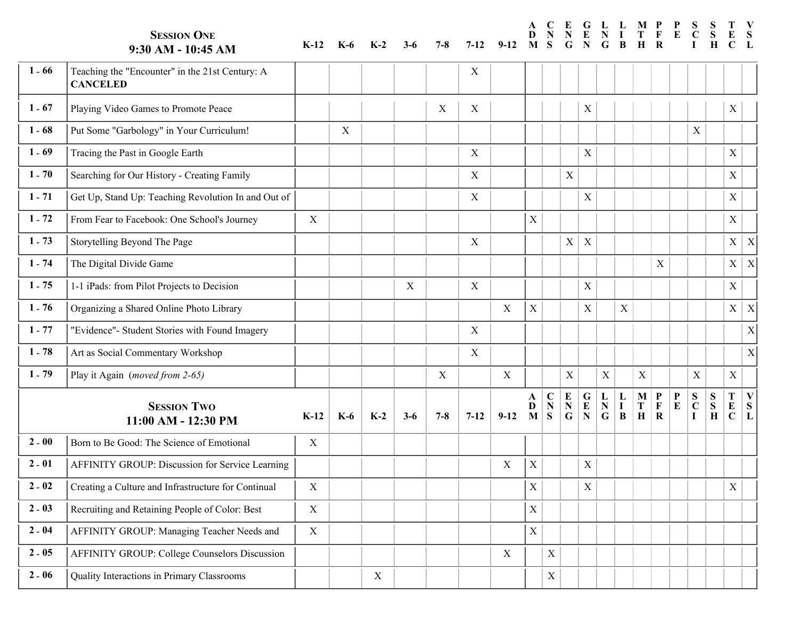|          | <b>SESSION ONE</b><br>9:30 AM - 10:45 AM                           | $K-12$      | K-6   | $K-2$ | 3-6   | 7-8     | $7 - 12$                  | $9-12$           | A<br>D<br>M | S                             | E<br>G              | G                                     | L<br>G                        | L<br>B                | M                         |                                       |                |                       | S<br>H                    |                       | S                         |
|----------|--------------------------------------------------------------------|-------------|-------|-------|-------|---------|---------------------------|------------------|-------------|-------------------------------|---------------------|---------------------------------------|-------------------------------|-----------------------|---------------------------|---------------------------------------|----------------|-----------------------|---------------------------|-----------------------|---------------------------|
| $1 - 66$ | Teaching the "Encounter" in the 21st Century: A<br><b>CANCELED</b> |             |       |       |       |         | X                         |                  |             |                               |                     |                                       |                               |                       |                           |                                       |                |                       |                           |                       |                           |
| $1 - 67$ | Playing Video Games to Promote Peace                               |             |       |       |       | X       | X                         |                  |             |                               |                     | X                                     |                               |                       |                           |                                       |                |                       |                           | X                     |                           |
| $1 - 68$ | Put Some "Garbology" in Your Curriculum!                           |             | X     |       |       |         |                           |                  |             |                               |                     |                                       |                               |                       |                           |                                       |                | X                     |                           |                       |                           |
| $1 - 69$ | Tracing the Past in Google Earth                                   |             |       |       |       |         | X                         |                  |             |                               |                     | X                                     |                               |                       |                           |                                       |                |                       |                           | $\mathbf X$           |                           |
| $1 - 70$ | Searching for Our History - Creating Family                        |             |       |       |       |         | $\boldsymbol{\mathrm{X}}$ |                  |             |                               | X                   |                                       |                               |                       |                           |                                       |                |                       |                           | $\mathbf X$           |                           |
| $1 - 71$ | Get Up, Stand Up: Teaching Revolution In and Out of                |             |       |       |       |         | X                         |                  |             |                               |                     | $\boldsymbol{\mathrm{X}}$             |                               |                       |                           |                                       |                |                       |                           | $\mathbf X$           |                           |
| $1 - 72$ | From Fear to Facebook: One School's Journey                        | $\mathbf X$ |       |       |       |         |                           |                  | $\mathbf X$ |                               |                     |                                       |                               |                       |                           |                                       |                |                       |                           | $\mathbf X$           |                           |
| $1 - 73$ | Storytelling Beyond The Page                                       |             |       |       |       |         | X                         |                  |             |                               | X                   | $\boldsymbol{\mathrm{X}}$             |                               |                       |                           |                                       |                |                       |                           | $\mathbf X$           | $\boldsymbol{\mathrm{X}}$ |
| $1 - 74$ | The Digital Divide Game                                            |             |       |       |       |         |                           |                  |             |                               |                     |                                       |                               |                       |                           | $\mathbf X$                           |                |                       |                           | X                     | X                         |
| $1 - 75$ | 1-1 iPads: from Pilot Projects to Decision                         |             |       |       | X     |         | X                         |                  |             |                               |                     | $\mathbf X$                           |                               |                       |                           |                                       |                |                       |                           | $\mathbf X$           |                           |
| $1 - 76$ | Organizing a Shared Online Photo Library                           |             |       |       |       |         |                           | $\boldsymbol{X}$ | $\mathbf X$ |                               |                     | $\boldsymbol{\mathrm{X}}$             |                               | X                     |                           |                                       |                |                       |                           | $\mathbf X$           | X                         |
| $1 - 77$ | "Evidence"- Student Stories with Found Imagery                     |             |       |       |       |         | X                         |                  |             |                               |                     |                                       |                               |                       |                           |                                       |                |                       |                           |                       | X                         |
| $1 - 78$ | Art as Social Commentary Workshop                                  |             |       |       |       |         | X                         |                  |             |                               |                     |                                       |                               |                       |                           |                                       |                |                       |                           |                       | $\mathbf X$               |
| $1 - 79$ | Play it Again (moved from 2-65)                                    |             |       |       |       | X       |                           | X                |             |                               | $\mathbf X$         |                                       | $\mathbf X$                   |                       | $\boldsymbol{\mathrm{X}}$ |                                       |                | $\mathbf X$           |                           | $\mathbf X$           |                           |
|          | <b>SESSION TWO</b><br>11:00 AM - 12:30 PM                          | $K-12$      | $K-6$ | $K-2$ | $3-6$ | $7 - 8$ | $7 - 12$                  | $9-12$           | A<br>D<br>M | $\mathbf C$<br>${\bf N}$<br>S | E<br>${\bf N}$<br>G | $\mathbf G$<br>${\bf E}$<br>${\bf N}$ | L<br>${\bf N}$<br>$\mathbf G$ | L<br>$\mathbf I$<br>B | M<br>T<br>$\mathbf H$     | $\mathbf P$<br>$\mathbf F$<br>$\bf R$ | P<br>${\bf E}$ | S<br>$\mathbf C$<br>I | S<br>${\bf S}$<br>$\bf H$ | T<br>E<br>$\mathbf C$ | V<br>${\bf S}$<br>L       |
| $2 - 00$ | Born to Be Good: The Science of Emotional                          | X           |       |       |       |         |                           |                  |             |                               |                     |                                       |                               |                       |                           |                                       |                |                       |                           |                       |                           |
| $2 - 01$ | AFFINITY GROUP: Discussion for Service Learning                    |             |       |       |       |         |                           | X                | $\mathbf X$ |                               |                     | X                                     |                               |                       |                           |                                       |                |                       |                           |                       |                           |
| $2 - 02$ | Creating a Culture and Infrastructure for Continual                | X           |       |       |       |         |                           |                  | $\mathbf X$ |                               |                     | X                                     |                               |                       |                           |                                       |                |                       |                           | X                     |                           |
| $2 - 03$ | Recruiting and Retaining People of Color: Best                     | X           |       |       |       |         |                           |                  | $\mathbf X$ |                               |                     |                                       |                               |                       |                           |                                       |                |                       |                           |                       |                           |
| $2 - 04$ | AFFINITY GROUP: Managing Teacher Needs and                         | X           |       |       |       |         |                           |                  | $\mathbf X$ |                               |                     |                                       |                               |                       |                           |                                       |                |                       |                           |                       |                           |
| $2 - 05$ | <b>AFFINITY GROUP: College Counselors Discussion</b>               |             |       |       |       |         |                           | $\mathbf X$      |             | X                             |                     |                                       |                               |                       |                           |                                       |                |                       |                           |                       |                           |
| $2 - 06$ | Quality Interactions in Primary Classrooms                         |             |       | X     |       |         |                           |                  |             | $\mathbf X$                   |                     |                                       |                               |                       |                           |                                       |                |                       |                           |                       |                           |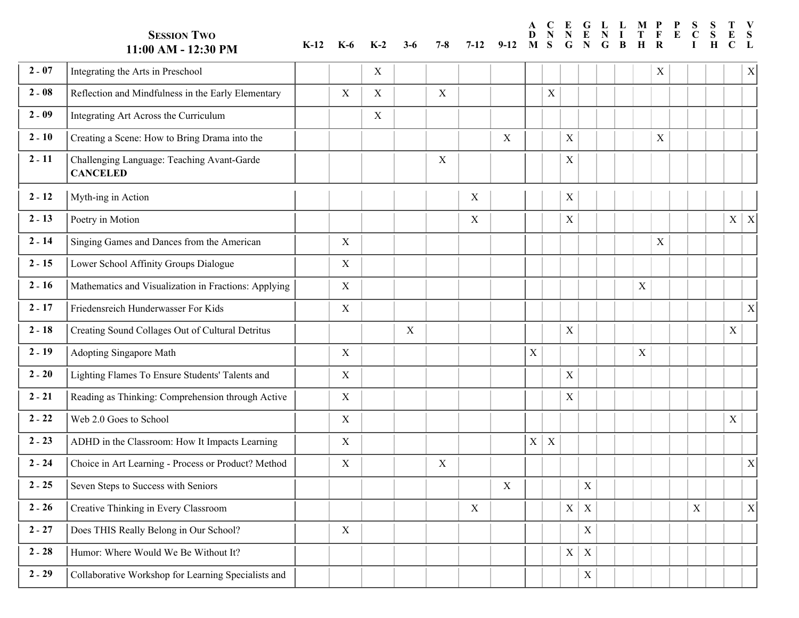**SESSION TWO 11:00 AM - 12:30 PM K-12 K-6 K-2 3-6 7-8** 

**G L E D N N F N I T C E P L M P S E C S S**

**B**

**G**

**R H**

**V S L**

**T E C**

**I H**

**N M S G**

**A**

#### **2** - **07** Integrating the Arts in Preschool  $X \mid X \mid \text{or} \mid X \mid \text{or} \mid X \mid \text{or} \mid X \mid \text{or} \mid X \mid \text{or} \mid X \mid \text{or} \mid X \mid \text{or} \mid X \mid \text{or} \mid X \mid \text{or} \mid X \mid \text{or} \mid X \mid \text{or} \mid X \mid \text{or} \mid X \mid \text{or} \mid X \mid \text{or} \mid X \mid \text{or} \mid X \mid \text{or} \mid X \mid \text{or} \mid X \$ n n <sup>n</sup> **<sup>2</sup>** - **<sup>08</sup>** Reflection and Mindfulness in the Early Elementary X <sup>X</sup> <sup>X</sup> <sup>R</sup> R n  $X$  | | | |  $X$ n n n n n n  $X$ n n n n n n n R n n n n n n e **2 - 09** Integrating Art Across the Curriculum X X X I e X R e e e e e e e e e e e e e e e e e e e n n <sup>n</sup> **<sup>2</sup>** - **<sup>10</sup>** Creating a Scene: How to Bring Drama into the X <sup>C</sup> C n n n n n n n n C n n n n n C n n n n n n n r 2 - 11 | Challenging Language: Teaching Avant-Garde r X X C r r r r r r r r r r r r C r r r r r r r **CANCELED** h  $X \parallel$   $\parallel$   $\perp$ X C **2** - **12** Myth-ing in Action  $X = \begin{bmatrix} 1 & 1 \\ 1 & 1 \end{bmatrix}$   $X = \begin{bmatrix} X \\ Y \end{bmatrix}$ i  $\frac{1}{\sqrt{2}}$ i X M y y y P i i i i i i i i M y P i <sup>z</sup> i i <sup>z</sup> i i  $2 - 12$ **2 - 13** Poetry in Motion **Poetry in Motion** X **Reserves** o **2 - 14** Singing Games and Dances from the American X X X Strategy Service Service Service Service Service Service Service Service Service Service Service Service Service Service Service Service Service Service Service Ser o X X PX o o o o o o o S o o o o o o o o o o o o i i <sup>i</sup> **<sup>2</sup>** - **<sup>15</sup>** Lower School Affinity Groups Dialogue <sup>X</sup> <sup>L</sup> L i X S i i i i i i i i i i i i i i i i i i i o **2-16** Mathematics and Visualization in Fractions: Applying **X** X MILE o o o o o o o o  $\overline{\overline{x}}$ o o o o o o o o o o o a a <sup>a</sup> **<sup>2</sup>** - **<sup>17</sup>** Friedensreich Hunderwasser For Kids <sup>X</sup> <sup>F</sup> F a X M  $\overline{X}$ a a a a a a a a a a a a a a a a a a  $2 - 16$ r **2 - 18** Creating Sound Collages Out of Cultural Detritus **COLLANS** X X X X V r r r r C r r r r r r r r r C r r r r r r r  $X$ r <sup>r</sup> **<sup>2</sup>** - **<sup>19</sup>** Adopting Singapore Math <sup>X</sup> <sup>A</sup> A r  $X \begin{pmatrix} 0 & 0 \\ 0 & 0 \\ 0 & 0 \end{pmatrix}$  and  $\begin{pmatrix} 0 & 0 \\ 0 & 0 \\ 0 & 0 \end{pmatrix}$  and  $X \begin{pmatrix} 0 & 0 \\ 0 & 0 \\ 0 & 0 \end{pmatrix}$ r r r r r r r  $\sqrt{ }$ r r r r r r r r r r r d d <sup>d</sup> **<sup>2</sup>** - **<sup>20</sup>** Lighting Flames To Ensure Students' Talents and X <sup>L</sup> L d X X A d d d d d d d d d d d d L d d d d d d d i i <sup>i</sup> **<sup>2</sup>** - **<sup>21</sup>** Reading as Thinking: Comprehension through Active <sup>X</sup> <sup>R</sup> R i X L i i i i i i i i i i i i i i i i i i i e e W e X R e e  $\boxed{\textbf{x}}$ e e e e e e e e R e e e e e e e e <sup>e</sup> **<sup>2</sup>** - **<sup>22</sup>** Web 2.0 Goes to School <sup>X</sup> <sup>W</sup>  $\overline{X}$ e <sup>e</sup> **<sup>2</sup>** - **<sup>23</sup>** ADHD in the Classroom: How It Impacts Learning X <sup>A</sup> A e e e e e e e e e e e e e e e e e e e  $2 - 22$ D D <sup>D</sup>**<sup>2</sup>** - **<sup>24</sup>** Choice in Art Learning - Process or Product? Method X <sup>X</sup> <sup>C</sup> C D  $X \mid X \mid$  and a set of  $X \mid X \mid$  and a set of  $X \mid X \mid$  and a set of  $X \mid X \mid$  and a set of  $X \mid X \mid$  and a set of  $X \mid$  $\overline{\mathbf{x}}$ D D D D D D D D D D D D D D D D D D h **2 - 25** Seven Steps to Success with Seniors X Success with Seniors X Success with Seniors X Success with Seniors X Success of Success with Seniors X Success with Seniors X Success with Seniors X Success with Seniors 3 Suc h h h h h h h h h h h h S h h h h h h h h e **2 - 26** Creative Thinking in Every Classroom **X Community Community Community** Chapter A Community Community Community Community Community Community Community Community Community Community Community Community Community Co e X S  $X$ e e e e C e e e e e e C e C e e e e e e e r **2 - 27** Does THIS Really Belong in Our School? X X Description of the Contract of the Contract of the Contract of the Contract of the Contract of the Contract of the Contract of the Contract of the Contract of the Contrac r  $X \mid X \mid \quad | \quad | \quad | \quad | \quad | \quad X \mid \quad | \quad | \quad X$ r r r r r r r r r r r r r r r r r r r o **2 - 28** Humor: Where Would We Be Without It? **Here** Humor Would We Be Without It? o X D o o o o o o o o o o  $X$  $\boxed{\text{X} \mid \text{Y}}$ o o o o o o o u u C **2** - **29** CCollaborative Workshop for Learning Specialists and C C C C C C C C C C CX C C C C C C C C C Cu  $X \mid X \mid \quad | \quad | \quad | \quad | \quad | \quad | \quad | \quad | \quad | \quad |$ u u u u u u u u u u  $X$ u u u u u u u u u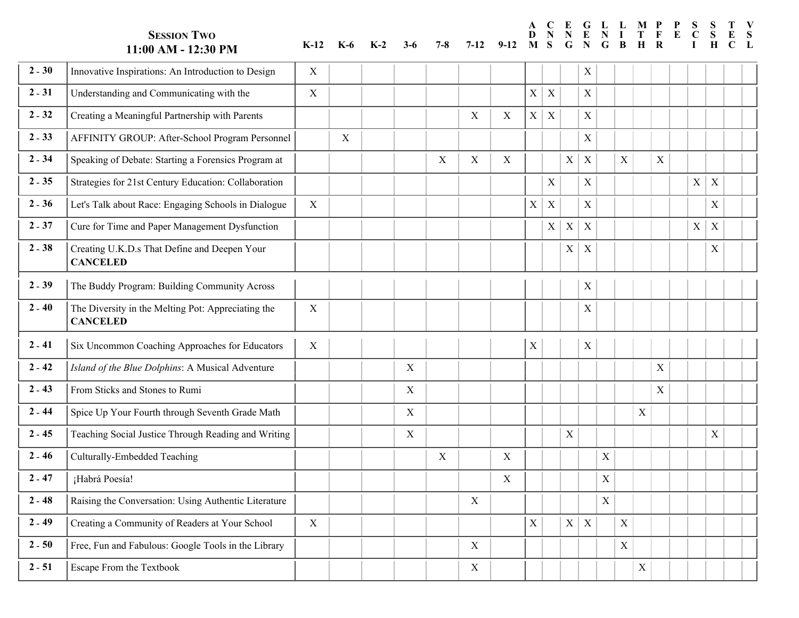**SESSION TWO 11:00 AM - 12:30 PM K-12 K-6 K-2 3-6 7-8 G L E N M S G A D N N F N I T C E P L M P S R H G B E C V S L I S S H T E C 2** - **30** Innovative Inspirations: An Introduction to Design X I I  $\overline{X}$ n <sup>n</sup> **<sup>2</sup>** - **<sup>31</sup>** Understanding and Communicating with the X <sup>U</sup> U n X I n n n n n n n n n n  $\sqrt{ }$ n n n n n n n  $\overline{X}$ n <sup>n</sup> **<sup>2</sup>** - **<sup>32</sup>** Creating a Meaningful Partnership with Parents <sup>X</sup> <sup>X</sup> <sup>C</sup> C n  $X \mid X \mid \quad |X \mid \quad | \quad | \quad | \quad | \quad | \quad | \quad | \quad | \quad |$ n n n n n n n n n n n C n n n n n n n r **2-33** AFFINITY GROUP: After-School Program Personnel X X X AFFINITY GROUP: After-School Program Personnel r  $X \mid X \mid \quad |X \mid \quad | \quad | \quad | \quad | \quad | \quad | \quad | \quad | \quad |$ r r r r r r r r r r r r r r r r r r r F **2 - 34** Speaking of Debate: Starting a Forensics Program at X X X X X S F X A F F F F F F F S F F S F A  $\boxed{\textbf{x}}$ : F F F F F F F p **2 - 35** Strategies for 21st Century Education: Collaboration **Strategies of the Strategies of 21st Century Education: Collaboration <b>Strategies** Section: Section Strategies of 21st Century Education: Collaboration **Strate** p  $X \mid X \mid X \mid X \mid X \mid \mid$ p p p  $\boxed{\textbf{x}}$ : p p p p p p S p p S p p p p p p  $\boxed{\textbf{X} \mid \textbf{X}}$ t <sup>t</sup> **<sup>2</sup>** - **<sup>36</sup>** Let's Talk about Race: Engaging Schools in Dialogue X <sup>L</sup> L t  $X \begin{bmatrix} \mid X \mid \mid \mid \mid \mid \mid \mid \mid X \mid X \mid \mid \mid \mid \end{bmatrix}$ t t t t t t t t t t t t t t t t t t e **2 - 37** Cure for Time and Paper Management Dysfunction **CO CO** e  $X \mid X \mid X \mid \cdot \mid \cdot \mid \cdot \mid \cdot \mid X \mid \cdot \mid$ e e e  $X$  $\boxed{\text{X} \mid \text{X}}$ e e e e e  $X$ e e e X X X X X C C C C e e e e e e u 2 - 38 Creating U.K.D.s That Define and Deepen Your u u u u u C u u u u u u u C u C u u u u u u u **CANCELED**  $X \mid X \mid \quad | \quad | \quad | \quad | \quad | \quad | \quad X \mid \quad |$ **2** - **39** The Buddy Program: Building Community Across T T h **2 - 40** The Diversity in the Melting Pot: Appreciating the h X T h h h h h h h h h h  $X$ h T h h h h h h h h **CANCELED** h  $X \begin{pmatrix} 1 & 1 \\ 1 & 1 \end{pmatrix}$ X T **2 - 41** Six Uncommon Coaching Approaches for Educators  $\begin{vmatrix} X \end{vmatrix}$  (  $\begin{vmatrix} 1 \end{vmatrix}$  (  $\begin{vmatrix} 2 \end{vmatrix}$ i i <sup>i</sup> **<sup>2</sup>** - **<sup>42</sup>** *Island of the Blue Dolphins*: A Musical Adventure <sup>X</sup> *<sup>I</sup> I* i X X S i i i i i i i i i i  $\bar{X}$ i i i i i i i i i *s s <sup>s</sup>* **<sup>2</sup>** - **<sup>43</sup>** From Sticks and Stones to Rumi <sup>X</sup> <sup>F</sup> F *s*  $X \begin{pmatrix} 1 & 1 \\ 1 & 1 \end{pmatrix}$ *s s s s s s I s* F *s s s s s s s s s s s s* r **2 - 44** Spice Up Your Fourth through Seventh Grade Math X X X X X Spice Up Your Fourth through Seventh Grade Math r X F r r r r r r r r S r r r r r r r r r r r p **2 - 45** Teaching Social Justice Through Reading and Writing **X** X \Reading \Reading \Reading \Reading \Reading \Reading \Reading \Reading \Reading \Reading \Reading \Reading \Reading \Reading \Reading \Reading \Reading \R p  $X$   $\vert$   $\vert$   $\vert$   $\vert$   $\vert$   $\vert$   $\vert$ p p p p T p p p p p p p p T p p p p p p p e **2 - 46** Culturally-Embedded Teaching **CONF CONTROL** e  $X \begin{pmatrix} 1 & 1 & 1 \\ 1 & 1 & 1 \end{pmatrix}$   $X \begin{pmatrix} 1 & 1 \\ 1 & 1 \end{pmatrix}$ e e e e e e e e e e C e e e e e e e e e u ¡Habrá Poesía! u  $X \begin{pmatrix} 0 & 0 \\ 0 & 0 \end{pmatrix}$ u u u u u u u u u u X u u u u u u u u u u **2 - 47 i** Habrá Poesía! **Example 2 - 48** Raising the Conversation: Using Authentic Literature **Replace to the Conversation: Using Authentic Literature Replace 2 - 48** Raising the Conversation: Using Authentic Literature **Replace 2 - 48** Raising t  $\mathbf{X}$ a <sup>a</sup> **<sup>2</sup>** - **<sup>49</sup>** Creating a Community of Readers at Your School <sup>X</sup> <sup>C</sup> C a X R a a a a a a a a a C R a  $\boxed{\text{X} \mid \text{X}}$ a a a a a a a r **2 - 50** Free, Fun and Fabulous: Google Tools in the Library **Free**, Fun and Fabulous: Google Tools in the Library **Free** r X X X X C r r r r r r r r r r r r r r r r r r r r **2 - 51** Escape From the Textbook X All 2 - 51 Escape From the Textbook r X F r r r r r r r r E  $X$ r r r r r r r r r r r X E

s

s

s

s

s

s

s

s

s

s

s s

s s s s s s s s s s s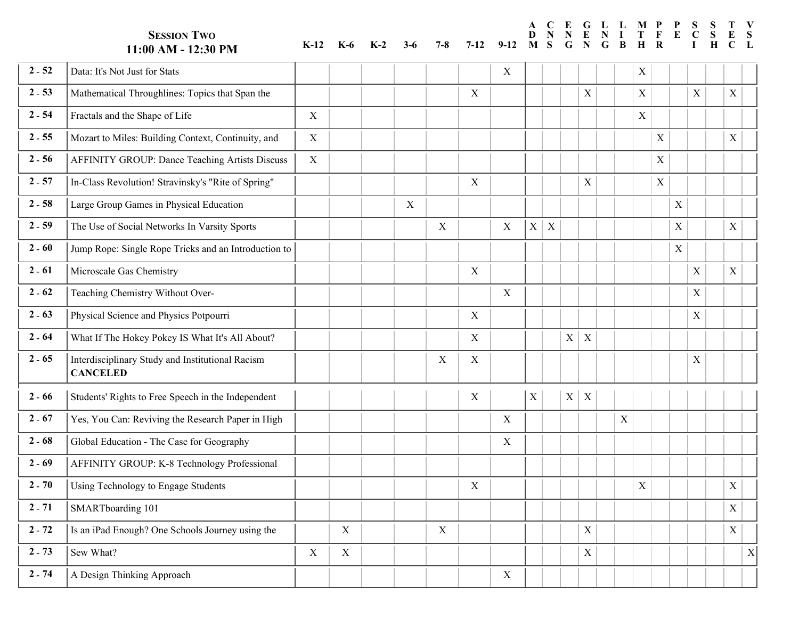**SESSION TWO 11:00 AM - 12:30 PM K-12 K-6 K-2 3-6 7-8 7-12 9-12 G E N G A D N N M S C E P M P S F T R L N I G L B H E C V S L I S S H T E C 2** - **52** Data: It's Not Just for Stats  $X = \begin{bmatrix} 1 & 1 & 1 \\ 1 & 1 & 1 \\ 1 & 1 & 1 \end{bmatrix}$  X  $X = \begin{bmatrix} 1 & 1 & 1 \\ 1 & 1 & 1 \\ 1 & 1 & 1 \end{bmatrix}$ a a <sup>a</sup> **<sup>2</sup>** - **<sup>53</sup>** Mathematical Throughlines: Topics that Span the X <sup>M</sup> M a  $X \begin{pmatrix} 0 & 0 \\ 0 & 0 \\ 0 & 0 \end{pmatrix}$ a a a M a a M a a  $X$ a M a a a M a a a a a a a a a a <sup>a</sup> **<sup>2</sup>** - **<sup>54</sup>** Fractals and the Shape of Life <sup>X</sup> <sup>F</sup> F a  $X \begin{bmatrix} \mid & \mid & X \mid \mid & \mid & X \mid \mid & X \mid \end{bmatrix}$ a a a a a a a a F a a a a a a a a a a a  $2 - 53$ r **2 - 55** Mozart to Miles: Building Context, Continuity, and X X Miles of American Material Andrew Material Andrew Material Andrew Material Andrew Material Andrew Material Andrew Material Andrew Material Andrew Material And r X F r r  $\overline{\overline{x}}$ r r r  $\overline{\overline{x}}$ r r r r r r r r r r r r o o <sup>o</sup> **<sup>2</sup>** - **<sup>56</sup>** AFFINITY GROUP: Dance Teaching Artists Discuss <sup>X</sup> <sup>A</sup> A o  $X$   $X$   $X$ o o o o o o  $\overline{\ }$ o o o o o o o o o o o o  $2 - 55$ F F <sup>F</sup> **<sup>2</sup>** - **<sup>57</sup>** In-Class Revolution! Stravinsky's "Rite of Spring" X <sup>I</sup> I F X A F F F F F F F I F F F  $X$ F F F F F F F F n n <sup>n</sup> **<sup>2</sup>** - **<sup>58</sup>** Large Group Games in Physical Education <sup>X</sup> <sup>L</sup> L n X X I n n n n n n L n n n n n n n n n n n n n  $\boxed{\text{X} \mid \text{Z}}$ a <sup>a</sup> **<sup>2</sup>** - **<sup>59</sup>** The Use of Social Networks In Varsity Sports <sup>X</sup> <sup>X</sup> <sup>T</sup> T a X L a a a T a a a T a a a a a a a a a a a a h **2 - 60** Jump Rope: Single Rope Tricks and an Introduction to **Jump Access** h  $X \mid X \mid \quad | \quad | \quad | \quad | \quad | \quad | \quad X \mid \quad | \quad X \mid$ h h h h h h J h h h h h h h h h h h h h u 2 - **61** Microscale Gas Chemistry Mathematics And All Alexander Control of Alexander Control of Alexander Control of Alexander Control of Alexander Control of Alexander Control of Alexander Control of Alexander Control of u X J u u  $\overline{\mathbf{x} \mid \mathbf{x} \mid}$ u  $\overline{\overline{x}}$ u u u u u u u u u u u u u u i i i i i i i i i i i i i i i i i i i i i i  $2 - 61$ **2 - 62** Teaching Chemistry Without Over-<br> **Example 2** - **62** Teaching Chemistry Without Over-<br> **Example 2** - **62** Teaching Chemistry Without Overe **2 - 63** Physical Science and Physics Potpourri X X X Physical Science and Physics Potpourri e  $\mathbf{X}$   $\vert \cdot \vert$ e e e e  $\boxed{\textbf{x}$ e e e e e e e e e e e e e e h **2 - 64** What If The Hokey Pokey IS What It's All About? <br>X X h h h h h h h h h h h  $\overline{X}$   $\overline{X}$ h h h h h h h h **2 - 65** Interdisciplinary Study and Institutional Racism h X X W h h h h  $\boxed{\textbf{x}$ h h h h h h h h h h h h h h  $2 - 64$ **CANCELED** n  $X \mid X \mid$ **2** - **66** Students' Rights to Free Speech in the Independent X S S t **2 - 67** Yes, You Can: Reviving the Research Paper in High **Yes, You Can: Reviving the Research Paper in High** X | t  $X \begin{bmatrix} X \end{bmatrix}$   $X \begin{bmatrix} X \end{bmatrix}$   $X \begin{bmatrix} Y \end{bmatrix}$   $X \begin{bmatrix} Y \end{bmatrix}$ t t t t t t t t t t  $\mid X \mid$ t t t t t t t t t e 2 - 68 Global Education - The Case for Geography **Contact Contact Contact Contact Contact Contact Contact Contact Contact Contact Contact Contact Contact Contact Contact Contact Contact Contact Contact Contact Contact Cont** e X Y e e e e e e e e Y e e e e e e e e e e e l **2 - 69** AFFINITY GROUP: K-8 Technology Professional Archives and American American American American American American American American American American American American American American American American American Ame l l l l l l l l l l l l l l ا<br>ا l l ا<br>ا l l F F <sup>F</sup> **<sup>2</sup>** - **<sup>70</sup>** Using Technology to Engage Students <sup>X</sup> <sup>U</sup> U F F F  $\sqrt{ }$ F F F F  $\sqrt{ }$ F F F F F F F F F F F s  $\overline{s}$ s  $X \begin{pmatrix} 1 & 1 \\ 1 & 1 \end{pmatrix} \begin{pmatrix} 1 & 1 \\ 1 & 1 \end{pmatrix}$ s s  $\overline{\mathbf{x}}$ s s s s s s s s s s s s s s s s **2 - 71** SMARTboarding 101 SMART boarding 101 M M <sup>M</sup>**<sup>2</sup>** - **<sup>72</sup>** Is an iPad Enough? One Schools Journey using the X <sup>X</sup> <sup>I</sup> I M M M  $\overline{\mathbf{x}}$ M M M M M M M M M M M M M M M M s  $\overline{s}$ s  $X$  | | | | | | |  $X$ | X s s s s s s s s s s S s s s s s s s s <sup>s</sup> **<sup>2</sup>** - **<sup>73</sup>** Sew What? <sup>X</sup> <sup>X</sup> <sup>S</sup> e e A**2** - **74** AA Design Thinking Approach A A A A A A A X A A A A A A A A A A A A A Ae X SX e e e e e e e e e e e e e e e e e e e e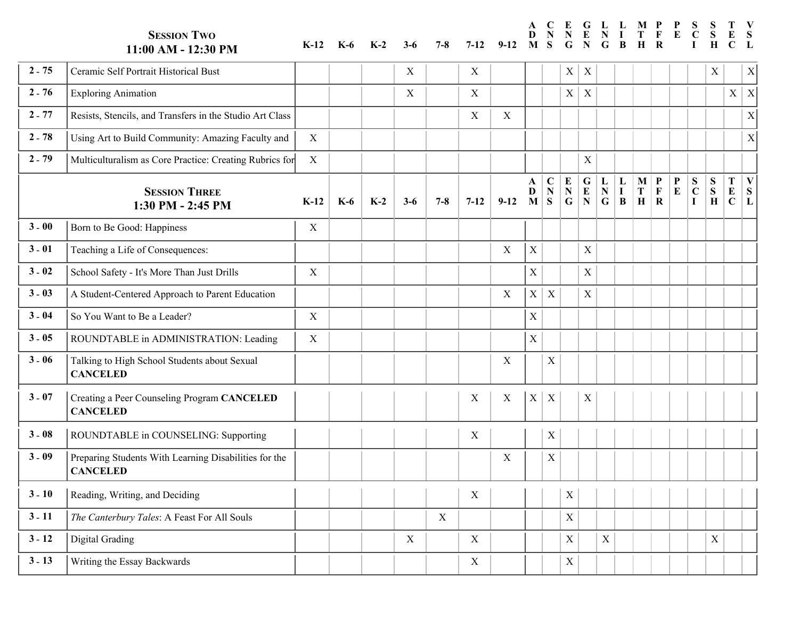**SESSION TWO 11:00 AM - 12:30 PM K-12 K-6 K-2 3-6 7-8 7-12 G L E D N N N G M S P L M P F T R N I G B H E C V S L S I S S H T E C 2** - **75** Ceramic Self Portrait Historical Bust  $X \mid X \mid X \mid X \mid$ e e E e  $X \mid X \mid \quad | \quad | \quad | \quad | \quad | \quad | \quad X \mid \quad | \quad X$  $X$ e e E  $X$ e e e e e e e  $X \mid Z$  $\boxed{\text{X} \mid \text{Z}}$ e e e e e e e <sup>e</sup> **<sup>2</sup>** - **<sup>76</sup>** Exploring Animation <sup>X</sup> <sup>X</sup> <sup>E</sup>  $\overline{a}$ x <sup>x</sup> **<sup>2</sup>** - **<sup>77</sup>** Resists, Stencils, and Transfers in the Studio Art Class <sup>X</sup> <sup>X</sup> <sup>R</sup> R  $\overline{a}$ X X X EX  $\overline{\mathbf{x}}$  $\mathbf{r}$ i<br>İ i<br>İ i<br>İ i<br>İ i<br>İ i<br>İ i<br>İ i<br>İ i<br>İ i<br>İ i<br>İ <sup>z</sup> i<br>İ i<br>İ <sup>z</sup> i<br>İ i<br>İ e e <sup>e</sup> **<sup>2</sup>** - **<sup>78</sup>** Using Art to Build Community: Amazing Faculty and <sup>X</sup> <sup>U</sup> U e  $\overline{X}$ e e e e e e e e e e e e e e e e e e s **2 - 79** Multiculturalism as Core Practice: Creating Rubrics for X and Multiculturalism as Core Practice: Creating Rubrics for X and Multiculturalism as Core Practice: Creating Rubrics for X and Multiculturalism as Core Pr s s s s s s s s s s s M s s s s s s s s u **A** l<br>E l<br>I X M u **V** u u **T** u **S** u **S** u **P**  $\overline{M}$  **P** u **L**  $\overline{G}$  **L** u **E** u **C** u u u u u u  $2 - 79$ u **SESSION THREE 1:30 PM - 2:45 PM K-12 K-6 K-2 3-6 7-8 7-12 9-12 E N D M N S N G F R H N G I B T E S L C I S H E C 3** -  $\bf{00}$  Born to Be Good: Happiness  $\bf{X}$   $\bf{X}$   $\bf{X}$  $X$ o <sup>o</sup> **<sup>3</sup>** - **<sup>01</sup>** Teaching a Life of Consequences: <sup>X</sup> <sup>T</sup> T o o o o o o o o o o o o T o o o o o o o o  $\mathbf{X}$ e <sup>e</sup> **<sup>3</sup>** - **<sup>02</sup>** School Safety - It's More Than Just Drills <sup>X</sup> <sup>S</sup> S e  $X$   $X$   $X$   $X$   $Y$   $Y$   $Y$   $Y$   $Y$   $Y$   $Y$   $Y$   $Y$ e e e e e e e e e e e S e e e e e e e e  $\overline{v}$ c A**3** - **03** AA Student-Centered Approach to Parent Education A A A A A A A X AX AX A AX A A A A A A A A A A c X X S c c c c c c c c c c  $X$ c **c** c c **c** c c c **3** - **04** So You Want to Be a Leader?  $\begin{vmatrix} X & | & | & | & | & | \end{vmatrix}$  $X$ o <sup>o</sup> **<sup>3</sup>** - **<sup>05</sup>** ROUNDTABLE in ADMINISTRATION: Leading X <sup>R</sup> R o X S o o o o o o o o o o o o o o o o o o o O 3 - 06 Talking to High School Students about Sexual O X R O O O O O O O O O O O O  $\overline{\ }$ O O O O O O **CANCELED** a  $X$ X T **3** - **07** Creating a Peer Counseling Program **CANCELED** C **CANCELED**  $X \mid X$ X X X C  $X$  $X \mid X$ **3** - **08** ROUNDTABLE in COUNSELING: Supporting X R R O **3 - 09** Preparing Students With Learning Disabilities for the O X R O O O O O O O O O O O O R  $\overline{\ }$ O O O O O O **CANCELED**  $X$ X P **3** - **10** Reading, Writing, and Deciding  $X \mid X$ e **e 3** - **11** *The Canterbury Tales*: A Feast For All Souls **Tales Tales Tales Tales Tales Tales Tales Tales Tales Tales Tales Tales Tales Tales Tales Tales Tales Tales Tales Tales** e X R e e e e e e e e e e e R e *T* e e e e e e e *h h* D *h* X *T h h h h* D *h h h h h h* D *h h* D *h h h h h h h <sup>h</sup>* **<sup>3</sup>** - **<sup>12</sup>** Digital Grading <sup>X</sup> <sup>X</sup> <sup>D</sup> i i <sup>i</sup> **<sup>3</sup>** - **<sup>13</sup>** Writing the Essay Backwards <sup>X</sup> <sup>W</sup> W i X X X D i i i i i i i i i i i i i i i i i i i r r r X W r r r r r r r r r r r W r r r r r r r r  $3 - 13$ r

**A**

**C E**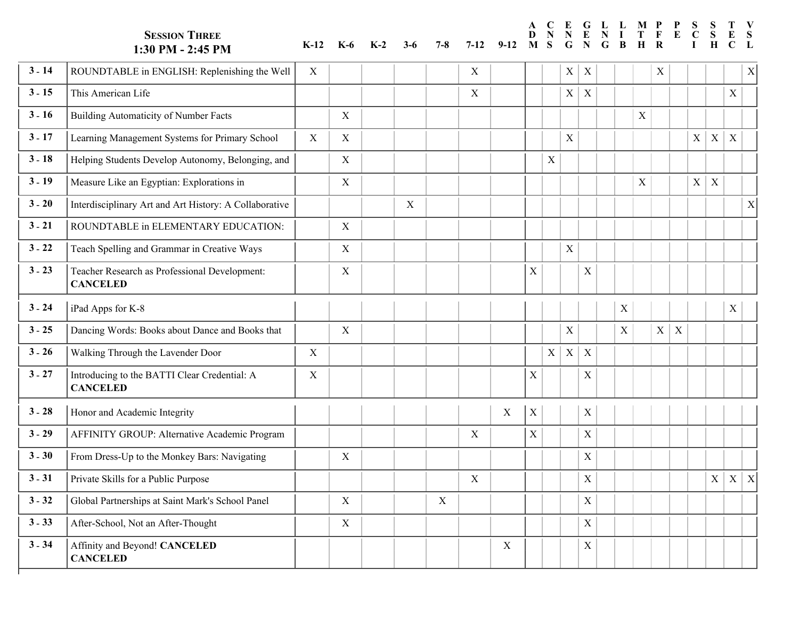|          | <b>SESSION THREE</b><br>1:30 PM - 2:45 PM                        | $K-12$           | K-6         | $K-2$ | $3-6$       | $7-8$ | $7 - 12$    | $9-12$      | A<br>D<br>M | S           | E<br>G                    | $\mathbf G$<br>N          | L L<br>G | B           | M P         | F              | $\mathbf{P}$<br>E | ${\bf S}$      | S<br>S<br>H  | C                 | S           |
|----------|------------------------------------------------------------------|------------------|-------------|-------|-------------|-------|-------------|-------------|-------------|-------------|---------------------------|---------------------------|----------|-------------|-------------|----------------|-------------------|----------------|--------------|-------------------|-------------|
| $3 - 14$ | ROUNDTABLE in ENGLISH: Replenishing the Well                     | $\boldsymbol{X}$ |             |       |             |       | X           |             |             |             | $X \vert$                 | X                         |          |             |             | X              |                   |                |              |                   | X           |
| $3 - 15$ | This American Life                                               |                  |             |       |             |       | $\mathbf X$ |             |             |             | $\mathbf X$               | $\mathbf X$               |          |             |             |                |                   |                |              | $\mathbf X$       |             |
| $3 - 16$ | Building Automaticity of Number Facts                            |                  | X           |       |             |       |             |             |             |             |                           |                           |          |             | X           |                |                   |                |              |                   |             |
| $3 - 17$ | Learning Management Systems for Primary School                   | X                | X           |       |             |       |             |             |             |             | X                         |                           |          |             |             |                |                   | X <sub>1</sub> | $\mathbf{X}$ | $\boldsymbol{X}$  |             |
| $3 - 18$ | Helping Students Develop Autonomy, Belonging, and                |                  | $\mathbf X$ |       |             |       |             |             |             | $\mathbf X$ |                           |                           |          |             |             |                |                   |                |              |                   |             |
| $3 - 19$ | Measure Like an Egyptian: Explorations in                        |                  | X           |       |             |       |             |             |             |             |                           |                           |          |             | $\mathbf X$ |                |                   | X              | $\mathbf X$  |                   |             |
| $3 - 20$ | Interdisciplinary Art and Art History: A Collaborative           |                  |             |       | $\mathbf X$ |       |             |             |             |             |                           |                           |          |             |             |                |                   |                |              |                   | $\mathbf X$ |
| $3 - 21$ | ROUNDTABLE in ELEMENTARY EDUCATION:                              |                  | X           |       |             |       |             |             |             |             |                           |                           |          |             |             |                |                   |                |              |                   |             |
| $3 - 22$ | Teach Spelling and Grammar in Creative Ways                      |                  | $\mathbf X$ |       |             |       |             |             |             |             | $\mathbf X$               |                           |          |             |             |                |                   |                |              |                   |             |
| $3 - 23$ | Teacher Research as Professional Development:<br><b>CANCELED</b> |                  | $\mathbf X$ |       |             |       |             |             | $\mathbf X$ |             |                           | X                         |          |             |             |                |                   |                |              |                   |             |
| $3 - 24$ | iPad Apps for K-8                                                |                  |             |       |             |       |             |             |             |             |                           |                           |          | $\mathbf X$ |             |                |                   |                |              | X                 |             |
| $3 - 25$ | Dancing Words: Books about Dance and Books that                  |                  | $\mathbf X$ |       |             |       |             |             |             |             | X                         |                           |          | X           |             | X <sub>1</sub> | X                 |                |              |                   |             |
| $3 - 26$ | Walking Through the Lavender Door                                | X                |             |       |             |       |             |             |             | X           | $\boldsymbol{\mathrm{X}}$ | $\boldsymbol{\mathrm{X}}$ |          |             |             |                |                   |                |              |                   |             |
| $3 - 27$ | Introducing to the BATTI Clear Credential: A<br><b>CANCELED</b>  | X                |             |       |             |       |             |             | $\mathbf X$ |             |                           | $\mathbf X$               |          |             |             |                |                   |                |              |                   |             |
| $3 - 28$ | Honor and Academic Integrity                                     |                  |             |       |             |       |             | X           | $\mathbf X$ |             |                           | X                         |          |             |             |                |                   |                |              |                   |             |
| $3 - 29$ | AFFINITY GROUP: Alternative Academic Program                     |                  |             |       |             |       | X           |             | $\mathbf X$ |             |                           | $\mathbf X$               |          |             |             |                |                   |                |              |                   |             |
| $3 - 30$ | From Dress-Up to the Monkey Bars: Navigating                     |                  | X           |       |             |       |             |             |             |             |                           | $\mathbf X$               |          |             |             |                |                   |                |              |                   |             |
| $3 - 31$ | Private Skills for a Public Purpose                              |                  |             |       |             |       | X           |             |             |             |                           | $\mathbf X$               |          |             |             |                |                   |                |              | $X \mid X \mid X$ |             |
| $3 - 32$ | Global Partnerships at Saint Mark's School Panel                 |                  | $\mathbf X$ |       |             | X     |             |             |             |             |                           | $\mathbf X$               |          |             |             |                |                   |                |              |                   |             |
| $3 - 33$ | After-School, Not an After-Thought                               |                  | $\mathbf X$ |       |             |       |             |             |             |             |                           | $\mathbf X$               |          |             |             |                |                   |                |              |                   |             |
| $3 - 34$ | Affinity and Beyond! CANCELED<br><b>CANCELED</b>                 |                  |             |       |             |       |             | $\mathbf X$ |             |             |                           | $\mathbf X$               |          |             |             |                |                   |                |              |                   |             |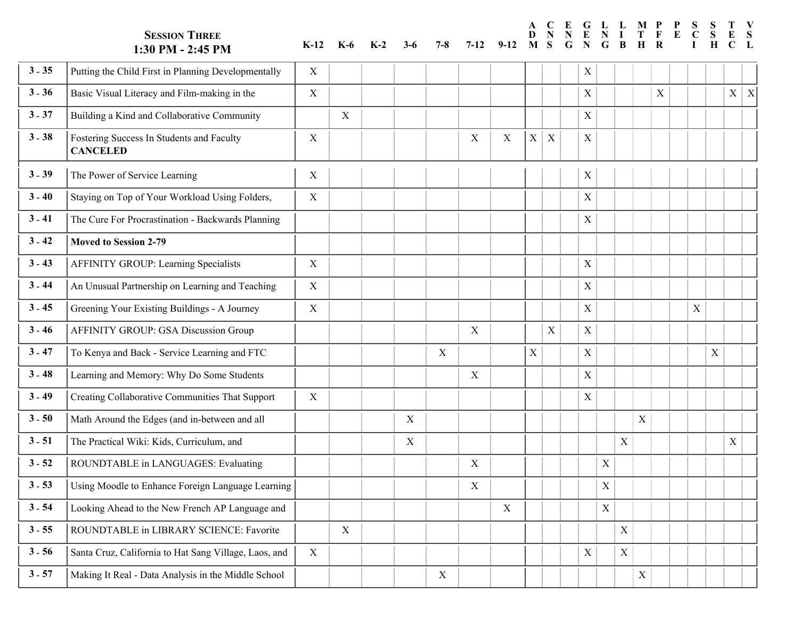|          | <b>SESSION THREE</b><br>1:30 PM - 2:45 PM                    | $K-12$      | K-6              | $K-2$ | $3-6$       | $7 - 8$ | $7 - 12$ | $9-12$ | A<br>D<br>M | C<br>S                    | G | $\mathbf G$<br>N | $\mathbf{L}$<br>G | L<br>B      | M P<br>H    |             | P |                           | Н           |   | V                |
|----------|--------------------------------------------------------------|-------------|------------------|-------|-------------|---------|----------|--------|-------------|---------------------------|---|------------------|-------------------|-------------|-------------|-------------|---|---------------------------|-------------|---|------------------|
| $3 - 35$ | Putting the Child First in Planning Developmentally          | $\mathbf X$ |                  |       |             |         |          |        |             |                           |   | $\mathbf X$      |                   |             |             |             |   |                           |             |   |                  |
| $3 - 36$ | Basic Visual Literacy and Film-making in the                 | $\mathbf X$ |                  |       |             |         |          |        |             |                           |   | $\mathbf X$      |                   |             |             | $\mathbf X$ |   |                           |             | X | $\boldsymbol{X}$ |
| $3 - 37$ | Building a Kind and Collaborative Community                  |             | $\boldsymbol{X}$ |       |             |         |          |        |             |                           |   | $\mathbf X$      |                   |             |             |             |   |                           |             |   |                  |
| $3 - 38$ | Fostering Success In Students and Faculty<br><b>CANCELED</b> | X           |                  |       |             |         | X        | X      | $\mathbf X$ | $\boldsymbol{X}$          |   | X                |                   |             |             |             |   |                           |             |   |                  |
| $3 - 39$ | The Power of Service Learning                                | X           |                  |       |             |         |          |        |             |                           |   | X                |                   |             |             |             |   |                           |             |   |                  |
| $3 - 40$ | Staying on Top of Your Workload Using Folders,               | $\mathbf X$ |                  |       |             |         |          |        |             |                           |   | X                |                   |             |             |             |   |                           |             |   |                  |
| $3 - 41$ | The Cure For Procrastination - Backwards Planning            |             |                  |       |             |         |          |        |             |                           |   | $\mathbf X$      |                   |             |             |             |   |                           |             |   |                  |
| $3 - 42$ | Moved to Session 2-79                                        |             |                  |       |             |         |          |        |             |                           |   |                  |                   |             |             |             |   |                           |             |   |                  |
| $3 - 43$ | <b>AFFINITY GROUP: Learning Specialists</b>                  | $\mathbf X$ |                  |       |             |         |          |        |             |                           |   | $\mathbf X$      |                   |             |             |             |   |                           |             |   |                  |
| $3 - 44$ | An Unusual Partnership on Learning and Teaching              | $\mathbf X$ |                  |       |             |         |          |        |             |                           |   | $\mathbf X$      |                   |             |             |             |   |                           |             |   |                  |
| $3 - 45$ | Greening Your Existing Buildings - A Journey                 | $\mathbf X$ |                  |       |             |         |          |        |             |                           |   | $\mathbf X$      |                   |             |             |             |   | $\boldsymbol{\mathrm{X}}$ |             |   |                  |
| $3 - 46$ | AFFINITY GROUP: GSA Discussion Group                         |             |                  |       |             |         | X        |        |             | $\boldsymbol{\mathrm{X}}$ |   | $\mathbf X$      |                   |             |             |             |   |                           |             |   |                  |
| $3 - 47$ | To Kenya and Back - Service Learning and FTC                 |             |                  |       |             | X       |          |        | $\mathbf X$ |                           |   | $\mathbf X$      |                   |             |             |             |   |                           | $\mathbf X$ |   |                  |
| $3 - 48$ | Learning and Memory: Why Do Some Students                    |             |                  |       |             |         | X        |        |             |                           |   | $\mathbf X$      |                   |             |             |             |   |                           |             |   |                  |
| $3 - 49$ | Creating Collaborative Communities That Support              | $\mathbf X$ |                  |       |             |         |          |        |             |                           |   | $\mathbf X$      |                   |             |             |             |   |                           |             |   |                  |
| $3 - 50$ | Math Around the Edges (and in-between and all                |             |                  |       | $\mathbf X$ |         |          |        |             |                           |   |                  |                   |             | X           |             |   |                           |             |   |                  |
| $3 - 51$ | The Practical Wiki: Kids, Curriculum, and                    |             |                  |       | X           |         |          |        |             |                           |   |                  |                   | $\mathbf X$ |             |             |   |                           |             | X |                  |
| $3 - 52$ | ROUNDTABLE in LANGUAGES: Evaluating                          |             |                  |       |             |         | X        |        |             |                           |   |                  | $\mathbf X$       |             |             |             |   |                           |             |   |                  |
| $3 - 53$ | Using Moodle to Enhance Foreign Language Learning            |             |                  |       |             |         | X        |        |             |                           |   |                  | $\mathbf X$       |             |             |             |   |                           |             |   |                  |
| $3 - 54$ | Looking Ahead to the New French AP Language and              |             |                  |       |             |         |          | X      |             |                           |   |                  | $\mathbf X$       |             |             |             |   |                           |             |   |                  |
| $3 - 55$ | ROUNDTABLE in LIBRARY SCIENCE: Favorite                      |             | $\mathbf X$      |       |             |         |          |        |             |                           |   |                  |                   | $\mathbf X$ |             |             |   |                           |             |   |                  |
| $3 - 56$ | Santa Cruz, California to Hat Sang Village, Laos, and        | X           |                  |       |             |         |          |        |             |                           |   | $\mathbf X$      |                   | $\mathbf X$ |             |             |   |                           |             |   |                  |
| $3 - 57$ | Making It Real - Data Analysis in the Middle School          |             |                  |       |             | X       |          |        |             |                           |   |                  |                   |             | $\mathbf X$ |             |   |                           |             |   |                  |

**A**

 $\sim$ 

**L** 

**P**

 $\sim$